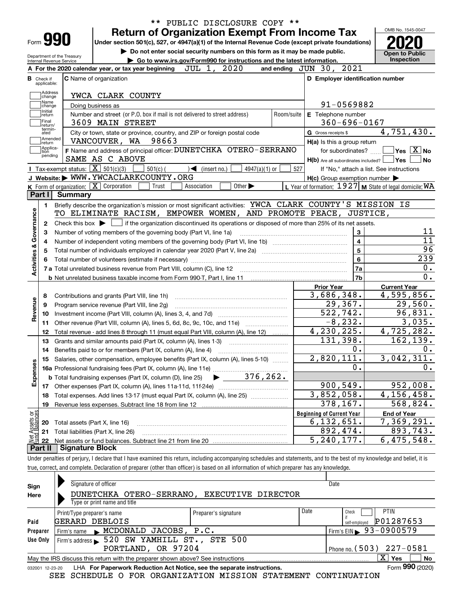|                                                                                              | Form <b>990</b>                 |                                      |                                                   | <b>Return of Organization Exempt From Income Tax</b><br>Under section 501(c), 527, or 4947(a)(1) of the Internal Revenue Code (except private foundations)                                                                              |             |                                   |             |                             |            |                      |                                                            | OMB No. 1545-0047                                         |                                                          |
|----------------------------------------------------------------------------------------------|---------------------------------|--------------------------------------|---------------------------------------------------|-----------------------------------------------------------------------------------------------------------------------------------------------------------------------------------------------------------------------------------------|-------------|-----------------------------------|-------------|-----------------------------|------------|----------------------|------------------------------------------------------------|-----------------------------------------------------------|----------------------------------------------------------|
|                                                                                              | <b>Internal Revenue Service</b> | Department of the Treasury           |                                                   | Do not enter social security numbers on this form as it may be made public.<br>Go to www.irs.gov/Form990 for instructions and the latest information.                                                                                   |             |                                   |             |                             |            |                      |                                                            | <b>Open to Public</b><br><b>Inspection</b>                |                                                          |
|                                                                                              |                                 |                                      |                                                   | A For the 2020 calendar year, or tax year beginning                                                                                                                                                                                     |             |                                   | JUL 1, 2020 |                             |            | and ending $JUN$ 30, | 2021                                                       |                                                           |                                                          |
| <b>B</b> Check if<br>applicable:                                                             |                                 |                                      | <b>C</b> Name of organization                     |                                                                                                                                                                                                                                         |             |                                   |             |                             |            |                      | D Employer identification number                           |                                                           |                                                          |
|                                                                                              | Address<br> change              |                                      | YWCA CLARK COUNTY                                 |                                                                                                                                                                                                                                         |             |                                   |             |                             |            |                      |                                                            |                                                           |                                                          |
| Name                                                                                         | change                          |                                      | Doing business as                                 |                                                                                                                                                                                                                                         |             |                                   |             |                             |            |                      | 91-0569882                                                 |                                                           |                                                          |
| Initial<br>return<br> Final<br>return/                                                       |                                 |                                      | 3609 MAIN STREET                                  | Number and street (or P.O. box if mail is not delivered to street address)                                                                                                                                                              |             |                                   |             |                             | Room/suite |                      | E Telephone number<br>$360 - 696 - 0167$                   |                                                           |                                                          |
| ated<br> return                                                                              | termin-<br>Amended              |                                      | VANCOUVER, WA                                     | City or town, state or province, country, and ZIP or foreign postal code<br>98663                                                                                                                                                       |             |                                   |             |                             |            | G Gross receipts \$  | H(a) Is this a group return                                | 4,751,430.                                                |                                                          |
| Ition                                                                                        | Applica-<br>pending             |                                      | SAME AS C ABOVE                                   | F Name and address of principal officer: DUNETCHKA OTERO-SERRANO                                                                                                                                                                        |             |                                   |             |                             |            |                      | for subordinates?<br>$H(b)$ Are all subordinates included? | ∣Yes                                                      | $\sqrt{}$ Yes $\sqrt{}$ $\overline{\rm X}$ No<br>No      |
|                                                                                              |                                 |                                      | Tax-exempt status: $\boxed{\mathbf{X}}$ 501(c)(3) | $501(c)$ (                                                                                                                                                                                                                              |             | $\sqrt{\frac{1}{1}}$ (insert no.) |             | $4947(a)(1)$ or             | 527        |                      |                                                            | If "No," attach a list. See instructions                  |                                                          |
|                                                                                              |                                 |                                      |                                                   | J Website: WWW.YWCACLARKCOUNTY.ORG                                                                                                                                                                                                      |             |                                   |             |                             |            |                      | $H(c)$ Group exemption number $\blacktriangleright$        |                                                           |                                                          |
|                                                                                              |                                 |                                      | K Form of organization: X Corporation             | Trust                                                                                                                                                                                                                                   | Association |                                   |             | Other $\blacktriangleright$ |            |                      |                                                            | L Year of formation: $1927$ M State of legal domicile: WA |                                                          |
| Part I                                                                                       |                                 | Summary                              |                                                   | Briefly describe the organization's mission or most significant activities: YWCA CLARK COUNTY'S MISSION IS                                                                                                                              |             |                                   |             |                             |            |                      |                                                            |                                                           |                                                          |
| 2<br>З                                                                                       |                                 | Check this box $\blacktriangleright$ |                                                   | TO ELIMINATE RACISM, EMPOWER WOMEN, AND PROMOTE PEACE, JUSTICE,<br>if the organization discontinued its operations or disposed of more than 25% of its net assets.<br>Number of voting members of the governing body (Part VI, line 1a) |             |                                   |             |                             |            |                      | 3                                                          |                                                           |                                                          |
| 4                                                                                            |                                 |                                      |                                                   |                                                                                                                                                                                                                                         |             |                                   |             |                             |            |                      | $\overline{\mathbf{4}}$                                    |                                                           |                                                          |
| 5                                                                                            |                                 |                                      |                                                   |                                                                                                                                                                                                                                         |             |                                   |             |                             |            |                      |                                                            |                                                           |                                                          |
|                                                                                              |                                 |                                      |                                                   |                                                                                                                                                                                                                                         |             |                                   |             |                             |            |                      | 5                                                          |                                                           |                                                          |
|                                                                                              |                                 |                                      |                                                   |                                                                                                                                                                                                                                         |             |                                   |             |                             |            |                      | 6                                                          |                                                           |                                                          |
|                                                                                              |                                 |                                      |                                                   |                                                                                                                                                                                                                                         |             |                                   |             |                             |            |                      | 7a                                                         |                                                           |                                                          |
|                                                                                              |                                 |                                      |                                                   |                                                                                                                                                                                                                                         |             |                                   |             |                             |            |                      | 7b                                                         |                                                           |                                                          |
|                                                                                              |                                 |                                      |                                                   |                                                                                                                                                                                                                                         |             |                                   |             |                             |            | <b>Prior Year</b>    |                                                            | <b>Current Year</b>                                       |                                                          |
| 8                                                                                            |                                 |                                      |                                                   | Contributions and grants (Part VIII, line 1h)                                                                                                                                                                                           |             |                                   |             |                             |            |                      | 3,686,348.                                                 | $\overline{4}$ , 595, 856.                                |                                                          |
| 9                                                                                            |                                 |                                      | Program service revenue (Part VIII, line 2g)      |                                                                                                                                                                                                                                         |             |                                   |             |                             |            |                      | 29,367.                                                    |                                                           |                                                          |
| 10                                                                                           |                                 |                                      |                                                   |                                                                                                                                                                                                                                         |             |                                   |             |                             |            |                      | 522,742.                                                   |                                                           |                                                          |
| 11                                                                                           |                                 |                                      |                                                   | Other revenue (Part VIII, column (A), lines 5, 6d, 8c, 9c, 10c, and 11e)                                                                                                                                                                |             |                                   |             |                             |            |                      | $-8, 232.$                                                 |                                                           |                                                          |
| 12                                                                                           |                                 |                                      |                                                   | Total revenue - add lines 8 through 11 (must equal Part VIII, column (A), line 12)                                                                                                                                                      |             |                                   |             |                             |            |                      | 4,230,225.                                                 | 4,725,282.                                                |                                                          |
| 13                                                                                           |                                 |                                      |                                                   | Grants and similar amounts paid (Part IX, column (A), lines 1-3)                                                                                                                                                                        |             |                                   |             |                             |            |                      | 131,398.                                                   | 162, 139.                                                 |                                                          |
| 14                                                                                           |                                 |                                      |                                                   |                                                                                                                                                                                                                                         |             |                                   |             |                             |            |                      | 0.                                                         |                                                           |                                                          |
|                                                                                              |                                 |                                      |                                                   | 15 Salaries, other compensation, employee benefits (Part IX, column (A), lines 5-10)                                                                                                                                                    |             |                                   |             |                             |            |                      | 2,820,111.                                                 | 3,042,311.                                                |                                                          |
|                                                                                              |                                 |                                      |                                                   |                                                                                                                                                                                                                                         |             |                                   |             |                             |            |                      | 0.                                                         |                                                           |                                                          |
|                                                                                              |                                 |                                      |                                                   | <b>b</b> Total fundraising expenses (Part IX, column (D), line 25)                                                                                                                                                                      |             |                                   |             | 376, 262.                   |            |                      |                                                            |                                                           |                                                          |
| 17                                                                                           |                                 |                                      |                                                   |                                                                                                                                                                                                                                         |             |                                   |             |                             |            |                      | 900, 549.                                                  | 952,008.                                                  |                                                          |
| 18                                                                                           |                                 |                                      |                                                   | Total expenses. Add lines 13-17 (must equal Part IX, column (A), line 25)                                                                                                                                                               |             |                                   |             |                             |            |                      | $\overline{3,852}$ , 058.                                  | 4, 156, 458.                                              |                                                          |
| 19                                                                                           |                                 |                                      |                                                   | Revenue less expenses. Subtract line 18 from line 12                                                                                                                                                                                    |             |                                   |             |                             |            |                      | 378, 167.                                                  | 568,824.                                                  |                                                          |
|                                                                                              |                                 |                                      |                                                   |                                                                                                                                                                                                                                         |             |                                   |             |                             |            |                      | <b>Beginning of Current Year</b>                           | <b>End of Year</b>                                        |                                                          |
| 20                                                                                           |                                 |                                      | Total assets (Part X, line 16)                    |                                                                                                                                                                                                                                         |             |                                   |             |                             |            |                      | 6, 132, 651.<br>892,474.                                   | 7,369,291.                                                | 239<br>0.<br>0.<br>29,560.<br>96,831.<br>3,035.<br>$0$ . |
| Activities & Governance<br>Revenue<br>Expenses<br>t Assets or<br>d Balances<br>21<br>혏<br>22 |                                 |                                      | Total liabilities (Part X, line 26)               |                                                                                                                                                                                                                                         |             |                                   |             |                             |            |                      | 5, 240, 177.                                               | 893,743.<br>6,475,548.                                    |                                                          |

| Sign<br>Here | Signature of officer<br>DUNETCHKA OTERO-SERRANO.<br>Type or print name and title                             | EXECUTIVE DIRECTOR   |      | Date                                               |  |  |  |  |  |  |
|--------------|--------------------------------------------------------------------------------------------------------------|----------------------|------|----------------------------------------------------|--|--|--|--|--|--|
| Paid         | Print/Type preparer's name<br>GERARD DEBLOIS                                                                 | Preparer's signature | Date | <b>PTIN</b><br>Check<br>P01287653<br>self-emploved |  |  |  |  |  |  |
| Preparer     | Firm's name MCDONALD JACOBS, P.C.                                                                            |                      |      | Firm's EIN $\triangleright$ 93-0900579             |  |  |  |  |  |  |
| Use Only     | Firm's address > 520 SW YAMHILL ST., STE 500                                                                 |                      |      |                                                    |  |  |  |  |  |  |
|              | PORTLAND, OR 97204                                                                                           |                      |      | Phone no. $(503)$ $227-0581$                       |  |  |  |  |  |  |
|              | May the IRS discuss this return with the preparer shown above? See instructions                              |                      |      | $\mathbf{X}$<br><b>No</b><br><b>Yes</b>            |  |  |  |  |  |  |
|              | Form 990 (2020)<br>LHA For Paperwork Reduction Act Notice, see the separate instructions.<br>032001 12-23-20 |                      |      |                                                    |  |  |  |  |  |  |

SEE SCHEDULE O FOR ORGANIZATION MISSION STATEMENT CONTINUATION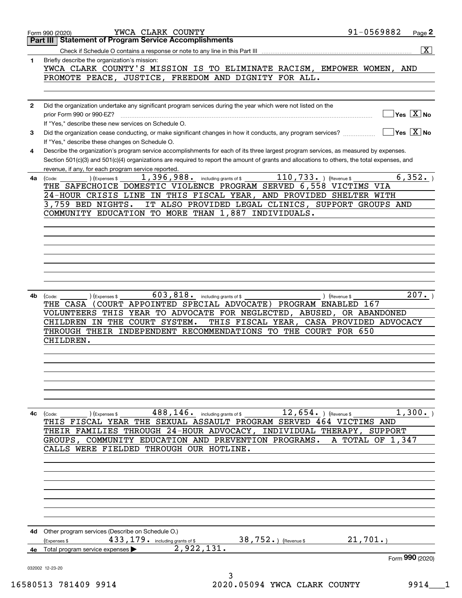|              | YWCA CLARK COUNTY<br>Form 990 (2020)                                                                         | 91-0569882<br>Page <sup>2</sup>                                                                                                              |
|--------------|--------------------------------------------------------------------------------------------------------------|----------------------------------------------------------------------------------------------------------------------------------------------|
|              | <b>Statement of Program Service Accomplishments</b><br>Part III                                              |                                                                                                                                              |
|              |                                                                                                              | $\overline{\mathbf{X}}$                                                                                                                      |
| 1.           | Briefly describe the organization's mission:                                                                 |                                                                                                                                              |
|              |                                                                                                              | YWCA CLARK COUNTY'S MISSION IS TO ELIMINATE RACISM, EMPOWER WOMEN, AND                                                                       |
|              | PROMOTE PEACE, JUSTICE, FREEDOM AND DIGNITY FOR ALL.                                                         |                                                                                                                                              |
|              |                                                                                                              |                                                                                                                                              |
| $\mathbf{2}$ | Did the organization undertake any significant program services during the year which were not listed on the |                                                                                                                                              |
|              | prior Form 990 or 990-EZ?                                                                                    | $\sqrt{}$ Yes $\sqrt{}$ $\overline{\text{X}}$ No                                                                                             |
|              | If "Yes," describe these new services on Schedule O.                                                         |                                                                                                                                              |
| З            | Did the organization cease conducting, or make significant changes in how it conducts, any program services? | $\overline{Y}$ es $\overline{X}$ No                                                                                                          |
|              | If "Yes," describe these changes on Schedule O.                                                              |                                                                                                                                              |
| 4            |                                                                                                              | Describe the organization's program service accomplishments for each of its three largest program services, as measured by expenses.         |
|              |                                                                                                              | Section 501(c)(3) and 501(c)(4) organizations are required to report the amount of grants and allocations to others, the total expenses, and |
|              | revenue, if any, for each program service reported.                                                          |                                                                                                                                              |
| 4a           | 1,396,988. including grants of \$<br>) (Expenses \$<br>(Code:                                                | 110,733. $ $ (Revenue \$<br>6,352.                                                                                                           |
|              |                                                                                                              | THE SAFECHOICE DOMESTIC VIOLENCE PROGRAM SERVED 6,558 VICTIMS VIA                                                                            |
|              |                                                                                                              | 24-HOUR CRISIS LINE IN THIS FISCAL YEAR, AND PROVIDED SHELTER WITH                                                                           |
|              | 3,759 BED NIGHTS.                                                                                            | IT ALSO PROVIDED LEGAL CLINICS, SUPPORT GROUPS AND                                                                                           |
|              | COMMUNITY EDUCATION TO MORE THAN 1,887 INDIVIDUALS.                                                          |                                                                                                                                              |
|              |                                                                                                              |                                                                                                                                              |
|              |                                                                                                              |                                                                                                                                              |
|              |                                                                                                              |                                                                                                                                              |
|              |                                                                                                              |                                                                                                                                              |
|              |                                                                                                              |                                                                                                                                              |
|              |                                                                                                              |                                                                                                                                              |
|              |                                                                                                              |                                                                                                                                              |
|              |                                                                                                              |                                                                                                                                              |
| 4b           | $603, 818$ . including grants of \$<br>(Expenses \$<br>(Code:                                                | $\overline{207}$ .<br>) (Revenue \$                                                                                                          |
|              | THE CASA                                                                                                     | (COURT APPOINTED SPECIAL ADVOCATE) PROGRAM ENABLED 167                                                                                       |
|              |                                                                                                              | VOLUNTEERS THIS YEAR TO ADVOCATE FOR NEGLECTED, ABUSED, OR ABANDONED                                                                         |
|              | CHILDREN IN THE COURT SYSTEM.                                                                                | THIS FISCAL YEAR,<br>CASA PROVIDED ADVOCACY                                                                                                  |
|              | THROUGH THEIR INDEPENDENT RECOMMENDATIONS TO THE COURT FOR 650                                               |                                                                                                                                              |
|              | CHILDREN.                                                                                                    |                                                                                                                                              |
|              |                                                                                                              |                                                                                                                                              |
|              |                                                                                                              |                                                                                                                                              |
|              |                                                                                                              |                                                                                                                                              |
|              |                                                                                                              |                                                                                                                                              |
|              |                                                                                                              |                                                                                                                                              |
|              |                                                                                                              |                                                                                                                                              |
|              |                                                                                                              |                                                                                                                                              |
| 4с           | (Code:<br>(Expenses \$                                                                                       | 1,300.<br>12,654.<br>488, 146. including grants of \$<br>) (Revenue \$                                                                       |
|              |                                                                                                              | THIS FISCAL YEAR THE SEXUAL ASSAULT PROGRAM SERVED 464 VICTIMS AND                                                                           |
|              |                                                                                                              | THEIR FAMILIES THROUGH 24-HOUR ADVOCACY, INDIVIDUAL THERAPY, SUPPORT                                                                         |
|              | GROUPS, COMMUNITY EDUCATION AND PREVENTION PROGRAMS.                                                         | A TOTAL OF 1,347                                                                                                                             |
|              | CALLS WERE FIELDED THROUGH OUR HOTLINE.                                                                      |                                                                                                                                              |
|              |                                                                                                              |                                                                                                                                              |
|              |                                                                                                              |                                                                                                                                              |
|              |                                                                                                              |                                                                                                                                              |
|              |                                                                                                              |                                                                                                                                              |
|              |                                                                                                              |                                                                                                                                              |
|              |                                                                                                              |                                                                                                                                              |
|              |                                                                                                              |                                                                                                                                              |
|              |                                                                                                              |                                                                                                                                              |
|              | 4d Other program services (Describe on Schedule O.)                                                          |                                                                                                                                              |
|              | 433, 179. including grants of \$<br>(Expenses \$                                                             | 21,701.<br>38,752.) (Revenue \$                                                                                                              |
| 4е           | 2,922,131.<br>Total program service expenses                                                                 |                                                                                                                                              |
|              |                                                                                                              | Form 990 (2020)                                                                                                                              |
|              | 032002 12-23-20                                                                                              |                                                                                                                                              |
|              |                                                                                                              | 3                                                                                                                                            |
|              | 16580513 781409 9914                                                                                         | 2020.05094 YWCA CLARK COUNTY<br>9914                                                                                                         |
|              |                                                                                                              |                                                                                                                                              |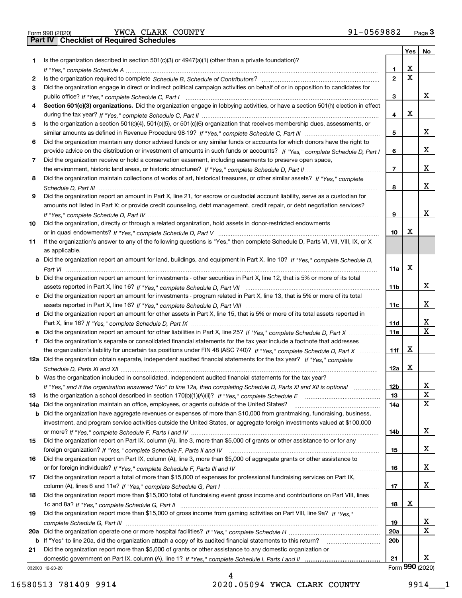|  | Form 990 (2020) |
|--|-----------------|

|     |                                                                                                                                                 |                 | Yes | No                      |
|-----|-------------------------------------------------------------------------------------------------------------------------------------------------|-----------------|-----|-------------------------|
| 1.  | Is the organization described in section $501(c)(3)$ or $4947(a)(1)$ (other than a private foundation)?                                         |                 |     |                         |
|     |                                                                                                                                                 | 1               | х   |                         |
| 2   |                                                                                                                                                 | $\mathbf{2}$    | X   |                         |
| 3   | Did the organization engage in direct or indirect political campaign activities on behalf of or in opposition to candidates for                 |                 |     |                         |
|     |                                                                                                                                                 | 3               |     | x                       |
| 4   | Section 501(c)(3) organizations. Did the organization engage in lobbying activities, or have a section 501(h) election in effect                |                 |     |                         |
|     |                                                                                                                                                 | 4               | х   |                         |
| 5   | Is the organization a section 501(c)(4), 501(c)(5), or 501(c)(6) organization that receives membership dues, assessments, or                    |                 |     |                         |
|     |                                                                                                                                                 | 5               |     | X.                      |
| 6   | Did the organization maintain any donor advised funds or any similar funds or accounts for which donors have the right to                       |                 |     |                         |
|     | provide advice on the distribution or investment of amounts in such funds or accounts? If "Yes," complete Schedule D, Part I                    | 6               |     | X.                      |
| 7   | Did the organization receive or hold a conservation easement, including easements to preserve open space,                                       |                 |     |                         |
|     |                                                                                                                                                 | 7               |     | x                       |
| 8   | Did the organization maintain collections of works of art, historical treasures, or other similar assets? If "Yes," complete                    |                 |     |                         |
|     |                                                                                                                                                 | 8               |     | x                       |
| 9   | Did the organization report an amount in Part X, line 21, for escrow or custodial account liability, serve as a custodian for                   |                 |     |                         |
|     | amounts not listed in Part X; or provide credit counseling, debt management, credit repair, or debt negotiation services?                       |                 |     |                         |
|     |                                                                                                                                                 | 9               |     | x                       |
| 10  | Did the organization, directly or through a related organization, hold assets in donor-restricted endowments                                    |                 |     |                         |
|     |                                                                                                                                                 | 10              | х   |                         |
| 11  | If the organization's answer to any of the following questions is "Yes," then complete Schedule D, Parts VI, VII, VIII, IX, or X                |                 |     |                         |
|     | as applicable.<br>a Did the organization report an amount for land, buildings, and equipment in Part X, line 10? If "Yes," complete Schedule D, |                 |     |                         |
|     |                                                                                                                                                 |                 | X   |                         |
|     |                                                                                                                                                 | 11a             |     |                         |
|     | <b>b</b> Did the organization report an amount for investments - other securities in Part X, line 12, that is 5% or more of its total           | 11b             |     | x                       |
|     | c Did the organization report an amount for investments - program related in Part X, line 13, that is 5% or more of its total                   |                 |     |                         |
|     |                                                                                                                                                 | 11c             |     | X.                      |
|     | d Did the organization report an amount for other assets in Part X, line 15, that is 5% or more of its total assets reported in                 |                 |     |                         |
|     |                                                                                                                                                 | 11d             |     | X                       |
| е   |                                                                                                                                                 | <b>11e</b>      |     | $\overline{\mathbf{x}}$ |
| f   | Did the organization's separate or consolidated financial statements for the tax year include a footnote that addresses                         |                 |     |                         |
|     | the organization's liability for uncertain tax positions under FIN 48 (ASC 740)? If "Yes," complete Schedule D, Part X                          | 11f             | х   |                         |
|     | 12a Did the organization obtain separate, independent audited financial statements for the tax year? If "Yes," complete                         |                 |     |                         |
|     |                                                                                                                                                 | 12a             | x   |                         |
|     | <b>b</b> Was the organization included in consolidated, independent audited financial statements for the tax year?                              |                 |     |                         |
|     | If "Yes," and if the organization answered "No" to line 12a, then completing Schedule D, Parts XI and XII is optional                           | 12 <sub>b</sub> |     |                         |
| 13  | Is the organization a school described in section 170(b)(1)(A)(ii)? If "Yes," complete Schedule E                                               | 13              |     | X                       |
| 14a | Did the organization maintain an office, employees, or agents outside of the United States?                                                     | 14a             |     | x                       |
|     | b Did the organization have aggregate revenues or expenses of more than \$10,000 from grantmaking, fundraising, business,                       |                 |     |                         |
|     | investment, and program service activities outside the United States, or aggregate foreign investments valued at \$100,000                      |                 |     |                         |
|     |                                                                                                                                                 | 14b             |     | X.                      |
| 15  | Did the organization report on Part IX, column (A), line 3, more than \$5,000 of grants or other assistance to or for any                       |                 |     |                         |
|     |                                                                                                                                                 | 15              |     | X.                      |
| 16  | Did the organization report on Part IX, column (A), line 3, more than \$5,000 of aggregate grants or other assistance to                        |                 |     |                         |
|     |                                                                                                                                                 | 16              |     | X.                      |
| 17  | Did the organization report a total of more than \$15,000 of expenses for professional fundraising services on Part IX,                         |                 |     |                         |
|     |                                                                                                                                                 | 17              |     | X.                      |
| 18  | Did the organization report more than \$15,000 total of fundraising event gross income and contributions on Part VIII, lines                    |                 |     |                         |
|     |                                                                                                                                                 | 18              | X   |                         |
| 19  | Did the organization report more than \$15,000 of gross income from gaming activities on Part VIII, line 9a? If "Yes."                          |                 |     |                         |
|     |                                                                                                                                                 | 19              |     | x                       |
|     |                                                                                                                                                 | 20a             |     | X                       |
|     | b If "Yes" to line 20a, did the organization attach a copy of its audited financial statements to this return?                                  | 20b             |     |                         |
| 21  | Did the organization report more than \$5,000 of grants or other assistance to any domestic organization or                                     |                 |     |                         |
|     |                                                                                                                                                 | 21              |     | X.                      |

032003 12-23-20

Form (2020) **990**

4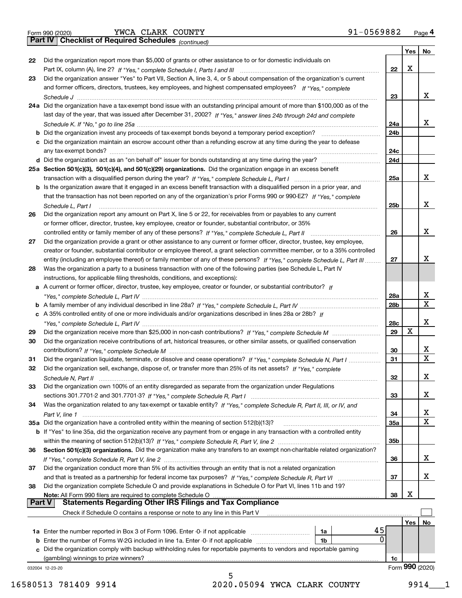|  | Form 990 (2020) |
|--|-----------------|
|  |                 |

*(continued)*

|          |                                                                                                                                    |                 | Yes        | No              |
|----------|------------------------------------------------------------------------------------------------------------------------------------|-----------------|------------|-----------------|
| 22       | Did the organization report more than \$5,000 of grants or other assistance to or for domestic individuals on                      |                 |            |                 |
|          |                                                                                                                                    | 22              | X          |                 |
| 23       | Did the organization answer "Yes" to Part VII, Section A, line 3, 4, or 5 about compensation of the organization's current         |                 |            |                 |
|          | and former officers, directors, trustees, key employees, and highest compensated employees? If "Yes," complete                     |                 |            |                 |
|          |                                                                                                                                    | 23              |            | x               |
|          | 24a Did the organization have a tax-exempt bond issue with an outstanding principal amount of more than \$100,000 as of the        |                 |            |                 |
|          | last day of the year, that was issued after December 31, 2002? If "Yes," answer lines 24b through 24d and complete                 |                 |            |                 |
|          |                                                                                                                                    | 24a             |            | x               |
|          | b Did the organization invest any proceeds of tax-exempt bonds beyond a temporary period exception?                                | 24b             |            |                 |
|          | c Did the organization maintain an escrow account other than a refunding escrow at any time during the year to defease             |                 |            |                 |
|          |                                                                                                                                    | 24c             |            |                 |
|          | d Did the organization act as an "on behalf of" issuer for bonds outstanding at any time during the year?                          | 24d             |            |                 |
|          | 25a Section 501(c)(3), 501(c)(4), and 501(c)(29) organizations. Did the organization engage in an excess benefit                   |                 |            |                 |
|          |                                                                                                                                    | 25a             |            | x               |
|          | b Is the organization aware that it engaged in an excess benefit transaction with a disqualified person in a prior year, and       |                 |            |                 |
|          | that the transaction has not been reported on any of the organization's prior Forms 990 or 990-EZ? If "Yes," complete              |                 |            |                 |
|          | Schedule L. Part I                                                                                                                 | 25 <sub>b</sub> |            | x               |
| 26       | Did the organization report any amount on Part X, line 5 or 22, for receivables from or payables to any current                    |                 |            |                 |
|          | or former officer, director, trustee, key employee, creator or founder, substantial contributor, or 35%                            |                 |            |                 |
|          |                                                                                                                                    | 26              |            | x               |
| 27       | Did the organization provide a grant or other assistance to any current or former officer, director, trustee, key employee,        |                 |            |                 |
|          | creator or founder, substantial contributor or employee thereof, a grant selection committee member, or to a 35% controlled        |                 |            |                 |
|          | entity (including an employee thereof) or family member of any of these persons? If "Yes," complete Schedule L, Part III           | 27              |            | x               |
| 28       | Was the organization a party to a business transaction with one of the following parties (see Schedule L, Part IV                  |                 |            |                 |
|          | instructions, for applicable filing thresholds, conditions, and exceptions):                                                       |                 |            |                 |
|          | a A current or former officer, director, trustee, key employee, creator or founder, or substantial contributor? If                 |                 |            |                 |
|          |                                                                                                                                    | 28a             |            | х               |
|          |                                                                                                                                    | 28 <sub>b</sub> |            | X               |
|          | c A 35% controlled entity of one or more individuals and/or organizations described in lines 28a or 28b? If                        |                 |            |                 |
|          |                                                                                                                                    | 28c             |            | x               |
| 29       |                                                                                                                                    | 29              | x          |                 |
| 30       | Did the organization receive contributions of art, historical treasures, or other similar assets, or qualified conservation        |                 |            |                 |
|          |                                                                                                                                    | 30              |            | x               |
| 31       | Did the organization liquidate, terminate, or dissolve and cease operations? If "Yes," complete Schedule N, Part I                 | 31              |            | $\mathbf X$     |
| 32       | Did the organization sell, exchange, dispose of, or transfer more than 25% of its net assets? If "Yes," complete                   |                 |            |                 |
|          |                                                                                                                                    | 32              |            | х               |
| 33       | Did the organization own 100% of an entity disregarded as separate from the organization under Regulations                         |                 |            |                 |
|          |                                                                                                                                    | 33              |            | х               |
| 34       | Was the organization related to any tax-exempt or taxable entity? If "Yes," complete Schedule R, Part II, III, or IV, and          |                 |            |                 |
|          |                                                                                                                                    | 34              |            | х               |
|          | 35a Did the organization have a controlled entity within the meaning of section 512(b)(13)?                                        | 35a             |            | X               |
|          | <b>b</b> If "Yes" to line 35a, did the organization receive any payment from or engage in any transaction with a controlled entity |                 |            |                 |
|          |                                                                                                                                    | 35 <sub>b</sub> |            |                 |
| 36       | Section 501(c)(3) organizations. Did the organization make any transfers to an exempt non-charitable related organization?         |                 |            |                 |
|          |                                                                                                                                    | 36              |            | x               |
| 37       | Did the organization conduct more than 5% of its activities through an entity that is not a related organization                   |                 |            |                 |
|          |                                                                                                                                    | 37              |            | x               |
| 38       | Did the organization complete Schedule O and provide explanations in Schedule O for Part VI, lines 11b and 19?                     |                 |            |                 |
|          | Note: All Form 990 filers are required to complete Schedule O                                                                      | 38              | X          |                 |
| ∣ Part V | <b>Statements Regarding Other IRS Filings and Tax Compliance</b>                                                                   |                 |            |                 |
|          | Check if Schedule O contains a response or note to any line in this Part V                                                         |                 |            |                 |
|          |                                                                                                                                    |                 | <b>Yes</b> | No              |
|          | 45<br><b>1a</b> Enter the number reported in Box 3 of Form 1096. Enter -0- if not applicable<br>1a<br>0                            |                 |            |                 |
|          | <b>b</b> Enter the number of Forms W-2G included in line 1a. Enter -0- if not applicable<br>1b                                     |                 |            |                 |
| c        | Did the organization comply with backup withholding rules for reportable payments to vendors and reportable gaming                 |                 |            |                 |
|          | (gambling) winnings to prize winners?                                                                                              | 1c              |            | Form 990 (2020) |
|          | 032004 12-23-20<br>5                                                                                                               |                 |            |                 |
|          |                                                                                                                                    |                 |            |                 |

16580513 781409 9914 2020.05094 YWCA CLARK COUNTY 9914\_\_\_1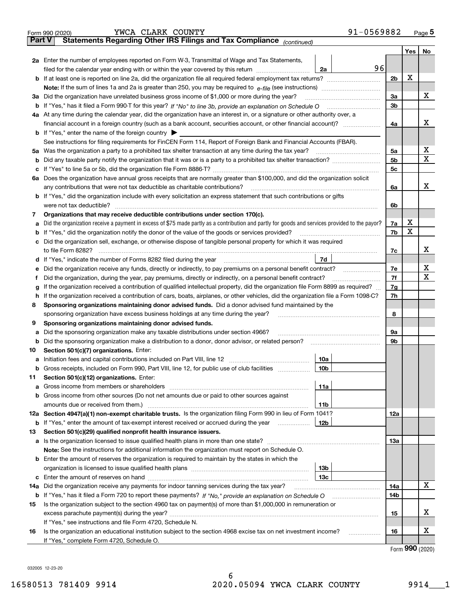|        | YWCA CLARK COUNTY<br>Form 990 (2020)                                                                                                                                                                          | 91-0569882 |                      |     | Page 5 |  |  |  |
|--------|---------------------------------------------------------------------------------------------------------------------------------------------------------------------------------------------------------------|------------|----------------------|-----|--------|--|--|--|
| Part V | Statements Regarding Other IRS Filings and Tax Compliance (continued)                                                                                                                                         |            |                      |     |        |  |  |  |
|        |                                                                                                                                                                                                               |            |                      | Yes | No     |  |  |  |
|        | 2a Enter the number of employees reported on Form W-3, Transmittal of Wage and Tax Statements,                                                                                                                |            |                      |     |        |  |  |  |
|        | filed for the calendar year ending with or within the year covered by this return<br>2a                                                                                                                       | 96         |                      |     |        |  |  |  |
|        | <b>b</b> If at least one is reported on line 2a, did the organization file all required federal employment tax returns?                                                                                       |            | 2 <sub>b</sub>       | х   |        |  |  |  |
|        |                                                                                                                                                                                                               |            |                      |     |        |  |  |  |
|        | 3a Did the organization have unrelated business gross income of \$1,000 or more during the year?                                                                                                              |            | 3a                   |     | х      |  |  |  |
|        | b If "Yes," has it filed a Form 990-T for this year? If "No" to line 3b, provide an explanation on Schedule O                                                                                                 |            | 3b                   |     |        |  |  |  |
|        | 4a At any time during the calendar year, did the organization have an interest in, or a signature or other authority over, a                                                                                  |            |                      |     |        |  |  |  |
|        | financial account in a foreign country (such as a bank account, securities account, or other financial account)?                                                                                              |            | 4a                   |     | x      |  |  |  |
|        | <b>b</b> If "Yes," enter the name of the foreign country $\triangleright$                                                                                                                                     |            |                      |     |        |  |  |  |
|        | See instructions for filing requirements for FinCEN Form 114, Report of Foreign Bank and Financial Accounts (FBAR).                                                                                           |            |                      |     | х      |  |  |  |
|        | 5a Was the organization a party to a prohibited tax shelter transaction at any time during the tax year?                                                                                                      |            | 5a<br>5 <sub>b</sub> |     | x      |  |  |  |
|        |                                                                                                                                                                                                               |            | 5c                   |     |        |  |  |  |
|        |                                                                                                                                                                                                               |            |                      |     |        |  |  |  |
|        | 6a Does the organization have annual gross receipts that are normally greater than \$100,000, and did the organization solicit<br>any contributions that were not tax deductible as charitable contributions? |            | 6a                   |     | x      |  |  |  |
|        |                                                                                                                                                                                                               |            |                      |     |        |  |  |  |
|        | <b>b</b> If "Yes," did the organization include with every solicitation an express statement that such contributions or gifts<br>were not tax deductible?                                                     |            | 6b                   |     |        |  |  |  |
| 7      | Organizations that may receive deductible contributions under section 170(c).                                                                                                                                 |            |                      |     |        |  |  |  |
| a      | Did the organization receive a payment in excess of \$75 made partly as a contribution and partly for goods and services provided to the payor?                                                               |            | 7a                   | x   |        |  |  |  |
|        | <b>b</b> If "Yes," did the organization notify the donor of the value of the goods or services provided?                                                                                                      |            | 7b                   | X   |        |  |  |  |
|        | c Did the organization sell, exchange, or otherwise dispose of tangible personal property for which it was required                                                                                           |            |                      |     |        |  |  |  |
|        | to file Form 8282?                                                                                                                                                                                            |            | 7c                   |     | х      |  |  |  |
|        | 7d<br>d If "Yes," indicate the number of Forms 8282 filed during the year                                                                                                                                     |            |                      |     |        |  |  |  |
| е      | Did the organization receive any funds, directly or indirectly, to pay premiums on a personal benefit contract?                                                                                               |            | 7e                   |     | х      |  |  |  |
| f      | Did the organization, during the year, pay premiums, directly or indirectly, on a personal benefit contract?                                                                                                  |            | 7f                   |     | x      |  |  |  |
| g      | If the organization received a contribution of qualified intellectual property, did the organization file Form 8899 as required?                                                                              |            | 7g                   |     |        |  |  |  |
|        | h If the organization received a contribution of cars, boats, airplanes, or other vehicles, did the organization file a Form 1098-C?                                                                          |            | 7h                   |     |        |  |  |  |
| 8      | Sponsoring organizations maintaining donor advised funds. Did a donor advised fund maintained by the                                                                                                          |            |                      |     |        |  |  |  |
|        | sponsoring organization have excess business holdings at any time during the year?                                                                                                                            |            | 8                    |     |        |  |  |  |
| 9      | Sponsoring organizations maintaining donor advised funds.                                                                                                                                                     |            |                      |     |        |  |  |  |
| a      | Did the sponsoring organization make any taxable distributions under section 4966?                                                                                                                            |            | 9a                   |     |        |  |  |  |
|        | <b>b</b> Did the sponsoring organization make a distribution to a donor, donor advisor, or related person?                                                                                                    |            | 9b                   |     |        |  |  |  |
| 10     | Section 501(c)(7) organizations. Enter:                                                                                                                                                                       |            |                      |     |        |  |  |  |
|        | 10a<br>a Initiation fees and capital contributions included on Part VIII, line 12                                                                                                                             |            |                      |     |        |  |  |  |
|        | <b>b</b> Gross receipts, included on Form 990, Part VIII, line 12, for public use of club facilities<br>10b                                                                                                   |            |                      |     |        |  |  |  |
| 11     | Section 501(c)(12) organizations. Enter:                                                                                                                                                                      |            |                      |     |        |  |  |  |
| a      | 11a<br>Gross income from members or shareholders                                                                                                                                                              |            |                      |     |        |  |  |  |
|        | <b>b</b> Gross income from other sources (Do not net amounts due or paid to other sources against                                                                                                             |            |                      |     |        |  |  |  |
|        | 11 <sub>b</sub><br>amounts due or received from them.)                                                                                                                                                        |            |                      |     |        |  |  |  |
|        | 12a Section 4947(a)(1) non-exempt charitable trusts. Is the organization filing Form 990 in lieu of Form 1041?                                                                                                |            | 12a                  |     |        |  |  |  |
|        | <b>b</b> If "Yes," enter the amount of tax-exempt interest received or accrued during the year<br>12b                                                                                                         |            |                      |     |        |  |  |  |
| 13     | Section 501(c)(29) qualified nonprofit health insurance issuers.                                                                                                                                              |            |                      |     |        |  |  |  |
|        |                                                                                                                                                                                                               |            | 13a                  |     |        |  |  |  |
|        | Note: See the instructions for additional information the organization must report on Schedule O.                                                                                                             |            |                      |     |        |  |  |  |
|        | <b>b</b> Enter the amount of reserves the organization is required to maintain by the states in which the                                                                                                     |            |                      |     |        |  |  |  |
|        | 13 <sub>b</sub>                                                                                                                                                                                               |            |                      |     |        |  |  |  |
|        | 13с                                                                                                                                                                                                           |            |                      |     |        |  |  |  |
| 14a    | Did the organization receive any payments for indoor tanning services during the tax year?                                                                                                                    |            | 14a                  |     | x      |  |  |  |
|        |                                                                                                                                                                                                               |            | 14b                  |     |        |  |  |  |
| 15     | Is the organization subject to the section 4960 tax on payment(s) of more than \$1,000,000 in remuneration or                                                                                                 |            |                      |     |        |  |  |  |
|        |                                                                                                                                                                                                               |            | 15                   |     | х      |  |  |  |
|        | If "Yes," see instructions and file Form 4720, Schedule N.                                                                                                                                                    |            |                      |     |        |  |  |  |
| 16     | Is the organization an educational institution subject to the section 4968 excise tax on net investment income?                                                                                               |            | 16                   |     | х      |  |  |  |
|        | If "Yes," complete Form 4720, Schedule O.                                                                                                                                                                     |            |                      |     |        |  |  |  |

| $_{r}$ <sub>r</sub> orm 990 (2020) |  |
|------------------------------------|--|
|------------------------------------|--|

032005 12-23-20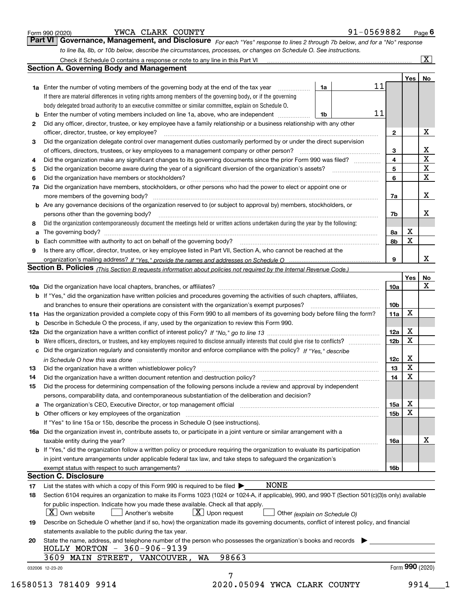|    | <b>Section A. Governing Body and Management</b>                                                                                                                                                                                |                 |                  | $\overline{\mathbf{X}}$ |
|----|--------------------------------------------------------------------------------------------------------------------------------------------------------------------------------------------------------------------------------|-----------------|------------------|-------------------------|
|    |                                                                                                                                                                                                                                |                 | Yes              | No                      |
|    | 11<br>1a<br>1a Enter the number of voting members of the governing body at the end of the tax year                                                                                                                             |                 |                  |                         |
|    | If there are material differences in voting rights among members of the governing body, or if the governing                                                                                                                    |                 |                  |                         |
|    | body delegated broad authority to an executive committee or similar committee, explain on Schedule O.                                                                                                                          |                 |                  |                         |
|    | 11<br><b>b</b> Enter the number of voting members included on line 1a, above, who are independent<br>1b                                                                                                                        |                 |                  |                         |
| 2  | Did any officer, director, trustee, or key employee have a family relationship or a business relationship with any other                                                                                                       |                 |                  |                         |
|    | officer, director, trustee, or key employee?                                                                                                                                                                                   | $\mathbf{2}$    |                  | х                       |
| 3  | Did the organization delegate control over management duties customarily performed by or under the direct supervision                                                                                                          |                 |                  |                         |
|    |                                                                                                                                                                                                                                | 3               |                  | $\underline{x}$         |
| 4  | Did the organization make any significant changes to its governing documents since the prior Form 990 was filed?                                                                                                               | 4               |                  | $\overline{\texttt{x}}$ |
| 5  |                                                                                                                                                                                                                                | 5               |                  | $\overline{\mathbf{x}}$ |
| 6  |                                                                                                                                                                                                                                | 6               |                  | $\mathbf X$             |
|    | 7a Did the organization have members, stockholders, or other persons who had the power to elect or appoint one or                                                                                                              |                 |                  |                         |
|    |                                                                                                                                                                                                                                | 7a              |                  | X                       |
|    | <b>b</b> Are any governance decisions of the organization reserved to (or subject to approval by) members, stockholders, or                                                                                                    |                 |                  |                         |
|    | persons other than the governing body?                                                                                                                                                                                         |                 |                  | X                       |
|    | Did the organization contemporaneously document the meetings held or written actions undertaken during the year by the following:                                                                                              | 7b              |                  |                         |
| 8  |                                                                                                                                                                                                                                |                 | X                |                         |
| a  |                                                                                                                                                                                                                                | 8а              | X                |                         |
|    |                                                                                                                                                                                                                                | 8b              |                  |                         |
| 9  | Is there any officer, director, trustee, or key employee listed in Part VII, Section A, who cannot be reached at the                                                                                                           |                 |                  | X                       |
|    |                                                                                                                                                                                                                                | 9               |                  |                         |
|    | Section B. Policies (This Section B requests information about policies not required by the Internal Revenue Code.)                                                                                                            |                 |                  |                         |
|    |                                                                                                                                                                                                                                |                 | Yes              | No<br>X                 |
|    |                                                                                                                                                                                                                                | 10a             |                  |                         |
|    | <b>b</b> If "Yes," did the organization have written policies and procedures governing the activities of such chapters, affiliates,                                                                                            |                 |                  |                         |
|    | and branches to ensure their operations are consistent with the organization's exempt purposes?                                                                                                                                | 10b             | X                |                         |
|    | 11a Has the organization provided a complete copy of this Form 990 to all members of its governing body before filing the form?                                                                                                | 11a             |                  |                         |
|    | <b>b</b> Describe in Schedule O the process, if any, used by the organization to review this Form 990.                                                                                                                         |                 |                  |                         |
|    |                                                                                                                                                                                                                                | 12a             | X<br>$\mathbf x$ |                         |
|    | <b>b</b> Were officers, directors, or trustees, and key employees required to disclose annually interests that could give rise to conflicts?                                                                                   | 12 <sub>b</sub> |                  |                         |
|    | c Did the organization regularly and consistently monitor and enforce compliance with the policy? If "Yes," describe                                                                                                           |                 |                  |                         |
|    | in Schedule O how this was done measured and the control of the control of the state of the control of the control of the control of the control of the control of the control of the control of the control of the control of | 12c             | X                |                         |
| 13 |                                                                                                                                                                                                                                | 13              | X                |                         |
| 14 | Did the organization have a written document retention and destruction policy? manufactured and the organization have a written document retention and destruction policy?                                                     | 14              | X                |                         |
| 15 | Did the process for determining compensation of the following persons include a review and approval by independent                                                                                                             |                 |                  |                         |
|    | persons, comparability data, and contemporaneous substantiation of the deliberation and decision?                                                                                                                              |                 |                  |                         |
|    |                                                                                                                                                                                                                                | 15a             | X                |                         |
|    |                                                                                                                                                                                                                                | 15 <sub>b</sub> | X                |                         |
|    | If "Yes" to line 15a or 15b, describe the process in Schedule O (see instructions).                                                                                                                                            |                 |                  |                         |
|    | 16a Did the organization invest in, contribute assets to, or participate in a joint venture or similar arrangement with a                                                                                                      |                 |                  |                         |
|    | taxable entity during the year?                                                                                                                                                                                                | 16a             |                  | X                       |
|    | <b>b</b> If "Yes," did the organization follow a written policy or procedure requiring the organization to evaluate its participation                                                                                          |                 |                  |                         |
|    | in joint venture arrangements under applicable federal tax law, and take steps to safeguard the organization's                                                                                                                 |                 |                  |                         |
|    |                                                                                                                                                                                                                                | 16b             |                  |                         |
|    | <b>Section C. Disclosure</b>                                                                                                                                                                                                   |                 |                  |                         |
| 17 | <b>NONE</b><br>List the states with which a copy of this Form 990 is required to be filed $\blacktriangleright$                                                                                                                |                 |                  |                         |
| 18 | Section 6104 requires an organization to make its Forms 1023 (1024 or 1024-A, if applicable), 990, and 990-T (Section 501(c)(3)s only) available                                                                               |                 |                  |                         |
|    | for public inspection. Indicate how you made these available. Check all that apply.                                                                                                                                            |                 |                  |                         |
|    | $\lfloor x \rfloor$ Upon request<br>$\lfloor x \rfloor$ Own website<br>Another's website<br>Other (explain on Schedule O)                                                                                                      |                 |                  |                         |
| 19 | Describe on Schedule O whether (and if so, how) the organization made its governing documents, conflict of interest policy, and financial<br>statements available to the public during the tax year.                           |                 |                  |                         |
| 20 | State the name, address, and telephone number of the person who possesses the organization's books and records<br>HOLLY MORTON - 360-906-9139                                                                                  |                 |                  |                         |
|    | 98663<br>3609 MAIN STREET, VANCOUVER,<br>WA                                                                                                                                                                                    |                 |                  |                         |
|    |                                                                                                                                                                                                                                |                 | Form 990 (2020)  |                         |

Form 990 (2020) **Page 6**<br>**Part VI** | Governance, Management, and Disclosure *For each "Yes" response to lines 2 through 7b below, and for a "No" response* 

*For each "Yes" response to lines 2 through 7b below, and for a "No" response*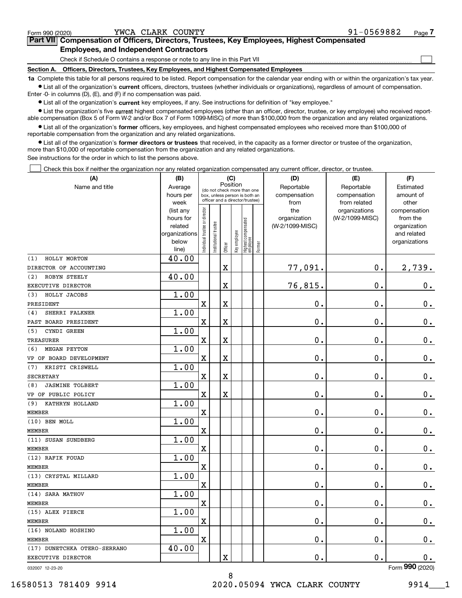$\mathcal{L}^{\text{max}}$ 

# **7Part VII Compensation of Officers, Directors, Trustees, Key Employees, Highest Compensated Employees, and Independent Contractors**

Check if Schedule O contains a response or note to any line in this Part VII

**Section A. Officers, Directors, Trustees, Key Employees, and Highest Compensated Employees**

**1a**  Complete this table for all persons required to be listed. Report compensation for the calendar year ending with or within the organization's tax year. **•** List all of the organization's current officers, directors, trustees (whether individuals or organizations), regardless of amount of compensation.

Enter -0- in columns (D), (E), and (F) if no compensation was paid.

 $\bullet$  List all of the organization's  $\,$ current key employees, if any. See instructions for definition of "key employee."

**•** List the organization's five current highest compensated employees (other than an officer, director, trustee, or key employee) who received reportable compensation (Box 5 of Form W-2 and/or Box 7 of Form 1099-MISC) of more than \$100,000 from the organization and any related organizations.

**•** List all of the organization's former officers, key employees, and highest compensated employees who received more than \$100,000 of reportable compensation from the organization and any related organizations.

**former directors or trustees**  ¥ List all of the organization's that received, in the capacity as a former director or trustee of the organization, more than \$10,000 of reportable compensation from the organization and any related organizations.

See instructions for the order in which to list the persons above.

Check this box if neither the organization nor any related organization compensated any current officer, director, or trustee.  $\mathcal{L}^{\text{max}}$ 

| (A)                           | (B)                                                                          | (C)                           |                                                                                                             |                         |              |                                  |        | (D)                                            | (E)                                              | (F)                                                                               |
|-------------------------------|------------------------------------------------------------------------------|-------------------------------|-------------------------------------------------------------------------------------------------------------|-------------------------|--------------|----------------------------------|--------|------------------------------------------------|--------------------------------------------------|-----------------------------------------------------------------------------------|
| Name and title                | Average<br>hours per                                                         |                               | Position<br>(do not check more than one<br>box, unless person is both an<br>officer and a director/trustee) |                         |              |                                  |        | Reportable<br>compensation                     | Reportable<br>compensation                       | Estimated<br>amount of                                                            |
|                               | week<br>(list any<br>hours for<br>related<br>organizations<br>below<br>line) | ndividual trustee or director | Institutional trustee                                                                                       | Officer                 | Key employee | Highest compensated<br> employee | Former | from<br>the<br>organization<br>(W-2/1099-MISC) | from related<br>organizations<br>(W-2/1099-MISC) | other<br>compensation<br>from the<br>organization<br>and related<br>organizations |
| HOLLY MORTON<br>(1)           | 40.00                                                                        |                               |                                                                                                             |                         |              |                                  |        |                                                |                                                  |                                                                                   |
| DIRECTOR OF ACCOUNTING        |                                                                              |                               |                                                                                                             | $\overline{\textbf{X}}$ |              |                                  |        | 77,091.                                        | $\mathbf 0$ .                                    | 2,739.                                                                            |
| ROBYN STEELY<br>(2)           | 40.00                                                                        |                               |                                                                                                             |                         |              |                                  |        |                                                |                                                  |                                                                                   |
| EXECUTIVE DIRECTOR            |                                                                              |                               |                                                                                                             | X                       |              |                                  |        | 76,815.                                        | $\mathbf{0}$ .                                   | 0.                                                                                |
| HOLLY JACOBS<br>(3)           | 1.00                                                                         |                               |                                                                                                             |                         |              |                                  |        |                                                |                                                  |                                                                                   |
| PRESIDENT                     |                                                                              | $\mathbf X$                   |                                                                                                             | X                       |              |                                  |        | 0.                                             | $\mathbf 0$ .                                    | $0_{.}$                                                                           |
| SHERRI FALKNER<br>(4)         | 1.00                                                                         |                               |                                                                                                             |                         |              |                                  |        |                                                |                                                  |                                                                                   |
| PAST BOARD PRESIDENT          |                                                                              | $\mathbf X$                   |                                                                                                             | X                       |              |                                  |        | 0.                                             | $\mathbf 0$ .                                    | $0_{.}$                                                                           |
| CYNDI GREEN<br>(5)            | 1.00                                                                         |                               |                                                                                                             |                         |              |                                  |        |                                                |                                                  |                                                                                   |
| <b>TREASURER</b>              |                                                                              | $\mathbf X$                   |                                                                                                             | X                       |              |                                  |        | 0.                                             | 0.                                               | $\mathbf 0$ .                                                                     |
| <b>MEGAN PEYTON</b><br>(6)    | 1.00                                                                         |                               |                                                                                                             |                         |              |                                  |        |                                                |                                                  |                                                                                   |
| VP OF BOARD DEVELOPMENT       |                                                                              | $\mathbf X$                   |                                                                                                             | $\overline{\textbf{X}}$ |              |                                  |        | $\mathbf 0$ .                                  | $\mathbf 0$ .                                    | 0.                                                                                |
| (7)<br>KRISTI CRISWELL        | 1.00                                                                         |                               |                                                                                                             |                         |              |                                  |        |                                                |                                                  |                                                                                   |
| <b>SECRETARY</b>              |                                                                              | $\mathbf x$                   |                                                                                                             | $\overline{\textbf{X}}$ |              |                                  |        | $\mathbf 0$ .                                  | $\mathbf 0$ .                                    | $\mathbf 0$ .                                                                     |
| <b>JASMINE TOLBERT</b><br>(8) | 1.00                                                                         |                               |                                                                                                             |                         |              |                                  |        |                                                |                                                  |                                                                                   |
| VP OF PUBLIC POLICY           |                                                                              | $\mathbf X$                   |                                                                                                             | $\overline{\textbf{X}}$ |              |                                  |        | 0.                                             | 0.                                               | $\mathbf 0$ .                                                                     |
| KATHRYN HOLLAND<br>(9)        | 1.00                                                                         |                               |                                                                                                             |                         |              |                                  |        |                                                |                                                  |                                                                                   |
| <b>MEMBER</b>                 |                                                                              | X                             |                                                                                                             |                         |              |                                  |        | 0.                                             | $\mathbf 0$ .                                    | 0.                                                                                |
| (10) BEN MOLL                 | 1.00                                                                         |                               |                                                                                                             |                         |              |                                  |        |                                                |                                                  |                                                                                   |
| <b>MEMBER</b>                 |                                                                              | $\rm X$                       |                                                                                                             |                         |              |                                  |        | 0.                                             | $\mathbf 0$ .                                    | $\mathbf 0$ .                                                                     |
| (11) SUSAN SUNDBERG           | 1.00                                                                         |                               |                                                                                                             |                         |              |                                  |        |                                                |                                                  |                                                                                   |
| <b>MEMBER</b>                 |                                                                              | Χ                             |                                                                                                             |                         |              |                                  |        | 0.                                             | 0.                                               | $\mathbf 0$ .                                                                     |
| (12) RAFIK FOUAD              | 1.00                                                                         |                               |                                                                                                             |                         |              |                                  |        |                                                |                                                  |                                                                                   |
| MEMBER                        |                                                                              | $\rm X$                       |                                                                                                             |                         |              |                                  |        | 0.                                             | $\mathbf 0$ .                                    | $0_{.}$                                                                           |
| (13) CRYSTAL MILLARD          | 1.00                                                                         |                               |                                                                                                             |                         |              |                                  |        |                                                |                                                  |                                                                                   |
| <b>MEMBER</b>                 |                                                                              | Χ                             |                                                                                                             |                         |              |                                  |        | 0.                                             | $\mathbf 0$ .                                    | 0.                                                                                |
| (14) SARA MATHOV              | 1.00                                                                         |                               |                                                                                                             |                         |              |                                  |        |                                                |                                                  |                                                                                   |
| <b>MEMBER</b>                 |                                                                              | X                             |                                                                                                             |                         |              |                                  |        | 0.                                             | 0.                                               | 0.                                                                                |
| (15) ALEX PIERCE              | 1.00                                                                         |                               |                                                                                                             |                         |              |                                  |        |                                                |                                                  |                                                                                   |
| MEMBER                        |                                                                              | X                             |                                                                                                             |                         |              |                                  |        | 0.                                             | $\mathbf 0$ .                                    | 0.                                                                                |
| (16) NOLAND HOSHINO           | 1.00                                                                         |                               |                                                                                                             |                         |              |                                  |        |                                                |                                                  |                                                                                   |
| <b>MEMBER</b>                 |                                                                              | $\mathbf X$                   |                                                                                                             |                         |              |                                  |        | 0.                                             | $\mathbf 0$ .                                    | 0.                                                                                |
| (17) DUNETCHKA OTERO-SERRANO  | 40.00                                                                        |                               |                                                                                                             |                         |              |                                  |        |                                                |                                                  |                                                                                   |
| EXECUTIVE DIRECTOR            |                                                                              |                               |                                                                                                             | $\overline{\textbf{X}}$ |              |                                  |        | 0.                                             | $\mathbf 0$ .                                    | 0.                                                                                |
|                               |                                                                              |                               |                                                                                                             |                         |              |                                  |        |                                                |                                                  | nnn.                                                                              |

032007 12-23-20

Form (2020) **990**

16580513 781409 9914 2020.05094 YWCA CLARK COUNTY 9914 1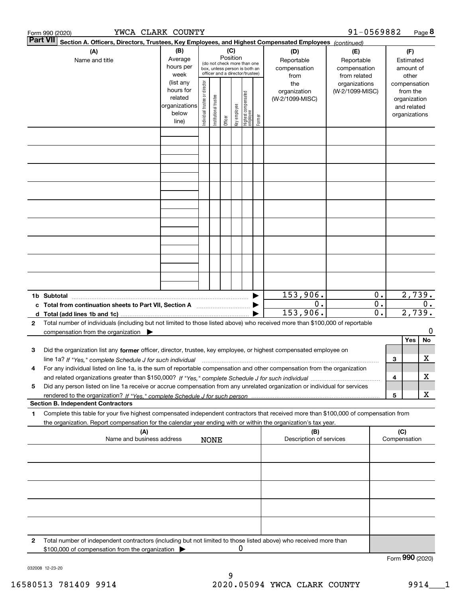|                 | YWCA CLARK COUNTY<br>Form 990 (2020)                                                                                                                                                                                                                         |                                                                              |                                |                       |                 |              |                                                                        |        |                                                | 91-0569882                                       |                                               |                     |                                                                                   | Page 8  |
|-----------------|--------------------------------------------------------------------------------------------------------------------------------------------------------------------------------------------------------------------------------------------------------------|------------------------------------------------------------------------------|--------------------------------|-----------------------|-----------------|--------------|------------------------------------------------------------------------|--------|------------------------------------------------|--------------------------------------------------|-----------------------------------------------|---------------------|-----------------------------------------------------------------------------------|---------|
| <b>Part VII</b> | Section A. Officers, Directors, Trustees, Key Employees, and Highest Compensated Employees (continued)<br>(A)<br>Name and title                                                                                                                              | (B)<br>Average<br>hours per                                                  |                                |                       | (C)<br>Position |              | (do not check more than one<br>box, unless person is both an           |        | (D)<br>Reportable<br>compensation              | (E)<br>Reportable<br>compensation                |                                               |                     | (F)<br>Estimated<br>amount of                                                     |         |
|                 |                                                                                                                                                                                                                                                              | week<br>(list any<br>hours for<br>related<br>organizations<br>below<br>line) | Individual trustee or director | Institutional trustee | Officer         | key employee | officer and a director/trustee)<br>  Highest compensated<br>  employee | Former | from<br>the<br>organization<br>(W-2/1099-MISC) | from related<br>organizations<br>(W-2/1099-MISC) |                                               |                     | other<br>compensation<br>from the<br>organization<br>and related<br>organizations |         |
|                 |                                                                                                                                                                                                                                                              |                                                                              |                                |                       |                 |              |                                                                        |        |                                                |                                                  |                                               |                     |                                                                                   |         |
|                 |                                                                                                                                                                                                                                                              |                                                                              |                                |                       |                 |              |                                                                        |        |                                                |                                                  |                                               |                     |                                                                                   |         |
|                 |                                                                                                                                                                                                                                                              |                                                                              |                                |                       |                 |              |                                                                        |        |                                                |                                                  |                                               |                     |                                                                                   |         |
|                 |                                                                                                                                                                                                                                                              |                                                                              |                                |                       |                 |              |                                                                        |        |                                                |                                                  |                                               |                     |                                                                                   |         |
|                 |                                                                                                                                                                                                                                                              |                                                                              |                                |                       |                 |              |                                                                        |        |                                                |                                                  |                                               |                     |                                                                                   |         |
|                 |                                                                                                                                                                                                                                                              |                                                                              |                                |                       |                 |              |                                                                        |        |                                                |                                                  |                                               |                     |                                                                                   |         |
|                 |                                                                                                                                                                                                                                                              |                                                                              |                                |                       |                 |              |                                                                        |        |                                                |                                                  |                                               |                     |                                                                                   |         |
|                 | 1b Subtotal                                                                                                                                                                                                                                                  |                                                                              |                                |                       |                 |              |                                                                        |        | 153,906.                                       |                                                  | 0.                                            |                     | 2,739.                                                                            |         |
| $\mathbf{2}$    | c Total from continuation sheets to Part VII, Section A<br>Total number of individuals (including but not limited to those listed above) who received more than \$100,000 of reportable                                                                      |                                                                              |                                |                       |                 |              |                                                                        |        | 0.<br>153,906.                                 |                                                  | $\overline{\mathbf{0}}$ .<br>$\overline{0}$ . |                     | 2,739.                                                                            | 0.      |
|                 | compensation from the organization $\blacktriangleright$                                                                                                                                                                                                     |                                                                              |                                |                       |                 |              |                                                                        |        |                                                |                                                  |                                               |                     | Yes                                                                               | 0<br>No |
| з               | Did the organization list any former officer, director, trustee, key employee, or highest compensated employee on<br>line 1a? If "Yes," complete Schedule J for such individual manufactured contained and the Yes," complete Schedule J for such individual |                                                                              |                                |                       |                 |              |                                                                        |        |                                                |                                                  |                                               | 3                   |                                                                                   | х       |
| 4               | For any individual listed on line 1a, is the sum of reportable compensation and other compensation from the organization                                                                                                                                     |                                                                              |                                |                       |                 |              |                                                                        |        |                                                |                                                  |                                               | 4                   |                                                                                   | х       |
| 5               | Did any person listed on line 1a receive or accrue compensation from any unrelated organization or individual for services<br><b>Section B. Independent Contractors</b>                                                                                      |                                                                              |                                |                       |                 |              |                                                                        |        |                                                |                                                  |                                               | 5                   |                                                                                   | X       |
| 1               | Complete this table for your five highest compensated independent contractors that received more than \$100,000 of compensation from<br>the organization. Report compensation for the calendar year ending with or within the organization's tax year.       |                                                                              |                                |                       |                 |              |                                                                        |        |                                                |                                                  |                                               |                     |                                                                                   |         |
|                 | (A)<br>Name and business address                                                                                                                                                                                                                             |                                                                              |                                | <b>NONE</b>           |                 |              |                                                                        |        | (B)<br>Description of services                 |                                                  |                                               | (C)<br>Compensation |                                                                                   |         |
|                 |                                                                                                                                                                                                                                                              |                                                                              |                                |                       |                 |              |                                                                        |        |                                                |                                                  |                                               |                     |                                                                                   |         |
|                 |                                                                                                                                                                                                                                                              |                                                                              |                                |                       |                 |              |                                                                        |        |                                                |                                                  |                                               |                     |                                                                                   |         |
|                 |                                                                                                                                                                                                                                                              |                                                                              |                                |                       |                 |              |                                                                        |        |                                                |                                                  |                                               |                     |                                                                                   |         |
|                 |                                                                                                                                                                                                                                                              |                                                                              |                                |                       |                 |              |                                                                        |        |                                                |                                                  |                                               |                     |                                                                                   |         |
| 2               | Total number of independent contractors (including but not limited to those listed above) who received more than<br>\$100,000 of compensation from the organization                                                                                          |                                                                              |                                |                       |                 | 0            |                                                                        |        |                                                |                                                  |                                               |                     | Form 990 (2020)                                                                   |         |

032008 12-23-20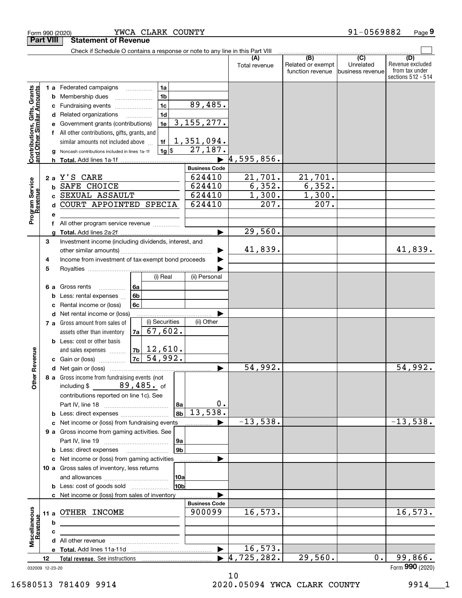|                                                           |                 | Check if Schedule O contains a response or note to any line in this Part VIII |                          |                |                      |               |                                       |                               |                                    |
|-----------------------------------------------------------|-----------------|-------------------------------------------------------------------------------|--------------------------|----------------|----------------------|---------------|---------------------------------------|-------------------------------|------------------------------------|
|                                                           |                 |                                                                               |                          |                |                      | (A)           | (B)                                   | (C)                           | (D)                                |
|                                                           |                 |                                                                               |                          |                |                      | Total revenue | Related or exempt<br>function revenue | Unrelated<br>business revenue | Revenue excluded<br>from tax under |
|                                                           |                 |                                                                               |                          |                |                      |               |                                       |                               | sections 512 - 514                 |
|                                                           |                 | 1 a Federated campaigns                                                       |                          | 1a             |                      |               |                                       |                               |                                    |
|                                                           |                 | <b>b</b> Membership dues                                                      |                          | 1 <sub>b</sub> |                      |               |                                       |                               |                                    |
|                                                           |                 | c Fundraising events                                                          |                          | 1 <sub>c</sub> | 89,485.              |               |                                       |                               |                                    |
|                                                           |                 | d Related organizations                                                       | $\overline{\phantom{a}}$ | 1 <sub>d</sub> |                      |               |                                       |                               |                                    |
|                                                           |                 | e Government grants (contributions)                                           |                          | 1e             | 3, 155, 277.         |               |                                       |                               |                                    |
|                                                           |                 | f All other contributions, gifts, grants, and                                 |                          |                |                      |               |                                       |                               |                                    |
|                                                           |                 | similar amounts not included above                                            |                          | 1f             | 1,351,094.           |               |                                       |                               |                                    |
|                                                           | g               | Noncash contributions included in lines 1a-1f                                 |                          | $1g$ \$        | 27,187.              |               |                                       |                               |                                    |
| Contributions, Gifts, Grants<br>and Other Similar Amounts |                 |                                                                               |                          |                |                      | 4,595,856.    |                                       |                               |                                    |
|                                                           |                 |                                                                               |                          |                | <b>Business Code</b> |               |                                       |                               |                                    |
|                                                           |                 | 2 a Y'S CARE                                                                  |                          |                | 624410               | 21,701.       | 21,701.                               |                               |                                    |
|                                                           | b               | SAFE CHOICE                                                                   |                          |                | 624410               | 6,352.        | 6,352.                                |                               |                                    |
| Program Service<br>Revenue                                | c.              | SEXUAL ASSAULT                                                                |                          |                | 624410               | 1,300.        | 1,300.                                |                               |                                    |
|                                                           | d               | COURT APPOINTED SPECIA                                                        |                          |                | 624410               | 207.          | 207.                                  |                               |                                    |
|                                                           | е               |                                                                               |                          |                |                      |               |                                       |                               |                                    |
|                                                           | f               | All other program service revenue                                             |                          |                |                      |               |                                       |                               |                                    |
|                                                           | a               |                                                                               |                          |                |                      | 29,560.       |                                       |                               |                                    |
|                                                           | 3               | Investment income (including dividends, interest, and                         |                          |                |                      |               |                                       |                               |                                    |
|                                                           |                 |                                                                               |                          |                |                      | 41,839.       |                                       |                               | 41,839.                            |
|                                                           | 4               | Income from investment of tax-exempt bond proceeds                            |                          |                |                      |               |                                       |                               |                                    |
|                                                           | 5               |                                                                               |                          |                |                      |               |                                       |                               |                                    |
|                                                           |                 |                                                                               |                          | (i) Real       | (ii) Personal        |               |                                       |                               |                                    |
|                                                           |                 | 6 a Gross rents<br>.                                                          | 6a                       |                |                      |               |                                       |                               |                                    |
|                                                           | b               | Less: rental expenses                                                         | 6b                       |                |                      |               |                                       |                               |                                    |
|                                                           | c               | Rental income or (loss)                                                       | 6c                       |                |                      |               |                                       |                               |                                    |
|                                                           |                 | d Net rental income or (loss)                                                 |                          |                |                      |               |                                       |                               |                                    |
|                                                           |                 | <b>7 a</b> Gross amount from sales of                                         |                          | (i) Securities | (ii) Other           |               |                                       |                               |                                    |
|                                                           |                 | assets other than inventory                                                   | 7al                      | 67,602.        |                      |               |                                       |                               |                                    |
|                                                           |                 | <b>b</b> Less: cost or other basis                                            |                          |                |                      |               |                                       |                               |                                    |
|                                                           |                 | and sales expenses                                                            |                          | $ 7b $ 12,610. |                      |               |                                       |                               |                                    |
|                                                           |                 | <b>c</b> Gain or (loss) $\ldots$                                              |                          | $7c$ 54,992.   |                      |               |                                       |                               |                                    |
|                                                           |                 |                                                                               |                          |                |                      | 54,992.       |                                       |                               | 54,992.                            |
| her Revenue                                               |                 | 8 a Gross income from fundraising events (not                                 |                          |                |                      |               |                                       |                               |                                    |
| 5                                                         |                 | including \$                                                                  |                          | $89,485$ . of  |                      |               |                                       |                               |                                    |
|                                                           |                 | contributions reported on line 1c). See                                       |                          |                |                      |               |                                       |                               |                                    |
|                                                           |                 |                                                                               |                          | 8a             | 0.                   |               |                                       |                               |                                    |
|                                                           | b               | Less: direct expenses                                                         |                          | 8b             | 13,538.              |               |                                       |                               |                                    |
|                                                           | с               | Net income or (loss) from fundraising events                                  |                          |                |                      | $-13,538.$    |                                       |                               | $-13,538.$                         |
|                                                           |                 | 9 a Gross income from gaming activities. See                                  |                          |                |                      |               |                                       |                               |                                    |
|                                                           |                 |                                                                               |                          | 9a             |                      |               |                                       |                               |                                    |
|                                                           | b               |                                                                               |                          | 9b             |                      |               |                                       |                               |                                    |
|                                                           | c               | Net income or (loss) from gaming activities                                   |                          |                |                      |               |                                       |                               |                                    |
|                                                           |                 | 10 a Gross sales of inventory, less returns                                   |                          |                |                      |               |                                       |                               |                                    |
|                                                           |                 |                                                                               |                          | 10a            |                      |               |                                       |                               |                                    |
|                                                           |                 | <b>b</b> Less: cost of goods sold                                             |                          | 10b            |                      |               |                                       |                               |                                    |
|                                                           |                 | c Net income or (loss) from sales of inventory.                               |                          |                |                      |               |                                       |                               |                                    |
|                                                           |                 |                                                                               |                          |                | <b>Business Code</b> |               |                                       |                               |                                    |
|                                                           | 11 a            | OTHER INCOME                                                                  |                          |                | 900099               | 16,573.       |                                       |                               | 16,573.                            |
| evenue                                                    | b               |                                                                               |                          |                |                      |               |                                       |                               |                                    |
|                                                           | c               |                                                                               |                          |                |                      |               |                                       |                               |                                    |
| Miscellaneous                                             |                 |                                                                               |                          |                |                      |               |                                       |                               |                                    |
|                                                           |                 |                                                                               |                          |                |                      | 16,573.       |                                       |                               |                                    |
|                                                           | 12              |                                                                               |                          |                |                      | 4,725,282.    | 29,560.                               | $0$ .                         | 99,866.                            |
|                                                           | 032009 12-23-20 |                                                                               |                          |                |                      |               |                                       |                               | Form 990 (2020)                    |

10 16580513 781409 9914 2020.05094 YWCA CLARK COUNTY 9914\_\_\_1

**Part VIII Statement of Revenue**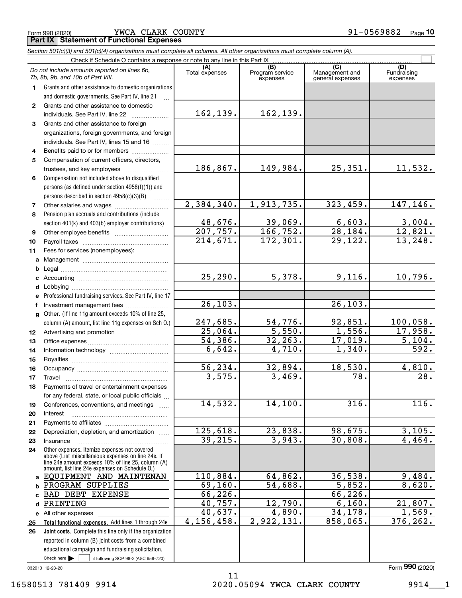Form 990 (2020) Page YWCA CLARK COUNTY 91-0569882 **Part IX Statement of Functional Expenses**

|              | Section 501(c)(3) and 501(c)(4) organizations must complete all columns. All other organizations must complete column (A).                                                                                 |                       |                                    |                                           |                                |
|--------------|------------------------------------------------------------------------------------------------------------------------------------------------------------------------------------------------------------|-----------------------|------------------------------------|-------------------------------------------|--------------------------------|
|              | Check if Schedule O contains a response or note to any line in this Part IX                                                                                                                                |                       |                                    |                                           |                                |
|              | Do not include amounts reported on lines 6b,<br>7b, 8b, 9b, and 10b of Part VIII.                                                                                                                          | (A)<br>Total expenses | (B)<br>Program service<br>expenses | (C)<br>Management and<br>general expenses | (D)<br>Fundraising<br>expenses |
| 1.           | Grants and other assistance to domestic organizations                                                                                                                                                      |                       |                                    |                                           |                                |
|              | and domestic governments. See Part IV, line 21                                                                                                                                                             |                       |                                    |                                           |                                |
| $\mathbf{2}$ | Grants and other assistance to domestic                                                                                                                                                                    |                       |                                    |                                           |                                |
|              | individuals. See Part IV, line 22                                                                                                                                                                          | 162, 139.             | 162,139.                           |                                           |                                |
| 3            | Grants and other assistance to foreign                                                                                                                                                                     |                       |                                    |                                           |                                |
|              | organizations, foreign governments, and foreign                                                                                                                                                            |                       |                                    |                                           |                                |
|              | individuals. See Part IV, lines 15 and 16                                                                                                                                                                  |                       |                                    |                                           |                                |
| 4            | Benefits paid to or for members                                                                                                                                                                            |                       |                                    |                                           |                                |
| 5            | Compensation of current officers, directors,                                                                                                                                                               |                       |                                    |                                           |                                |
|              | trustees, and key employees                                                                                                                                                                                | 186,867.              | 149,984.                           | 25, 351.                                  | 11,532.                        |
| 6            | Compensation not included above to disqualified                                                                                                                                                            |                       |                                    |                                           |                                |
|              | persons (as defined under section 4958(f)(1)) and                                                                                                                                                          |                       |                                    |                                           |                                |
|              | persons described in section 4958(c)(3)(B)                                                                                                                                                                 |                       |                                    |                                           |                                |
| 7            | Other salaries and wages                                                                                                                                                                                   | 2,384,340.            | 1,913,735.                         | 323,459.                                  | 147, 146.                      |
| 8            | Pension plan accruals and contributions (include                                                                                                                                                           |                       |                                    |                                           |                                |
|              | section 401(k) and 403(b) employer contributions)                                                                                                                                                          | 48,676.               | $\frac{39,069}{166,752}$           | 6,603.                                    | $\frac{3,004.12,821.}$         |
| 9            |                                                                                                                                                                                                            | $\overline{207,757.}$ |                                    | $\overline{28,184}$ .                     |                                |
| 10           |                                                                                                                                                                                                            | 214,671.              | 172, 301.                          | $\overline{29,122}$ .                     | 13,248.                        |
| 11           | Fees for services (nonemployees):                                                                                                                                                                          |                       |                                    |                                           |                                |
|              |                                                                                                                                                                                                            |                       |                                    |                                           |                                |
| b            |                                                                                                                                                                                                            |                       |                                    |                                           |                                |
|              |                                                                                                                                                                                                            | 25, 290.              | 5,378.                             | 9,116.                                    | 10,796.                        |
|              |                                                                                                                                                                                                            |                       |                                    |                                           |                                |
| е            | Professional fundraising services. See Part IV, line 17                                                                                                                                                    |                       |                                    |                                           |                                |
| f            | Investment management fees                                                                                                                                                                                 | 26, 103.              |                                    | 26, 103.                                  |                                |
|              | g Other. (If line 11g amount exceeds 10% of line 25,                                                                                                                                                       |                       |                                    |                                           |                                |
|              | column (A) amount, list line 11g expenses on Sch O.)                                                                                                                                                       | 247,685.              | 54,776.                            | 92,851.                                   | 100,058.                       |
| 12           |                                                                                                                                                                                                            | 25,064.               | $\overline{5,550}$ .               | 1,556.                                    | 17,958.                        |
| 13           |                                                                                                                                                                                                            | 54,386.               | 32, 263.                           | 17,019.                                   | 5,104.                         |
| 14           |                                                                                                                                                                                                            | 6,642.                | 4,710.                             | 1,340.                                    | 592.                           |
| 15           |                                                                                                                                                                                                            |                       |                                    |                                           |                                |
| 16           |                                                                                                                                                                                                            | 56, 234.              | 32,894.                            | 18,530.                                   | 4,810.                         |
| 17           |                                                                                                                                                                                                            | 3,575.                | 3,469.                             | $\overline{78}$ .                         | $\overline{28}$ .              |
| 18           | Payments of travel or entertainment expenses                                                                                                                                                               |                       |                                    |                                           |                                |
|              | for any federal, state, or local public officials                                                                                                                                                          |                       |                                    |                                           |                                |
| 19           | Conferences, conventions, and meetings                                                                                                                                                                     | 14,532.               | 14,100.                            | 316.                                      | 116.                           |
| 20           | Interest                                                                                                                                                                                                   |                       |                                    |                                           |                                |
| 21           |                                                                                                                                                                                                            |                       |                                    |                                           |                                |
| 22           | Depreciation, depletion, and amortization                                                                                                                                                                  | 125,618.<br>39,215.   | 23,838.<br>3,943.                  | 98,675.                                   | 3,105.                         |
| 23           | Insurance                                                                                                                                                                                                  |                       |                                    | 30,808.                                   | 4,464.                         |
| 24           | Other expenses. Itemize expenses not covered<br>above (List miscellaneous expenses on line 24e. If<br>line 24e amount exceeds 10% of line 25, column (A)<br>amount, list line 24e expenses on Schedule O.) |                       |                                    |                                           |                                |
|              | a EQUIPMENT AND MAINTENAN                                                                                                                                                                                  | 110,884.              | 64,862.                            | 36,538.                                   | 9,484.                         |
| b            | PROGRAM SUPPLIES                                                                                                                                                                                           | 69,160.               | 54,688.                            | 5,852.                                    | 8,620.                         |
| c.           | <b>BAD DEBT EXPENSE</b>                                                                                                                                                                                    | 66, 226.              |                                    | 66, 226.                                  |                                |
| d            | PRINTING                                                                                                                                                                                                   | 40,757.               | 12,790.                            | 6,160.                                    | 21,807.                        |
|              | e All other expenses                                                                                                                                                                                       | 40,637.               | 4,890.                             | 34,178.                                   | 1,569.                         |
| 25           | Total functional expenses. Add lines 1 through 24e                                                                                                                                                         | 4, 156, 458.          | 2,922,131.                         | 858,065.                                  | 376, 262.                      |
| 26           | Joint costs. Complete this line only if the organization                                                                                                                                                   |                       |                                    |                                           |                                |
|              | reported in column (B) joint costs from a combined                                                                                                                                                         |                       |                                    |                                           |                                |
|              | educational campaign and fundraising solicitation.                                                                                                                                                         |                       |                                    |                                           |                                |
|              | Check here $\blacktriangleright$  <br>if following SOP 98-2 (ASC 958-720)                                                                                                                                  |                       |                                    |                                           |                                |

032010 12-23-20

11 16580513 781409 9914 2020.05094 YWCA CLARK COUNTY 9914\_\_\_1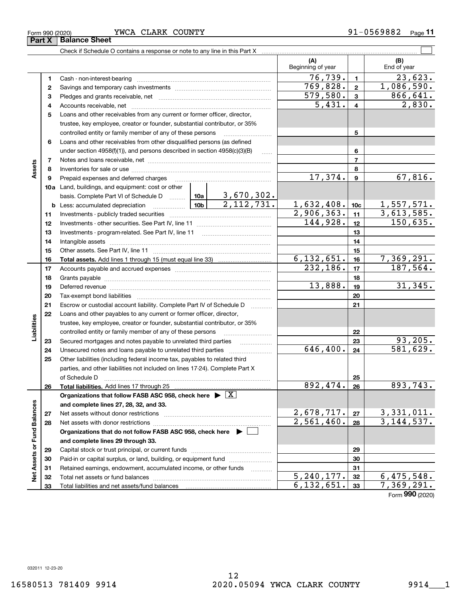# 12 16580513 781409 9914 2020.05094 YWCA CLARK COUNTY 9914\_\_\_1

|                             | Form 990 (2020)<br>Part X | YWCA CLARK COUNTY<br><b>Balance Sheet</b>                                                                                                | $91 - 0569882$ Page 11   |                 |                             |  |
|-----------------------------|---------------------------|------------------------------------------------------------------------------------------------------------------------------------------|--------------------------|-----------------|-----------------------------|--|
|                             |                           |                                                                                                                                          |                          |                 |                             |  |
|                             |                           |                                                                                                                                          |                          |                 |                             |  |
|                             |                           |                                                                                                                                          | (A)<br>Beginning of year |                 | (B)<br>End of year          |  |
|                             |                           | Cash - non-interest-bearing                                                                                                              | 76,739.                  | $\blacksquare$  | $\overline{23,623}$ .       |  |
|                             | 1<br>2                    |                                                                                                                                          | 769,828.                 | $\mathbf{2}$    | 1,086,590.                  |  |
|                             | з                         |                                                                                                                                          | 579,580.                 | $\mathbf{3}$    | 866,641.                    |  |
|                             | 4                         |                                                                                                                                          | 5,431.                   | $\overline{4}$  | $\overline{2,830}$ .        |  |
|                             | 5                         | Loans and other receivables from any current or former officer, director,                                                                |                          |                 |                             |  |
|                             |                           |                                                                                                                                          |                          |                 |                             |  |
|                             |                           | trustee, key employee, creator or founder, substantial contributor, or 35%<br>controlled entity or family member of any of these persons |                          | 5               |                             |  |
|                             | 6                         |                                                                                                                                          |                          |                 |                             |  |
|                             |                           | Loans and other receivables from other disqualified persons (as defined                                                                  |                          | 6               |                             |  |
| Assets                      | 7                         | under section $4958(f)(1)$ , and persons described in section $4958(c)(3)(B)$<br>$\ldots$                                                |                          | $\overline{7}$  |                             |  |
|                             | 8                         |                                                                                                                                          |                          | 8               |                             |  |
|                             | 9                         | Prepaid expenses and deferred charges [11] [11] [11] [12] [12] [12] [12] [13] [13] [13] [13] [13] [13] [13] [1                           | 17,374.                  | 9               | 67,816.                     |  |
|                             |                           | 10a Land, buildings, and equipment: cost or other                                                                                        |                          |                 |                             |  |
|                             |                           | $3,670,302$ .<br>basis. Complete Part VI of Schedule D  10a                                                                              |                          |                 |                             |  |
|                             |                           | 2,112,731.                                                                                                                               | 1,632,408.               | 10 <sub>c</sub> | 1,557,571.                  |  |
|                             | 11                        |                                                                                                                                          | 2,906,363.               | 11              | 3,613,585.                  |  |
|                             | 12                        |                                                                                                                                          | 144,928.                 | 12              | 150,635.                    |  |
|                             | 13                        |                                                                                                                                          |                          | 13              |                             |  |
|                             | 14                        |                                                                                                                                          |                          | 14              |                             |  |
|                             | 15                        |                                                                                                                                          |                          | 15              |                             |  |
|                             | 16                        |                                                                                                                                          | 6, 132, 651.             | 16              | 7,369,291.                  |  |
|                             | 17                        |                                                                                                                                          | 232,186.                 | 17              | 187,564.                    |  |
|                             | 18                        |                                                                                                                                          |                          | 18              |                             |  |
|                             | 19                        | Deferred revenue imminimum contracts and the contracts of the contracts and the contracts of the contracts of                            | 13,888.                  | 19              | 31,345.                     |  |
|                             | 20                        |                                                                                                                                          |                          | 20              |                             |  |
|                             | 21                        | Escrow or custodial account liability. Complete Part IV of Schedule D                                                                    |                          | 21              |                             |  |
|                             | 22                        | Loans and other payables to any current or former officer, director,                                                                     |                          |                 |                             |  |
|                             |                           | trustee, key employee, creator or founder, substantial contributor, or 35%                                                               |                          |                 |                             |  |
| Liabilities                 |                           | controlled entity or family member of any of these persons                                                                               |                          | 22              |                             |  |
|                             | 23                        | Secured mortgages and notes payable to unrelated third parties                                                                           |                          | 23              | 93,205.                     |  |
|                             | 24                        | Unsecured notes and loans payable to unrelated third parties                                                                             | 646,400.                 | 24              | $\overline{581,629}$ .      |  |
|                             | 25                        | Other liabilities (including federal income tax, payables to related third                                                               |                          |                 |                             |  |
|                             |                           | parties, and other liabilities not included on lines 17-24). Complete Part X                                                             |                          |                 |                             |  |
|                             |                           | of Schedule D                                                                                                                            |                          | 25              |                             |  |
|                             | 26                        |                                                                                                                                          | 892,474.                 | 26              | 893,743.                    |  |
|                             |                           | Organizations that follow FASB ASC 958, check here $\blacktriangleright \boxed{X}$                                                       |                          |                 |                             |  |
|                             |                           | and complete lines 27, 28, 32, and 33.                                                                                                   |                          |                 |                             |  |
|                             | 27                        | Net assets without donor restrictions                                                                                                    | 2,678,717.               | 27              | $3,331,011$ .<br>3,144,537. |  |
|                             | 28                        |                                                                                                                                          | 2,561,460.               | 28              |                             |  |
| Net Assets or Fund Balances |                           | Organizations that do not follow FASB ASC 958, check here $\blacktriangleright$                                                          |                          |                 |                             |  |
|                             |                           | and complete lines 29 through 33.                                                                                                        |                          |                 |                             |  |
|                             | 29                        |                                                                                                                                          |                          | 29              |                             |  |
|                             | 30                        | Paid-in or capital surplus, or land, building, or equipment fund                                                                         |                          | 30              |                             |  |
|                             | 31                        | Retained earnings, endowment, accumulated income, or other funds                                                                         |                          | 31              |                             |  |
|                             | 32                        |                                                                                                                                          | $\overline{5,240,177}$ . | 32              | 6,475,548.                  |  |
|                             | 33                        |                                                                                                                                          | 6, 132, 651.             | 33              | 7,369,291.                  |  |

Form (2020) **990**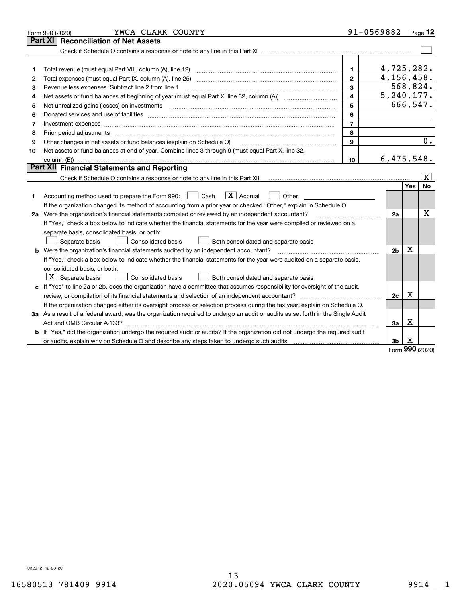|    | YWCA CLARK COUNTY<br>Form 990 (2020)                                                                                                                                                                                           |                | 91-0569882     |             | Page $12$ |
|----|--------------------------------------------------------------------------------------------------------------------------------------------------------------------------------------------------------------------------------|----------------|----------------|-------------|-----------|
|    | <b>Part XI   Reconciliation of Net Assets</b>                                                                                                                                                                                  |                |                |             |           |
|    |                                                                                                                                                                                                                                |                |                |             |           |
|    |                                                                                                                                                                                                                                |                |                |             |           |
| 1  | Total revenue (must equal Part VIII, column (A), line 12)                                                                                                                                                                      | 1.             | 4,725,282.     |             |           |
| 2  |                                                                                                                                                                                                                                | $\mathbf{2}$   | 4, 156, 458.   |             |           |
| з  | Revenue less expenses. Subtract line 2 from line 1                                                                                                                                                                             | 3              |                |             | 568,824.  |
| 4  |                                                                                                                                                                                                                                | 4              | 5, 240, 177.   |             |           |
| 5  | Net unrealized gains (losses) on investments                                                                                                                                                                                   | 5              |                |             | 666,547.  |
| 6  | Donated services and use of facilities [111] Donated and the service of facilities [11] Donated services and use of facilities [11] Donated and the service of the service of the service of the service of the service of the | 6              |                |             |           |
| 7  | Investment expenses www.communication.communication.com/www.communication.com/www.communication.com                                                                                                                            | $\overline{7}$ |                |             |           |
| 8  | Prior period adjustments www.communication.communication.com/news/communication.com/news/communication.com/new                                                                                                                 | 8              |                |             |           |
| 9  | Other changes in net assets or fund balances (explain on Schedule O)                                                                                                                                                           | 9              |                |             | 0.        |
| 10 | Net assets or fund balances at end of year. Combine lines 3 through 9 (must equal Part X, line 32,                                                                                                                             |                |                |             |           |
|    | column (B))                                                                                                                                                                                                                    | 10             | 6,475,548.     |             |           |
|    | Part XII Financial Statements and Reporting                                                                                                                                                                                    |                |                |             |           |
|    |                                                                                                                                                                                                                                |                |                |             | x         |
|    |                                                                                                                                                                                                                                |                |                | Yes         | No        |
| 1  | $ X $ Accrual<br>Accounting method used to prepare the Form 990: <u>I</u> Cash<br>Other                                                                                                                                        |                |                |             |           |
|    | If the organization changed its method of accounting from a prior year or checked "Other," explain in Schedule O.                                                                                                              |                |                |             |           |
|    | 2a Were the organization's financial statements compiled or reviewed by an independent accountant?                                                                                                                             |                | 2a             |             | Х         |
|    | If "Yes," check a box below to indicate whether the financial statements for the year were compiled or reviewed on a                                                                                                           |                |                |             |           |
|    | separate basis, consolidated basis, or both:                                                                                                                                                                                   |                |                |             |           |
|    | Separate basis<br>Both consolidated and separate basis<br>Consolidated basis                                                                                                                                                   |                |                |             |           |
|    | <b>b</b> Were the organization's financial statements audited by an independent accountant?                                                                                                                                    |                | 2 <sub>b</sub> | x           |           |
|    | If "Yes," check a box below to indicate whether the financial statements for the year were audited on a separate basis,                                                                                                        |                |                |             |           |
|    | consolidated basis, or both:                                                                                                                                                                                                   |                |                |             |           |
|    | $\vert X \vert$ Separate basis<br>Consolidated basis<br>Both consolidated and separate basis                                                                                                                                   |                |                |             |           |
|    | c If "Yes" to line 2a or 2b, does the organization have a committee that assumes responsibility for oversight of the audit,                                                                                                    |                |                |             |           |
|    |                                                                                                                                                                                                                                |                | 2c             | х           |           |
|    | If the organization changed either its oversight process or selection process during the tax year, explain on Schedule O.                                                                                                      |                |                |             |           |
|    | 3a As a result of a federal award, was the organization required to undergo an audit or audits as set forth in the Single Audit                                                                                                |                |                |             |           |
|    |                                                                                                                                                                                                                                |                | 3a             | х           |           |
|    | b If "Yes," did the organization undergo the required audit or audits? If the organization did not undergo the required audit                                                                                                  |                |                |             |           |
|    | or audits, explain why on Schedule O and describe any steps taken to undergo such audits [11] contains the school of audits [11] or audits [11] or audits [11] or audits [11] or audits [11] or audits [11] or audits [11] or  |                | 3b             | х<br>$\sim$ |           |

Form (2020) **990**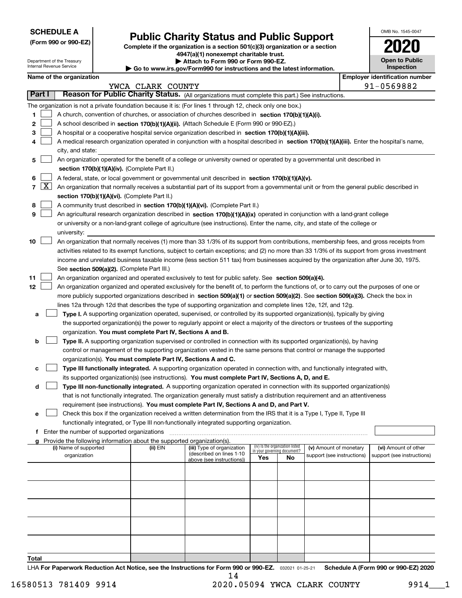| <b>SCHEDULE A</b> |  |
|-------------------|--|
|-------------------|--|

Department of the Treasury Internal Revenue Service

| (Form 990 or 990-EZ) |  |  |  |  |
|----------------------|--|--|--|--|
|----------------------|--|--|--|--|

# **Public Charity Status and Public Support**

**Complete if the organization is a section 501(c)(3) organization or a section 4947(a)(1) nonexempt charitable trust.**

|  | Attach to Form 990 or Form 990-EZ. |  |  |  |  |  |
|--|------------------------------------|--|--|--|--|--|
|  |                                    |  |  |  |  |  |

**| Go to www.irs.gov/Form990 for instructions and the latest information.**

| OMB No. 1545-0047     |
|-----------------------|
| 2020                  |
| <b>Open to Public</b> |

|  | <b>Inspection</b> |  |
|--|-------------------|--|
|  |                   |  |

|                |                     | Name of the organization                                                                                                                     |                   |                                                       |                             |                                 |                            |  | <b>Employer identification number</b> |  |  |  |  |
|----------------|---------------------|----------------------------------------------------------------------------------------------------------------------------------------------|-------------------|-------------------------------------------------------|-----------------------------|---------------------------------|----------------------------|--|---------------------------------------|--|--|--|--|
| Part I         |                     | Reason for Public Charity Status. (All organizations must complete this part.) See instructions.                                             | YWCA CLARK COUNTY |                                                       |                             |                                 |                            |  | 91-0569882                            |  |  |  |  |
|                |                     |                                                                                                                                              |                   |                                                       |                             |                                 |                            |  |                                       |  |  |  |  |
|                |                     | The organization is not a private foundation because it is: (For lines 1 through 12, check only one box.)                                    |                   |                                                       |                             |                                 |                            |  |                                       |  |  |  |  |
| 1              |                     | A church, convention of churches, or association of churches described in section 170(b)(1)(A)(i).                                           |                   |                                                       |                             |                                 |                            |  |                                       |  |  |  |  |
| 2              |                     | A school described in section 170(b)(1)(A)(ii). (Attach Schedule E (Form 990 or 990-EZ).)                                                    |                   |                                                       |                             |                                 |                            |  |                                       |  |  |  |  |
| з              |                     | A hospital or a cooperative hospital service organization described in section $170(b)(1)(A)(iii)$ .                                         |                   |                                                       |                             |                                 |                            |  |                                       |  |  |  |  |
| 4              |                     | A medical research organization operated in conjunction with a hospital described in section 170(b)(1)(A)(iii). Enter the hospital's name,   |                   |                                                       |                             |                                 |                            |  |                                       |  |  |  |  |
|                |                     | city, and state:                                                                                                                             |                   |                                                       |                             |                                 |                            |  |                                       |  |  |  |  |
| 5              |                     | An organization operated for the benefit of a college or university owned or operated by a governmental unit described in                    |                   |                                                       |                             |                                 |                            |  |                                       |  |  |  |  |
|                |                     | section 170(b)(1)(A)(iv). (Complete Part II.)                                                                                                |                   |                                                       |                             |                                 |                            |  |                                       |  |  |  |  |
| 6              |                     | A federal, state, or local government or governmental unit described in section 170(b)(1)(A)(v).                                             |                   |                                                       |                             |                                 |                            |  |                                       |  |  |  |  |
| $\overline{7}$ | $\lfloor x \rfloor$ | An organization that normally receives a substantial part of its support from a governmental unit or from the general public described in    |                   |                                                       |                             |                                 |                            |  |                                       |  |  |  |  |
|                |                     | section 170(b)(1)(A)(vi). (Complete Part II.)                                                                                                |                   |                                                       |                             |                                 |                            |  |                                       |  |  |  |  |
| 8              |                     | A community trust described in section 170(b)(1)(A)(vi). (Complete Part II.)                                                                 |                   |                                                       |                             |                                 |                            |  |                                       |  |  |  |  |
| 9              |                     | An agricultural research organization described in section 170(b)(1)(A)(ix) operated in conjunction with a land-grant college                |                   |                                                       |                             |                                 |                            |  |                                       |  |  |  |  |
|                |                     | or university or a non-land-grant college of agriculture (see instructions). Enter the name, city, and state of the college or               |                   |                                                       |                             |                                 |                            |  |                                       |  |  |  |  |
|                |                     | university:                                                                                                                                  |                   |                                                       |                             |                                 |                            |  |                                       |  |  |  |  |
| 10             |                     | An organization that normally receives (1) more than 33 1/3% of its support from contributions, membership fees, and gross receipts from     |                   |                                                       |                             |                                 |                            |  |                                       |  |  |  |  |
|                |                     | activities related to its exempt functions, subject to certain exceptions; and (2) no more than 33 1/3% of its support from gross investment |                   |                                                       |                             |                                 |                            |  |                                       |  |  |  |  |
|                |                     | income and unrelated business taxable income (less section 511 tax) from businesses acquired by the organization after June 30, 1975.        |                   |                                                       |                             |                                 |                            |  |                                       |  |  |  |  |
|                |                     | See section 509(a)(2). (Complete Part III.)                                                                                                  |                   |                                                       |                             |                                 |                            |  |                                       |  |  |  |  |
| 11             |                     | An organization organized and operated exclusively to test for public safety. See section 509(a)(4).                                         |                   |                                                       |                             |                                 |                            |  |                                       |  |  |  |  |
| 12             |                     | An organization organized and operated exclusively for the benefit of, to perform the functions of, or to carry out the purposes of one or   |                   |                                                       |                             |                                 |                            |  |                                       |  |  |  |  |
|                |                     | more publicly supported organizations described in section 509(a)(1) or section 509(a)(2). See section 509(a)(3). Check the box in           |                   |                                                       |                             |                                 |                            |  |                                       |  |  |  |  |
|                |                     | lines 12a through 12d that describes the type of supporting organization and complete lines 12e, 12f, and 12g.                               |                   |                                                       |                             |                                 |                            |  |                                       |  |  |  |  |
| a              |                     | Type I. A supporting organization operated, supervised, or controlled by its supported organization(s), typically by giving                  |                   |                                                       |                             |                                 |                            |  |                                       |  |  |  |  |
|                |                     | the supported organization(s) the power to regularly appoint or elect a majority of the directors or trustees of the supporting              |                   |                                                       |                             |                                 |                            |  |                                       |  |  |  |  |
|                |                     | organization. You must complete Part IV, Sections A and B.                                                                                   |                   |                                                       |                             |                                 |                            |  |                                       |  |  |  |  |
| b              |                     | Type II. A supporting organization supervised or controlled in connection with its supported organization(s), by having                      |                   |                                                       |                             |                                 |                            |  |                                       |  |  |  |  |
|                |                     | control or management of the supporting organization vested in the same persons that control or manage the supported                         |                   |                                                       |                             |                                 |                            |  |                                       |  |  |  |  |
|                |                     | organization(s). You must complete Part IV, Sections A and C.                                                                                |                   |                                                       |                             |                                 |                            |  |                                       |  |  |  |  |
| с              |                     | Type III functionally integrated. A supporting organization operated in connection with, and functionally integrated with,                   |                   |                                                       |                             |                                 |                            |  |                                       |  |  |  |  |
|                |                     | its supported organization(s) (see instructions). You must complete Part IV, Sections A, D, and E.                                           |                   |                                                       |                             |                                 |                            |  |                                       |  |  |  |  |
| d              |                     | Type III non-functionally integrated. A supporting organization operated in connection with its supported organization(s)                    |                   |                                                       |                             |                                 |                            |  |                                       |  |  |  |  |
|                |                     | that is not functionally integrated. The organization generally must satisfy a distribution requirement and an attentiveness                 |                   |                                                       |                             |                                 |                            |  |                                       |  |  |  |  |
|                |                     | requirement (see instructions). You must complete Part IV, Sections A and D, and Part V.                                                     |                   |                                                       |                             |                                 |                            |  |                                       |  |  |  |  |
|                |                     | Check this box if the organization received a written determination from the IRS that it is a Type I, Type II, Type III                      |                   |                                                       |                             |                                 |                            |  |                                       |  |  |  |  |
|                |                     | functionally integrated, or Type III non-functionally integrated supporting organization.<br>f Enter the number of supported organizations   |                   |                                                       |                             |                                 |                            |  |                                       |  |  |  |  |
|                |                     | g Provide the following information about the supported organization(s).                                                                     |                   |                                                       |                             |                                 |                            |  |                                       |  |  |  |  |
|                |                     | (i) Name of supported                                                                                                                        | (ii) EIN          | (iii) Type of organization                            | in your governing document? | (iv) Is the organization listed | (v) Amount of monetary     |  | (vi) Amount of other                  |  |  |  |  |
|                |                     | organization                                                                                                                                 |                   | (described on lines 1-10<br>above (see instructions)) | Yes                         | No                              | support (see instructions) |  | support (see instructions)            |  |  |  |  |
|                |                     |                                                                                                                                              |                   |                                                       |                             |                                 |                            |  |                                       |  |  |  |  |
|                |                     |                                                                                                                                              |                   |                                                       |                             |                                 |                            |  |                                       |  |  |  |  |
|                |                     |                                                                                                                                              |                   |                                                       |                             |                                 |                            |  |                                       |  |  |  |  |
|                |                     |                                                                                                                                              |                   |                                                       |                             |                                 |                            |  |                                       |  |  |  |  |
|                |                     |                                                                                                                                              |                   |                                                       |                             |                                 |                            |  |                                       |  |  |  |  |
|                |                     |                                                                                                                                              |                   |                                                       |                             |                                 |                            |  |                                       |  |  |  |  |
|                |                     |                                                                                                                                              |                   |                                                       |                             |                                 |                            |  |                                       |  |  |  |  |
|                |                     |                                                                                                                                              |                   |                                                       |                             |                                 |                            |  |                                       |  |  |  |  |
|                |                     |                                                                                                                                              |                   |                                                       |                             |                                 |                            |  |                                       |  |  |  |  |
|                |                     |                                                                                                                                              |                   |                                                       |                             |                                 |                            |  |                                       |  |  |  |  |
| Total          |                     |                                                                                                                                              |                   |                                                       |                             |                                 |                            |  |                                       |  |  |  |  |

LHA For Paperwork Reduction Act Notice, see the Instructions for Form 990 or 990-EZ. <sub>032021</sub> o1-25-21 Schedule A (Form 990 or 990-EZ) 2020 14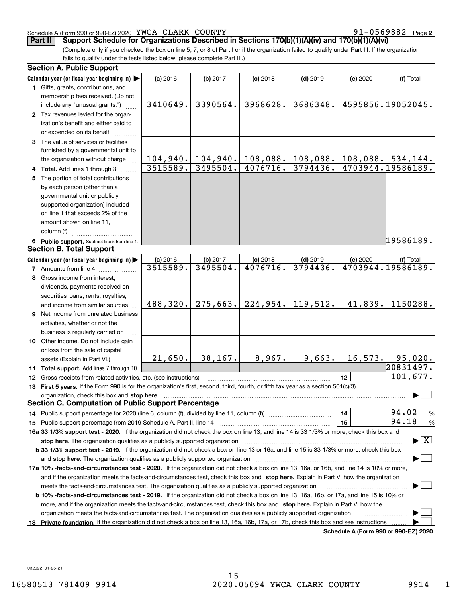#### Schedule A (Form 990 or 990-EZ) 2020 Page YWCA CLARK COUNTY 91-0569882

**2**

**Part II Support Schedule for Organizations Described in Sections 170(b)(1)(A)(iv) and 170(b)(1)(A)(vi)**

(Complete only if you checked the box on line 5, 7, or 8 of Part I or if the organization failed to qualify under Part III. If the organization fails to qualify under the tests listed below, please complete Part III.)

|   | <b>Section A. Public Support</b>                                                                                                                                                                                               |                      |                      |                                 |                        |          |                                          |
|---|--------------------------------------------------------------------------------------------------------------------------------------------------------------------------------------------------------------------------------|----------------------|----------------------|---------------------------------|------------------------|----------|------------------------------------------|
|   | Calendar year (or fiscal year beginning in)                                                                                                                                                                                    | (a) 2016             | $(b)$ 2017           | $(c)$ 2018                      | $(d)$ 2019             | (e) 2020 | (f) Total                                |
|   | 1 Gifts, grants, contributions, and                                                                                                                                                                                            |                      |                      |                                 |                        |          |                                          |
|   | membership fees received. (Do not                                                                                                                                                                                              |                      |                      |                                 |                        |          |                                          |
|   | include any "unusual grants.")                                                                                                                                                                                                 | 3410649.             | 3390564.             | 3968628.                        | 3686348.               |          | 4595856.19052045.                        |
|   | 2 Tax revenues levied for the organ-                                                                                                                                                                                           |                      |                      |                                 |                        |          |                                          |
|   | ization's benefit and either paid to                                                                                                                                                                                           |                      |                      |                                 |                        |          |                                          |
|   | or expended on its behalf                                                                                                                                                                                                      |                      |                      |                                 |                        |          |                                          |
|   | 3 The value of services or facilities                                                                                                                                                                                          |                      |                      |                                 |                        |          |                                          |
|   | furnished by a governmental unit to                                                                                                                                                                                            |                      |                      |                                 |                        |          |                                          |
|   | the organization without charge                                                                                                                                                                                                |                      |                      | $104, 940.$ 104, 940. 108, 088. | 108,088.               |          | $108,088.$ 534, 144.                     |
|   | 4 Total. Add lines 1 through 3                                                                                                                                                                                                 | 3515589.             | 3495504.             | 4076716.                        | 3794436.               |          | 4703944.19586189.                        |
| 5 | The portion of total contributions                                                                                                                                                                                             |                      |                      |                                 |                        |          |                                          |
|   | by each person (other than a                                                                                                                                                                                                   |                      |                      |                                 |                        |          |                                          |
|   | governmental unit or publicly                                                                                                                                                                                                  |                      |                      |                                 |                        |          |                                          |
|   | supported organization) included                                                                                                                                                                                               |                      |                      |                                 |                        |          |                                          |
|   | on line 1 that exceeds 2% of the                                                                                                                                                                                               |                      |                      |                                 |                        |          |                                          |
|   | amount shown on line 11,                                                                                                                                                                                                       |                      |                      |                                 |                        |          |                                          |
|   | column (f)                                                                                                                                                                                                                     |                      |                      |                                 |                        |          |                                          |
|   |                                                                                                                                                                                                                                |                      |                      |                                 |                        |          | 19586189.                                |
|   | 6 Public support. Subtract line 5 from line 4.<br><b>Section B. Total Support</b>                                                                                                                                              |                      |                      |                                 |                        |          |                                          |
|   |                                                                                                                                                                                                                                |                      |                      |                                 |                        |          |                                          |
|   | Calendar year (or fiscal year beginning in)                                                                                                                                                                                    | (a) 2016<br>3515589. | (b) 2017<br>3495504. | $(c)$ 2018<br>4076716.          | $(d)$ 2019<br>3794436. | (e) 2020 | (f) Total<br>4703944.19586189.           |
|   | <b>7</b> Amounts from line 4                                                                                                                                                                                                   |                      |                      |                                 |                        |          |                                          |
|   | 8 Gross income from interest,                                                                                                                                                                                                  |                      |                      |                                 |                        |          |                                          |
|   | dividends, payments received on                                                                                                                                                                                                |                      |                      |                                 |                        |          |                                          |
|   | securities loans, rents, royalties,                                                                                                                                                                                            |                      |                      |                                 |                        |          |                                          |
|   | and income from similar sources                                                                                                                                                                                                | 488,320.             | 275,663.             | 224,954.                        | 119,512.               | 41,839.  | 1150288.                                 |
|   | 9 Net income from unrelated business                                                                                                                                                                                           |                      |                      |                                 |                        |          |                                          |
|   | activities, whether or not the                                                                                                                                                                                                 |                      |                      |                                 |                        |          |                                          |
|   | business is regularly carried on                                                                                                                                                                                               |                      |                      |                                 |                        |          |                                          |
|   | 10 Other income. Do not include gain                                                                                                                                                                                           |                      |                      |                                 |                        |          |                                          |
|   | or loss from the sale of capital                                                                                                                                                                                               |                      |                      |                                 |                        |          |                                          |
|   | assets (Explain in Part VI.)                                                                                                                                                                                                   | 21,650.              | 38, 167.             | 8,967.                          | 9,663.                 | 16,573.  | 95,020.                                  |
|   | 11 Total support. Add lines 7 through 10                                                                                                                                                                                       |                      |                      |                                 |                        |          | 20831497.                                |
|   | <b>12</b> Gross receipts from related activities, etc. (see instructions)                                                                                                                                                      |                      |                      |                                 |                        | 12       | 101,677.                                 |
|   | 13 First 5 years. If the Form 990 is for the organization's first, second, third, fourth, or fifth tax year as a section 501(c)(3)                                                                                             |                      |                      |                                 |                        |          |                                          |
|   | organization, check this box and stop here manufactured and according to the state of the state of the state of the state of the state of the state of the state of the state of the state of the state of the state of the st |                      |                      |                                 |                        |          |                                          |
|   | <b>Section C. Computation of Public Support Percentage</b>                                                                                                                                                                     |                      |                      |                                 |                        |          |                                          |
|   | 14 Public support percentage for 2020 (line 6, column (f), divided by line 11, column (f) <i>mummumumum</i>                                                                                                                    |                      |                      |                                 |                        | 14       | 94.02<br>%                               |
|   |                                                                                                                                                                                                                                |                      |                      |                                 |                        | 15       | 94.18<br>$\%$                            |
|   | 16a 33 1/3% support test - 2020. If the organization did not check the box on line 13, and line 14 is 33 1/3% or more, check this box and                                                                                      |                      |                      |                                 |                        |          |                                          |
|   | stop here. The organization qualifies as a publicly supported organization                                                                                                                                                     |                      |                      |                                 |                        |          | $\blacktriangleright$ $\boxed{\text{X}}$ |
|   | b 33 1/3% support test - 2019. If the organization did not check a box on line 13 or 16a, and line 15 is 33 1/3% or more, check this box                                                                                       |                      |                      |                                 |                        |          |                                          |
|   | and stop here. The organization qualifies as a publicly supported organization                                                                                                                                                 |                      |                      |                                 |                        |          |                                          |
|   | 17a 10% -facts-and-circumstances test - 2020. If the organization did not check a box on line 13, 16a, or 16b, and line 14 is 10% or more,                                                                                     |                      |                      |                                 |                        |          |                                          |
|   | and if the organization meets the facts-and-circumstances test, check this box and stop here. Explain in Part VI how the organization                                                                                          |                      |                      |                                 |                        |          |                                          |
|   | meets the facts-and-circumstances test. The organization qualifies as a publicly supported organization                                                                                                                        |                      |                      |                                 |                        |          |                                          |
|   | <b>b 10% -facts-and-circumstances test - 2019.</b> If the organization did not check a box on line 13, 16a, 16b, or 17a, and line 15 is 10% or                                                                                 |                      |                      |                                 |                        |          |                                          |
|   | more, and if the organization meets the facts-and-circumstances test, check this box and stop here. Explain in Part VI how the                                                                                                 |                      |                      |                                 |                        |          |                                          |
|   | organization meets the facts-and-circumstances test. The organization qualifies as a publicly supported organization                                                                                                           |                      |                      |                                 |                        |          |                                          |
|   | 18 Private foundation. If the organization did not check a box on line 13, 16a, 16b, 17a, or 17b, check this box and see instructions                                                                                          |                      |                      |                                 |                        |          |                                          |
|   |                                                                                                                                                                                                                                |                      |                      |                                 |                        |          | Schedule A (Form 990 or 990-F7) 2020     |

**Schedule A (Form 990 or 990-EZ) 2020**

032022 01-25-21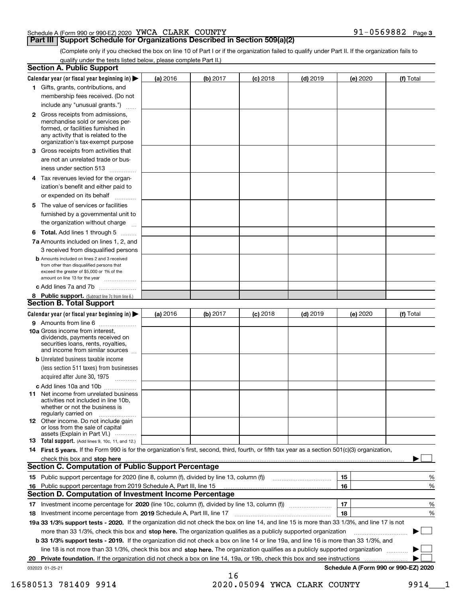#### Schedule A (Form 990 or 990-EZ) 2020 Page YWCA CLARK COUNTY 91-0569882

#### **Part III** | Support Schedule for Organizations Described in Section 509(a)(2)

**3**

(Complete only if you checked the box on line 10 of Part I or if the organization failed to qualify under Part II. If the organization fails to qualify under the tests listed below, please complete Part II.)

| <b>Section A. Public Support</b>                                                                                                                                                                                                                               |          |          |            |            |          |                                      |  |
|----------------------------------------------------------------------------------------------------------------------------------------------------------------------------------------------------------------------------------------------------------------|----------|----------|------------|------------|----------|--------------------------------------|--|
| Calendar year (or fiscal year beginning in) $\blacktriangleright$                                                                                                                                                                                              | (a) 2016 | (b) 2017 | $(c)$ 2018 | $(d)$ 2019 | (e) 2020 | (f) Total                            |  |
| 1 Gifts, grants, contributions, and                                                                                                                                                                                                                            |          |          |            |            |          |                                      |  |
| membership fees received. (Do not                                                                                                                                                                                                                              |          |          |            |            |          |                                      |  |
| include any "unusual grants.")                                                                                                                                                                                                                                 |          |          |            |            |          |                                      |  |
| 2 Gross receipts from admissions,<br>merchandise sold or services per-<br>formed, or facilities furnished in<br>any activity that is related to the<br>organization's tax-exempt purpose                                                                       |          |          |            |            |          |                                      |  |
| 3 Gross receipts from activities that                                                                                                                                                                                                                          |          |          |            |            |          |                                      |  |
| are not an unrelated trade or bus-<br>iness under section 513                                                                                                                                                                                                  |          |          |            |            |          |                                      |  |
| 4 Tax revenues levied for the organ-                                                                                                                                                                                                                           |          |          |            |            |          |                                      |  |
| ization's benefit and either paid to<br>or expended on its behalf<br>.                                                                                                                                                                                         |          |          |            |            |          |                                      |  |
| 5 The value of services or facilities                                                                                                                                                                                                                          |          |          |            |            |          |                                      |  |
| furnished by a governmental unit to                                                                                                                                                                                                                            |          |          |            |            |          |                                      |  |
| the organization without charge                                                                                                                                                                                                                                |          |          |            |            |          |                                      |  |
| <b>6 Total.</b> Add lines 1 through 5                                                                                                                                                                                                                          |          |          |            |            |          |                                      |  |
| 7a Amounts included on lines 1, 2, and<br>3 received from disqualified persons                                                                                                                                                                                 |          |          |            |            |          |                                      |  |
| <b>b</b> Amounts included on lines 2 and 3 received<br>from other than disqualified persons that<br>exceed the greater of \$5,000 or 1% of the<br>amount on line 13 for the year                                                                               |          |          |            |            |          |                                      |  |
| c Add lines 7a and 7b                                                                                                                                                                                                                                          |          |          |            |            |          |                                      |  |
| 8 Public support. (Subtract line 7c from line 6.)<br><b>Section B. Total Support</b>                                                                                                                                                                           |          |          |            |            |          |                                      |  |
| Calendar year (or fiscal year beginning in) $\blacktriangleright$                                                                                                                                                                                              | (a) 2016 | (b) 2017 | $(c)$ 2018 | $(d)$ 2019 | (e) 2020 | (f) Total                            |  |
| 9 Amounts from line 6                                                                                                                                                                                                                                          |          |          |            |            |          |                                      |  |
| 10a Gross income from interest,<br>dividends, payments received on<br>securities loans, rents, royalties,<br>and income from similar sources                                                                                                                   |          |          |            |            |          |                                      |  |
| <b>b</b> Unrelated business taxable income                                                                                                                                                                                                                     |          |          |            |            |          |                                      |  |
| (less section 511 taxes) from businesses                                                                                                                                                                                                                       |          |          |            |            |          |                                      |  |
| acquired after June 30, 1975<br>1.1.1.1.1.1.1.1.1.1                                                                                                                                                                                                            |          |          |            |            |          |                                      |  |
| c Add lines 10a and 10b                                                                                                                                                                                                                                        |          |          |            |            |          |                                      |  |
| <b>11</b> Net income from unrelated business<br>activities not included in line 10b.<br>whether or not the business is<br>regularly carried on                                                                                                                 |          |          |            |            |          |                                      |  |
| <b>12</b> Other income. Do not include gain<br>or loss from the sale of capital<br>assets (Explain in Part VI.)                                                                                                                                                |          |          |            |            |          |                                      |  |
| <b>13</b> Total support. (Add lines 9, 10c, 11, and 12.)                                                                                                                                                                                                       |          |          |            |            |          |                                      |  |
| 14 First 5 years. If the Form 990 is for the organization's first, second, third, fourth, or fifth tax year as a section 501(c)(3) organization,                                                                                                               |          |          |            |            |          |                                      |  |
| check this box and stop here <b>contractly contractly and structure and stop here</b> check this box and stop here <b>contractly and stop here contractly</b><br><b>Section C. Computation of Public Support Percentage</b>                                    |          |          |            |            |          |                                      |  |
|                                                                                                                                                                                                                                                                |          |          |            |            | 15       | %                                    |  |
| 16 Public support percentage from 2019 Schedule A, Part III, line 15                                                                                                                                                                                           |          |          |            |            | 16       | %                                    |  |
| <b>Section D. Computation of Investment Income Percentage</b>                                                                                                                                                                                                  |          |          |            |            |          |                                      |  |
| 17 Investment income percentage for 2020 (line 10c, column (f), divided by line 13, column (f))<br>18 Investment income percentage from 2019 Schedule A, Part III, line 17                                                                                     |          |          |            |            | 17<br>18 | %<br>%                               |  |
| 19a 33 1/3% support tests - 2020. If the organization did not check the box on line 14, and line 15 is more than 33 1/3%, and line 17 is not                                                                                                                   |          |          |            |            |          |                                      |  |
| more than 33 1/3%, check this box and stop here. The organization qualifies as a publicly supported organization                                                                                                                                               |          |          |            |            |          |                                      |  |
| b 33 1/3% support tests - 2019. If the organization did not check a box on line 14 or line 19a, and line 16 is more than 33 1/3%, and                                                                                                                          |          |          |            |            |          |                                      |  |
|                                                                                                                                                                                                                                                                |          |          |            |            |          |                                      |  |
| line 18 is not more than 33 1/3%, check this box and stop here. The organization qualifies as a publicly supported organization<br>20 Private foundation. If the organization did not check a box on line 14, 19a, or 19b, check this box and see instructions |          |          |            |            |          |                                      |  |
| 032023 01-25-21                                                                                                                                                                                                                                                |          |          |            |            |          | Schedule A (Form 990 or 990-EZ) 2020 |  |
|                                                                                                                                                                                                                                                                |          | 16       |            |            |          |                                      |  |

16580513 781409 9914 2020.05094 YWCA CLARK COUNTY 9914\_\_\_1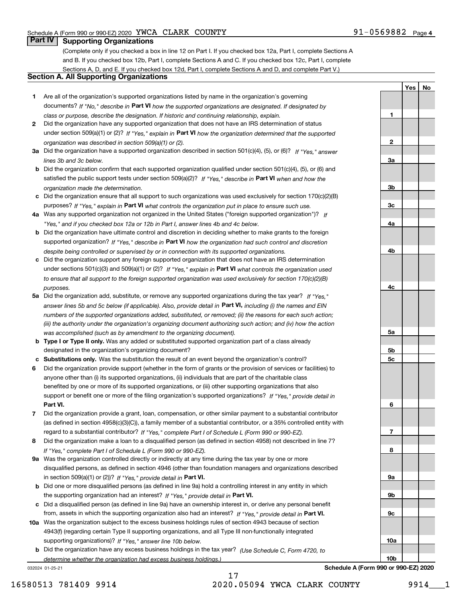**1**

**2**

**3a**

**3b**

**3c**

**4a**

**4b**

**YesNo**

### **Part IV Supporting Organizations**

(Complete only if you checked a box in line 12 on Part I. If you checked box 12a, Part I, complete Sections A and B. If you checked box 12b, Part I, complete Sections A and C. If you checked box 12c, Part I, complete Sections A, D, and E. If you checked box 12d, Part I, complete Sections A and D, and complete Part V.)

#### **Section A. All Supporting Organizations**

- **1** Are all of the organization's supported organizations listed by name in the organization's governing documents? If "No," describe in **Part VI** how the supported organizations are designated. If designated by *class or purpose, describe the designation. If historic and continuing relationship, explain.*
- **2** Did the organization have any supported organization that does not have an IRS determination of status under section 509(a)(1) or (2)? If "Yes," explain in Part VI how the organization determined that the supported *organization was described in section 509(a)(1) or (2).*
- **3a** Did the organization have a supported organization described in section 501(c)(4), (5), or (6)? If "Yes," answer *lines 3b and 3c below.*
- **b** Did the organization confirm that each supported organization qualified under section 501(c)(4), (5), or (6) and satisfied the public support tests under section 509(a)(2)? If "Yes," describe in **Part VI** when and how the *organization made the determination.*
- **c**Did the organization ensure that all support to such organizations was used exclusively for section 170(c)(2)(B) purposes? If "Yes," explain in **Part VI** what controls the organization put in place to ensure such use.
- **4a***If* Was any supported organization not organized in the United States ("foreign supported organization")? *"Yes," and if you checked box 12a or 12b in Part I, answer lines 4b and 4c below.*
- **b** Did the organization have ultimate control and discretion in deciding whether to make grants to the foreign supported organization? If "Yes," describe in **Part VI** how the organization had such control and discretion *despite being controlled or supervised by or in connection with its supported organizations.*
- **c** Did the organization support any foreign supported organization that does not have an IRS determination under sections 501(c)(3) and 509(a)(1) or (2)? If "Yes," explain in **Part VI** what controls the organization used *to ensure that all support to the foreign supported organization was used exclusively for section 170(c)(2)(B) purposes.*
- **5a** Did the organization add, substitute, or remove any supported organizations during the tax year? If "Yes," answer lines 5b and 5c below (if applicable). Also, provide detail in **Part VI,** including (i) the names and EIN *numbers of the supported organizations added, substituted, or removed; (ii) the reasons for each such action; (iii) the authority under the organization's organizing document authorizing such action; and (iv) how the action was accomplished (such as by amendment to the organizing document).*
- **b** Type I or Type II only. Was any added or substituted supported organization part of a class already designated in the organization's organizing document?
- **cSubstitutions only.**  Was the substitution the result of an event beyond the organization's control?
- **6** Did the organization provide support (whether in the form of grants or the provision of services or facilities) to **Part VI.** *If "Yes," provide detail in* support or benefit one or more of the filing organization's supported organizations? anyone other than (i) its supported organizations, (ii) individuals that are part of the charitable class benefited by one or more of its supported organizations, or (iii) other supporting organizations that also
- **7**Did the organization provide a grant, loan, compensation, or other similar payment to a substantial contributor *If "Yes," complete Part I of Schedule L (Form 990 or 990-EZ).* regard to a substantial contributor? (as defined in section 4958(c)(3)(C)), a family member of a substantial contributor, or a 35% controlled entity with
- **8** Did the organization make a loan to a disqualified person (as defined in section 4958) not described in line 7? *If "Yes," complete Part I of Schedule L (Form 990 or 990-EZ).*
- **9a** Was the organization controlled directly or indirectly at any time during the tax year by one or more in section 509(a)(1) or (2))? If "Yes," *provide detail in* <code>Part VI.</code> disqualified persons, as defined in section 4946 (other than foundation managers and organizations described
- **b** Did one or more disqualified persons (as defined in line 9a) hold a controlling interest in any entity in which the supporting organization had an interest? If "Yes," provide detail in P**art VI**.
- **c**Did a disqualified person (as defined in line 9a) have an ownership interest in, or derive any personal benefit from, assets in which the supporting organization also had an interest? If "Yes," provide detail in P**art VI.**
- **10a** Was the organization subject to the excess business holdings rules of section 4943 because of section supporting organizations)? If "Yes," answer line 10b below. 4943(f) (regarding certain Type II supporting organizations, and all Type III non-functionally integrated
- **b** Did the organization have any excess business holdings in the tax year? (Use Schedule C, Form 4720, to *determine whether the organization had excess business holdings.)*

032024 01-25-21



17 16580513 781409 9914 2020.05094 YWCA CLARK COUNTY 9914 1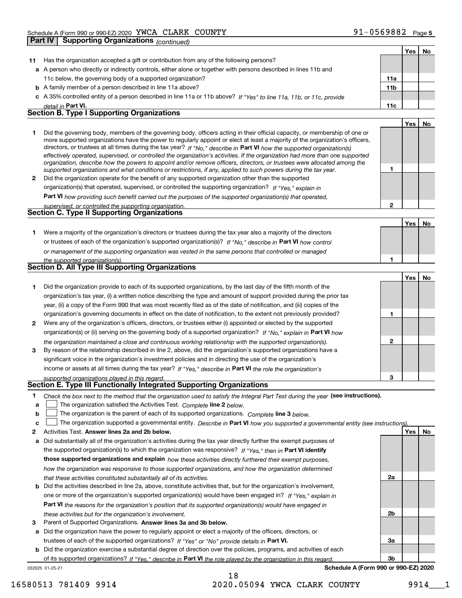|    | <b>Supporting Organizations (continued)</b><br>  Part IV                                                                                                                                                                                                                                                                                                                                                                                                                                                                 |                 |     |    |
|----|--------------------------------------------------------------------------------------------------------------------------------------------------------------------------------------------------------------------------------------------------------------------------------------------------------------------------------------------------------------------------------------------------------------------------------------------------------------------------------------------------------------------------|-----------------|-----|----|
|    |                                                                                                                                                                                                                                                                                                                                                                                                                                                                                                                          |                 | Yes | No |
| 11 | Has the organization accepted a gift or contribution from any of the following persons?                                                                                                                                                                                                                                                                                                                                                                                                                                  |                 |     |    |
|    | a A person who directly or indirectly controls, either alone or together with persons described in lines 11b and                                                                                                                                                                                                                                                                                                                                                                                                         |                 |     |    |
|    | 11c below, the governing body of a supported organization?                                                                                                                                                                                                                                                                                                                                                                                                                                                               | 11a             |     |    |
|    | <b>b</b> A family member of a person described in line 11a above?                                                                                                                                                                                                                                                                                                                                                                                                                                                        | 11 <sub>b</sub> |     |    |
|    | c A 35% controlled entity of a person described in line 11a or 11b above? If "Yes" to line 11a, 11b, or 11c, provide                                                                                                                                                                                                                                                                                                                                                                                                     |                 |     |    |
|    | detail in Part VI.                                                                                                                                                                                                                                                                                                                                                                                                                                                                                                       | 11c             |     |    |
|    | <b>Section B. Type I Supporting Organizations</b>                                                                                                                                                                                                                                                                                                                                                                                                                                                                        |                 |     |    |
|    |                                                                                                                                                                                                                                                                                                                                                                                                                                                                                                                          |                 | Yes | No |
| 1  | Did the governing body, members of the governing body, officers acting in their official capacity, or membership of one or<br>more supported organizations have the power to regularly appoint or elect at least a majority of the organization's officers,<br>directors, or trustees at all times during the tax year? If "No," describe in Part VI how the supported organization(s)<br>effectively operated, supervised, or controlled the organization's activities. If the organization had more than one supported |                 |     |    |
|    | organization, describe how the powers to appoint and/or remove officers, directors, or trustees were allocated among the<br>supported organizations and what conditions or restrictions, if any, applied to such powers during the tax year.                                                                                                                                                                                                                                                                             | 1               |     |    |
| 2  | Did the organization operate for the benefit of any supported organization other than the supported                                                                                                                                                                                                                                                                                                                                                                                                                      |                 |     |    |
|    | organization(s) that operated, supervised, or controlled the supporting organization? If "Yes," explain in                                                                                                                                                                                                                                                                                                                                                                                                               |                 |     |    |
|    | Part VI how providing such benefit carried out the purposes of the supported organization(s) that operated,                                                                                                                                                                                                                                                                                                                                                                                                              |                 |     |    |
|    | supervised, or controlled the supporting organization.                                                                                                                                                                                                                                                                                                                                                                                                                                                                   | 2               |     |    |
|    | Section C. Type II Supporting Organizations                                                                                                                                                                                                                                                                                                                                                                                                                                                                              |                 |     |    |
|    |                                                                                                                                                                                                                                                                                                                                                                                                                                                                                                                          |                 | Yes | No |
| 1. | Were a majority of the organization's directors or trustees during the tax year also a majority of the directors                                                                                                                                                                                                                                                                                                                                                                                                         |                 |     |    |
|    | or trustees of each of the organization's supported organization(s)? If "No," describe in Part VI how control                                                                                                                                                                                                                                                                                                                                                                                                            |                 |     |    |
|    | or management of the supporting organization was vested in the same persons that controlled or managed                                                                                                                                                                                                                                                                                                                                                                                                                   |                 |     |    |
|    | the supported organization(s).<br>Section D. All Type III Supporting Organizations                                                                                                                                                                                                                                                                                                                                                                                                                                       |                 |     |    |
|    |                                                                                                                                                                                                                                                                                                                                                                                                                                                                                                                          |                 |     |    |
|    |                                                                                                                                                                                                                                                                                                                                                                                                                                                                                                                          |                 | Yes | No |
| 1  | Did the organization provide to each of its supported organizations, by the last day of the fifth month of the                                                                                                                                                                                                                                                                                                                                                                                                           |                 |     |    |
|    | organization's tax year, (i) a written notice describing the type and amount of support provided during the prior tax                                                                                                                                                                                                                                                                                                                                                                                                    |                 |     |    |
|    | year, (ii) a copy of the Form 990 that was most recently filed as of the date of notification, and (iii) copies of the                                                                                                                                                                                                                                                                                                                                                                                                   |                 |     |    |
|    | organization's governing documents in effect on the date of notification, to the extent not previously provided?                                                                                                                                                                                                                                                                                                                                                                                                         | 1               |     |    |
| 2  | Were any of the organization's officers, directors, or trustees either (i) appointed or elected by the supported                                                                                                                                                                                                                                                                                                                                                                                                         |                 |     |    |
|    | organization(s) or (ii) serving on the governing body of a supported organization? If "No," explain in Part VI how                                                                                                                                                                                                                                                                                                                                                                                                       | 2               |     |    |
| 3  | the organization maintained a close and continuous working relationship with the supported organization(s).<br>By reason of the relationship described in line 2, above, did the organization's supported organizations have a                                                                                                                                                                                                                                                                                           |                 |     |    |
|    | significant voice in the organization's investment policies and in directing the use of the organization's                                                                                                                                                                                                                                                                                                                                                                                                               |                 |     |    |
|    | income or assets at all times during the tax year? If "Yes," describe in Part VI the role the organization's                                                                                                                                                                                                                                                                                                                                                                                                             |                 |     |    |
|    | supported organizations played in this regard.                                                                                                                                                                                                                                                                                                                                                                                                                                                                           | 3               |     |    |
|    | Section E. Type III Functionally Integrated Supporting Organizations                                                                                                                                                                                                                                                                                                                                                                                                                                                     |                 |     |    |
| 1. | Check the box next to the method that the organization used to satisfy the Integral Part Test during the year (see instructions).                                                                                                                                                                                                                                                                                                                                                                                        |                 |     |    |
| a  | The organization satisfied the Activities Test. Complete line 2 below.                                                                                                                                                                                                                                                                                                                                                                                                                                                   |                 |     |    |
| b  | The organization is the parent of each of its supported organizations. Complete line 3 below.                                                                                                                                                                                                                                                                                                                                                                                                                            |                 |     |    |
| c  | The organization supported a governmental entity. Describe in Part VI how you supported a governmental entity (see instructions).                                                                                                                                                                                                                                                                                                                                                                                        |                 |     |    |
| 2  | Activities Test. Answer lines 2a and 2b below.                                                                                                                                                                                                                                                                                                                                                                                                                                                                           |                 | Yes | No |
| а  | Did substantially all of the organization's activities during the tax year directly further the exempt purposes of                                                                                                                                                                                                                                                                                                                                                                                                       |                 |     |    |
|    | the supported organization(s) to which the organization was responsive? If "Yes," then in Part VI identify                                                                                                                                                                                                                                                                                                                                                                                                               |                 |     |    |
|    | those supported organizations and explain how these activities directly furthered their exempt purposes,                                                                                                                                                                                                                                                                                                                                                                                                                 |                 |     |    |
|    | how the organization was responsive to those supported organizations, and how the organization determined                                                                                                                                                                                                                                                                                                                                                                                                                |                 |     |    |
|    | that these activities constituted substantially all of its activities.                                                                                                                                                                                                                                                                                                                                                                                                                                                   | 2a              |     |    |

- **b** Did the activities described in line 2a, above, constitute activities that, but for the organization's involvement, **Part VI**  *the reasons for the organization's position that its supported organization(s) would have engaged in* one or more of the organization's supported organization(s) would have been engaged in? If "Yes," e*xplain in these activities but for the organization's involvement.*
- **3** Parent of Supported Organizations. Answer lines 3a and 3b below.

**a** Did the organization have the power to regularly appoint or elect a majority of the officers, directors, or trustees of each of the supported organizations? If "Yes" or "No" provide details in P**art VI.** 

032025 01-25-21 **b** Did the organization exercise a substantial degree of direction over the policies, programs, and activities of each of its supported organizations? If "Yes," describe in Part VI the role played by the organization in this regard.

18

**Schedule A (Form 990 or 990-EZ) 2020**

**2b**

**3a**

**3b**

16580513 781409 9914 2020.05094 YWCA CLARK COUNTY 9914\_\_\_1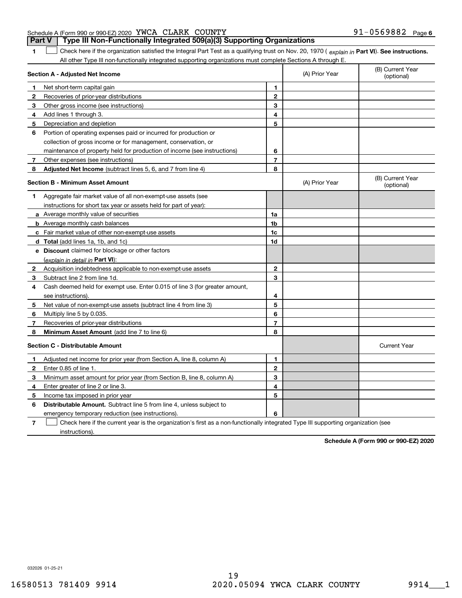#### Schedule A (Form 990 or 990-EZ) 2020 Page YWCA CLARK COUNTY 91-0569882 **Part V Type III Non-Functionally Integrated 509(a)(3) Supporting Organizations**

**1**

1 Check here if the organization satisfied the Integral Part Test as a qualifying trust on Nov. 20, 1970 (explain in Part VI). See instructions. All other Type III non-functionally integrated supporting organizations must complete Sections A through E.

| Section A - Adjusted Net Income |                                                                                                                                   |                | (A) Prior Year | (B) Current Year<br>(optional) |  |  |  |
|---------------------------------|-----------------------------------------------------------------------------------------------------------------------------------|----------------|----------------|--------------------------------|--|--|--|
| 1                               | Net short-term capital gain                                                                                                       | 1              |                |                                |  |  |  |
| 2                               | Recoveries of prior-year distributions                                                                                            | $\overline{2}$ |                |                                |  |  |  |
| 3                               | Other gross income (see instructions)                                                                                             | 3              |                |                                |  |  |  |
| 4                               | Add lines 1 through 3.                                                                                                            | 4              |                |                                |  |  |  |
| 5                               | Depreciation and depletion                                                                                                        | 5              |                |                                |  |  |  |
| 6                               | Portion of operating expenses paid or incurred for production or                                                                  |                |                |                                |  |  |  |
|                                 | collection of gross income or for management, conservation, or                                                                    |                |                |                                |  |  |  |
|                                 | maintenance of property held for production of income (see instructions)                                                          | 6              |                |                                |  |  |  |
| 7                               | Other expenses (see instructions)                                                                                                 | $\overline{7}$ |                |                                |  |  |  |
| 8                               | Adjusted Net Income (subtract lines 5, 6, and 7 from line 4)                                                                      | 8              |                |                                |  |  |  |
|                                 | <b>Section B - Minimum Asset Amount</b>                                                                                           |                | (A) Prior Year | (B) Current Year<br>(optional) |  |  |  |
| 1                               | Aggregate fair market value of all non-exempt-use assets (see                                                                     |                |                |                                |  |  |  |
|                                 | instructions for short tax year or assets held for part of year):                                                                 |                |                |                                |  |  |  |
|                                 | <b>a</b> Average monthly value of securities                                                                                      | 1a             |                |                                |  |  |  |
|                                 | <b>b</b> Average monthly cash balances                                                                                            | 1 <sub>b</sub> |                |                                |  |  |  |
|                                 | c Fair market value of other non-exempt-use assets                                                                                | 1c             |                |                                |  |  |  |
|                                 | d Total (add lines 1a, 1b, and 1c)                                                                                                | 1d             |                |                                |  |  |  |
|                                 | e Discount claimed for blockage or other factors                                                                                  |                |                |                                |  |  |  |
|                                 | (explain in detail in Part VI):                                                                                                   |                |                |                                |  |  |  |
| $\mathbf{2}$                    | Acquisition indebtedness applicable to non-exempt-use assets                                                                      | 2              |                |                                |  |  |  |
| 3                               | Subtract line 2 from line 1d.                                                                                                     | 3              |                |                                |  |  |  |
| 4                               | Cash deemed held for exempt use. Enter 0.015 of line 3 (for greater amount,                                                       |                |                |                                |  |  |  |
|                                 | see instructions)                                                                                                                 | 4              |                |                                |  |  |  |
| 5                               | Net value of non-exempt-use assets (subtract line 4 from line 3)                                                                  | 5              |                |                                |  |  |  |
| 6                               | Multiply line 5 by 0.035.                                                                                                         | 6              |                |                                |  |  |  |
| 7                               | Recoveries of prior-year distributions                                                                                            | 7              |                |                                |  |  |  |
| 8                               | Minimum Asset Amount (add line 7 to line 6)                                                                                       | 8              |                |                                |  |  |  |
|                                 | <b>Section C - Distributable Amount</b>                                                                                           |                |                | <b>Current Year</b>            |  |  |  |
| 1.                              | Adjusted net income for prior year (from Section A, line 8, column A)                                                             | 1              |                |                                |  |  |  |
| 2                               | Enter 0.85 of line 1.                                                                                                             | $\mathbf 2$    |                |                                |  |  |  |
| 3                               | Minimum asset amount for prior year (from Section B, line 8, column A)                                                            | 3              |                |                                |  |  |  |
| 4                               | Enter greater of line 2 or line 3.                                                                                                | 4              |                |                                |  |  |  |
| 5                               | Income tax imposed in prior year                                                                                                  | 5              |                |                                |  |  |  |
| 6                               | <b>Distributable Amount.</b> Subtract line 5 from line 4, unless subject to                                                       |                |                |                                |  |  |  |
|                                 | emergency temporary reduction (see instructions).                                                                                 | 6              |                |                                |  |  |  |
| 7                               | Check here if the current year is the organization's first as a non-functionally integrated Type III supporting organization (see |                |                |                                |  |  |  |

instructions).

**Schedule A (Form 990 or 990-EZ) 2020**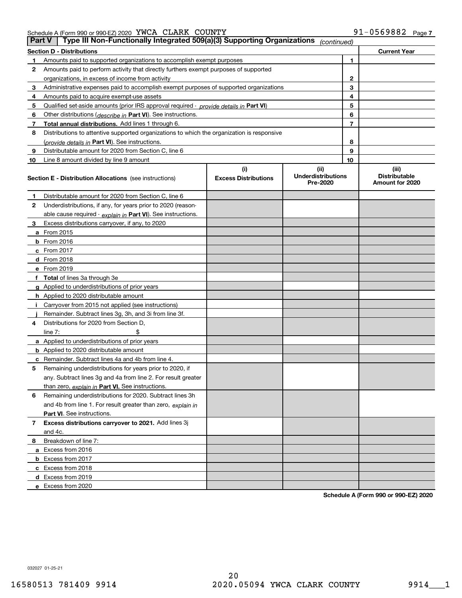Schedule A (Form 990 or 990-EZ) 2020 Page YWCA CLARK COUNTY 91-0569882

|    | Type III Non-Functionally Integrated 509(a)(3) Supporting Organizations<br><b>Part V</b><br>(continued) |                                    |                                               |                                                  |  |  |  |  |
|----|---------------------------------------------------------------------------------------------------------|------------------------------------|-----------------------------------------------|--------------------------------------------------|--|--|--|--|
|    | <b>Section D - Distributions</b><br><b>Current Year</b>                                                 |                                    |                                               |                                                  |  |  |  |  |
| 1  | 1<br>Amounts paid to supported organizations to accomplish exempt purposes                              |                                    |                                               |                                                  |  |  |  |  |
| 2  | Amounts paid to perform activity that directly furthers exempt purposes of supported                    |                                    |                                               |                                                  |  |  |  |  |
|    | organizations, in excess of income from activity                                                        | 2                                  |                                               |                                                  |  |  |  |  |
| 3  | Administrative expenses paid to accomplish exempt purposes of supported organizations                   |                                    | 3                                             |                                                  |  |  |  |  |
| 4  | Amounts paid to acquire exempt-use assets                                                               |                                    | 4                                             |                                                  |  |  |  |  |
| 5  | Qualified set-aside amounts (prior IRS approval required - provide details in Part VI)                  |                                    | 5                                             |                                                  |  |  |  |  |
| 6  | Other distributions ( <i>describe in</i> Part VI). See instructions.                                    |                                    | 6                                             |                                                  |  |  |  |  |
| 7  | Total annual distributions. Add lines 1 through 6.                                                      |                                    | 7                                             |                                                  |  |  |  |  |
| 8  | Distributions to attentive supported organizations to which the organization is responsive              |                                    |                                               |                                                  |  |  |  |  |
|    | (provide details in Part VI). See instructions.                                                         |                                    | 8                                             |                                                  |  |  |  |  |
| 9  | Distributable amount for 2020 from Section C, line 6                                                    |                                    | 9                                             |                                                  |  |  |  |  |
| 10 | Line 8 amount divided by line 9 amount                                                                  |                                    | 10                                            |                                                  |  |  |  |  |
|    | <b>Section E - Distribution Allocations</b> (see instructions)                                          | (i)<br><b>Excess Distributions</b> | (ii)<br><b>Underdistributions</b><br>Pre-2020 | (iii)<br><b>Distributable</b><br>Amount for 2020 |  |  |  |  |
| 1  | Distributable amount for 2020 from Section C, line 6                                                    |                                    |                                               |                                                  |  |  |  |  |
| 2  | Underdistributions, if any, for years prior to 2020 (reason-                                            |                                    |                                               |                                                  |  |  |  |  |
|    | able cause required - explain in Part VI). See instructions.                                            |                                    |                                               |                                                  |  |  |  |  |
| 3  | Excess distributions carryover, if any, to 2020                                                         |                                    |                                               |                                                  |  |  |  |  |
|    | <b>a</b> From 2015                                                                                      |                                    |                                               |                                                  |  |  |  |  |
|    | <b>b</b> From 2016                                                                                      |                                    |                                               |                                                  |  |  |  |  |
|    | $c$ From 2017                                                                                           |                                    |                                               |                                                  |  |  |  |  |
|    | d From 2018                                                                                             |                                    |                                               |                                                  |  |  |  |  |
|    | e From 2019                                                                                             |                                    |                                               |                                                  |  |  |  |  |
|    | f Total of lines 3a through 3e                                                                          |                                    |                                               |                                                  |  |  |  |  |
|    | g Applied to underdistributions of prior years                                                          |                                    |                                               |                                                  |  |  |  |  |
|    | <b>h</b> Applied to 2020 distributable amount                                                           |                                    |                                               |                                                  |  |  |  |  |
|    | Carryover from 2015 not applied (see instructions)                                                      |                                    |                                               |                                                  |  |  |  |  |
|    | Remainder. Subtract lines 3g, 3h, and 3i from line 3f.                                                  |                                    |                                               |                                                  |  |  |  |  |
| 4  | Distributions for 2020 from Section D,                                                                  |                                    |                                               |                                                  |  |  |  |  |
|    | line $7:$                                                                                               |                                    |                                               |                                                  |  |  |  |  |
|    | a Applied to underdistributions of prior years                                                          |                                    |                                               |                                                  |  |  |  |  |
|    | <b>b</b> Applied to 2020 distributable amount                                                           |                                    |                                               |                                                  |  |  |  |  |
|    | c Remainder. Subtract lines 4a and 4b from line 4.                                                      |                                    |                                               |                                                  |  |  |  |  |
| 5. | Remaining underdistributions for years prior to 2020, if                                                |                                    |                                               |                                                  |  |  |  |  |
|    | any. Subtract lines 3g and 4a from line 2. For result greater                                           |                                    |                                               |                                                  |  |  |  |  |
|    | than zero, explain in Part VI. See instructions.                                                        |                                    |                                               |                                                  |  |  |  |  |
| 6  | Remaining underdistributions for 2020. Subtract lines 3h                                                |                                    |                                               |                                                  |  |  |  |  |
|    | and 4b from line 1. For result greater than zero, explain in                                            |                                    |                                               |                                                  |  |  |  |  |
|    | Part VI. See instructions.                                                                              |                                    |                                               |                                                  |  |  |  |  |
| 7  | Excess distributions carryover to 2021. Add lines 3j                                                    |                                    |                                               |                                                  |  |  |  |  |
|    | and 4c.                                                                                                 |                                    |                                               |                                                  |  |  |  |  |
| 8  | Breakdown of line 7:                                                                                    |                                    |                                               |                                                  |  |  |  |  |
|    | a Excess from 2016                                                                                      |                                    |                                               |                                                  |  |  |  |  |
|    | <b>b</b> Excess from 2017                                                                               |                                    |                                               |                                                  |  |  |  |  |
|    | c Excess from 2018                                                                                      |                                    |                                               |                                                  |  |  |  |  |
|    | d Excess from 2019                                                                                      |                                    |                                               |                                                  |  |  |  |  |
|    | e Excess from 2020                                                                                      |                                    |                                               |                                                  |  |  |  |  |

**Schedule A (Form 990 or 990-EZ) 2020**

032027 01-25-21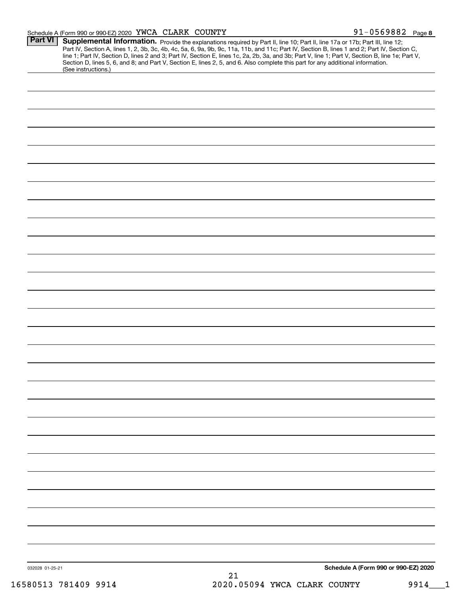#### Schedule A (Form 990 or 990-EZ) 2020 Page YWCA CLARK COUNTY 91-0569882

| <b>Part VI</b>  | Supplemental Information. Provide the explanations required by Part II, line 10; Part II, line 17a or 17b; Part III, line 12;<br>Part IV, Section A, lines 1, 2, 3b, 3c, 4b, 4c, 5a, 6, 9a, 9b, 9c, 11a, 11b, and 11c; Part IV, Section B, lines 1 and 2; Part IV, Section C,<br>line 1; Part IV, Section D, lines 2 and 3; Part IV, Section E, lines 1c, 2a, 2b, 3a, and 3b; Part V, line 1; Part V, Section B, line 1e; Part V,<br>Section D, lines 5, 6, and 8; and Part V, Section E, lines 2, 5, and 6. Also complete this part for any additional information.<br>(See instructions.) |
|-----------------|---------------------------------------------------------------------------------------------------------------------------------------------------------------------------------------------------------------------------------------------------------------------------------------------------------------------------------------------------------------------------------------------------------------------------------------------------------------------------------------------------------------------------------------------------------------------------------------------|
|                 |                                                                                                                                                                                                                                                                                                                                                                                                                                                                                                                                                                                             |
|                 |                                                                                                                                                                                                                                                                                                                                                                                                                                                                                                                                                                                             |
|                 |                                                                                                                                                                                                                                                                                                                                                                                                                                                                                                                                                                                             |
|                 |                                                                                                                                                                                                                                                                                                                                                                                                                                                                                                                                                                                             |
|                 |                                                                                                                                                                                                                                                                                                                                                                                                                                                                                                                                                                                             |
|                 |                                                                                                                                                                                                                                                                                                                                                                                                                                                                                                                                                                                             |
|                 |                                                                                                                                                                                                                                                                                                                                                                                                                                                                                                                                                                                             |
|                 |                                                                                                                                                                                                                                                                                                                                                                                                                                                                                                                                                                                             |
|                 |                                                                                                                                                                                                                                                                                                                                                                                                                                                                                                                                                                                             |
|                 |                                                                                                                                                                                                                                                                                                                                                                                                                                                                                                                                                                                             |
|                 |                                                                                                                                                                                                                                                                                                                                                                                                                                                                                                                                                                                             |
|                 |                                                                                                                                                                                                                                                                                                                                                                                                                                                                                                                                                                                             |
|                 |                                                                                                                                                                                                                                                                                                                                                                                                                                                                                                                                                                                             |
|                 |                                                                                                                                                                                                                                                                                                                                                                                                                                                                                                                                                                                             |
|                 |                                                                                                                                                                                                                                                                                                                                                                                                                                                                                                                                                                                             |
|                 |                                                                                                                                                                                                                                                                                                                                                                                                                                                                                                                                                                                             |
|                 |                                                                                                                                                                                                                                                                                                                                                                                                                                                                                                                                                                                             |
|                 |                                                                                                                                                                                                                                                                                                                                                                                                                                                                                                                                                                                             |
|                 |                                                                                                                                                                                                                                                                                                                                                                                                                                                                                                                                                                                             |
|                 |                                                                                                                                                                                                                                                                                                                                                                                                                                                                                                                                                                                             |
|                 |                                                                                                                                                                                                                                                                                                                                                                                                                                                                                                                                                                                             |
|                 |                                                                                                                                                                                                                                                                                                                                                                                                                                                                                                                                                                                             |
|                 |                                                                                                                                                                                                                                                                                                                                                                                                                                                                                                                                                                                             |
|                 |                                                                                                                                                                                                                                                                                                                                                                                                                                                                                                                                                                                             |
|                 |                                                                                                                                                                                                                                                                                                                                                                                                                                                                                                                                                                                             |
|                 |                                                                                                                                                                                                                                                                                                                                                                                                                                                                                                                                                                                             |
|                 |                                                                                                                                                                                                                                                                                                                                                                                                                                                                                                                                                                                             |
|                 |                                                                                                                                                                                                                                                                                                                                                                                                                                                                                                                                                                                             |
|                 |                                                                                                                                                                                                                                                                                                                                                                                                                                                                                                                                                                                             |
|                 |                                                                                                                                                                                                                                                                                                                                                                                                                                                                                                                                                                                             |
|                 |                                                                                                                                                                                                                                                                                                                                                                                                                                                                                                                                                                                             |
|                 |                                                                                                                                                                                                                                                                                                                                                                                                                                                                                                                                                                                             |
| 032028 01-25-21 | Schedule A (Form 990 or 990-EZ) 2020<br>21                                                                                                                                                                                                                                                                                                                                                                                                                                                                                                                                                  |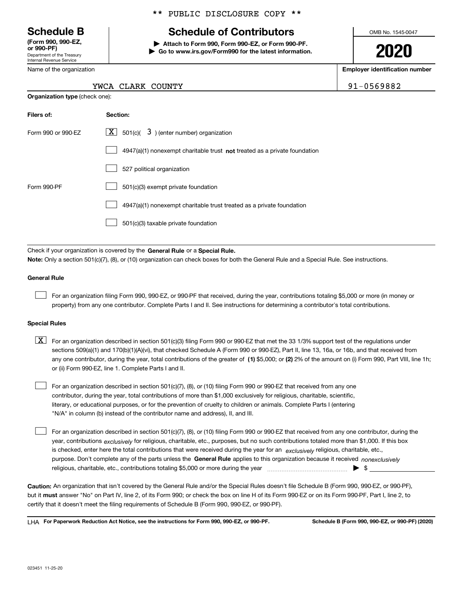Department of the Treasury Internal Revenue Service **(Form 990, 990-EZ, or 990-PF)**

Name of the organization

**Organization type** (check one):

#### \*\* PUBLIC DISCLOSURE COPY \*\*

# **Schedule B Schedule of Contributors**

**| Attach to Form 990, Form 990-EZ, or Form 990-PF. | Go to www.irs.gov/Form990 for the latest information.** OMB No. 1545-0047

**2020**

**Employer identification number**

91-0569882

|  | YWCA CLARK COUNTY |  |
|--|-------------------|--|
|  |                   |  |

| Section:                                                                    |
|-----------------------------------------------------------------------------|
| $X$ 501(c)( 3) (enter number) organization                                  |
| $4947(a)(1)$ nonexempt charitable trust not treated as a private foundation |
| 527 political organization                                                  |
| 501(c)(3) exempt private foundation                                         |
| 4947(a)(1) nonexempt charitable trust treated as a private foundation       |
| 501(c)(3) taxable private foundation                                        |
|                                                                             |

Check if your organization is covered by the **General Rule** or a **Special Rule. Note:**  Only a section 501(c)(7), (8), or (10) organization can check boxes for both the General Rule and a Special Rule. See instructions.

#### **General Rule**

 $\mathcal{L}^{\text{max}}$ 

For an organization filing Form 990, 990-EZ, or 990-PF that received, during the year, contributions totaling \$5,000 or more (in money or property) from any one contributor. Complete Parts I and II. See instructions for determining a contributor's total contributions.

#### **Special Rules**

any one contributor, during the year, total contributions of the greater of  $\,$  (1) \$5,000; or **(2)** 2% of the amount on (i) Form 990, Part VIII, line 1h;  $\boxed{\textbf{X}}$  For an organization described in section 501(c)(3) filing Form 990 or 990-EZ that met the 33 1/3% support test of the regulations under sections 509(a)(1) and 170(b)(1)(A)(vi), that checked Schedule A (Form 990 or 990-EZ), Part II, line 13, 16a, or 16b, and that received from or (ii) Form 990-EZ, line 1. Complete Parts I and II.

For an organization described in section 501(c)(7), (8), or (10) filing Form 990 or 990-EZ that received from any one contributor, during the year, total contributions of more than \$1,000 exclusively for religious, charitable, scientific, literary, or educational purposes, or for the prevention of cruelty to children or animals. Complete Parts I (entering "N/A" in column (b) instead of the contributor name and address), II, and III.  $\mathcal{L}^{\text{max}}$ 

purpose. Don't complete any of the parts unless the **General Rule** applies to this organization because it received *nonexclusively* year, contributions <sub>exclusively</sub> for religious, charitable, etc., purposes, but no such contributions totaled more than \$1,000. If this box is checked, enter here the total contributions that were received during the year for an  $\;$ exclusively religious, charitable, etc., For an organization described in section 501(c)(7), (8), or (10) filing Form 990 or 990-EZ that received from any one contributor, during the religious, charitable, etc., contributions totaling \$5,000 or more during the year  $\Box$ — $\Box$   $\Box$  $\mathcal{L}^{\text{max}}$ 

**Caution:**  An organization that isn't covered by the General Rule and/or the Special Rules doesn't file Schedule B (Form 990, 990-EZ, or 990-PF),  **must** but it answer "No" on Part IV, line 2, of its Form 990; or check the box on line H of its Form 990-EZ or on its Form 990-PF, Part I, line 2, to certify that it doesn't meet the filing requirements of Schedule B (Form 990, 990-EZ, or 990-PF).

**For Paperwork Reduction Act Notice, see the instructions for Form 990, 990-EZ, or 990-PF. Schedule B (Form 990, 990-EZ, or 990-PF) (2020)** LHA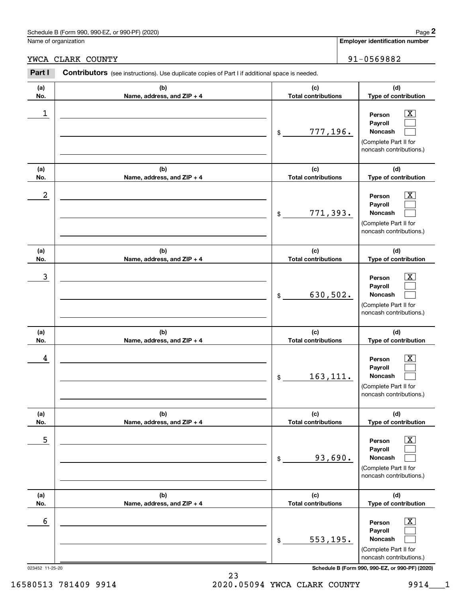# Schedule B (Form 990, 990-EZ, or 990-PF) (2020) Page 2

|                  | Schedule B (Form 990, 990-EZ, or 990-PF) (2020)                                                       |                                   | Page 2                                                                                                      |
|------------------|-------------------------------------------------------------------------------------------------------|-----------------------------------|-------------------------------------------------------------------------------------------------------------|
|                  | Name of organization                                                                                  |                                   | <b>Employer identification number</b>                                                                       |
|                  | YWCA CLARK COUNTY                                                                                     |                                   | 91-0569882                                                                                                  |
| Part I           | <b>Contributors</b> (see instructions). Use duplicate copies of Part I if additional space is needed. |                                   |                                                                                                             |
| (a)<br>No.       | (b)<br>Name, address, and ZIP + 4                                                                     | (c)<br><b>Total contributions</b> | (d)<br>Type of contribution                                                                                 |
| 1                |                                                                                                       | 777,196.<br>\$                    | $\overline{\mathbf{X}}$<br>Person<br>Payroll<br>Noncash<br>(Complete Part II for<br>noncash contributions.) |
| (a)<br>No.       | (b)<br>Name, address, and ZIP + 4                                                                     | (c)<br><b>Total contributions</b> | (d)<br>Type of contribution                                                                                 |
| $\boldsymbol{2}$ |                                                                                                       | 771,393.<br>\$                    | $\overline{\mathbf{X}}$<br>Person<br>Payroll<br>Noncash<br>(Complete Part II for<br>noncash contributions.) |
| (a)<br>No.       | (b)<br>Name, address, and ZIP + 4                                                                     | (c)<br><b>Total contributions</b> | (d)<br>Type of contribution                                                                                 |
| 3                |                                                                                                       | 630,502.<br>\$                    | $\overline{\mathbf{X}}$<br>Person<br>Payroll<br>Noncash<br>(Complete Part II for<br>noncash contributions.) |
| (a)<br>No.       | (b)<br>Name, address, and ZIP + 4                                                                     | (c)<br><b>Total contributions</b> | (d)<br>Type of contribution                                                                                 |
| 4                |                                                                                                       | 163, 111.<br>\$                   | $\overline{\mathbf{X}}$<br>Person<br>Payroll<br>Noncash<br>(Complete Part II for<br>noncash contributions.) |
| (a)<br>No.       | (b)<br>Name, address, and ZIP + 4                                                                     | (c)<br><b>Total contributions</b> | (d)<br>Type of contribution                                                                                 |
| 5                |                                                                                                       | 93,690.<br>\$                     | $\overline{\mathbf{X}}$<br>Person<br>Payroll<br>Noncash<br>(Complete Part II for<br>noncash contributions.) |
| (a)<br>No.       | (b)<br>Name, address, and ZIP + 4                                                                     | (c)<br><b>Total contributions</b> | (d)<br>Type of contribution                                                                                 |
| 6                |                                                                                                       | 553,195.<br>\$                    | $\overline{\mathbf{X}}$<br>Person<br>Payroll<br>Noncash<br>(Complete Part II for<br>noncash contributions.) |
| 023452 11-25-20  |                                                                                                       |                                   | Schedule B (Form 990, 990-EZ, or 990-PF) (2020)                                                             |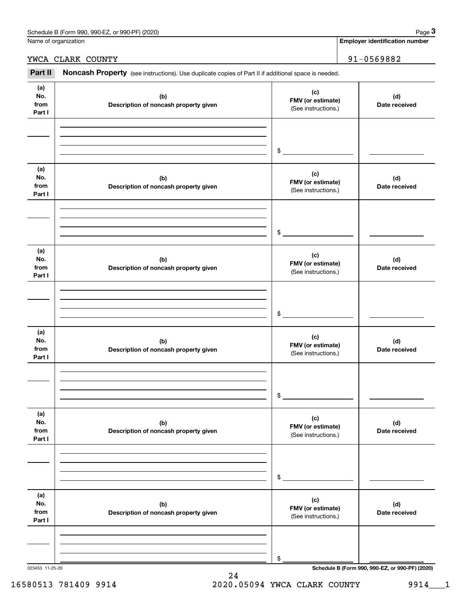| or 990-PF) (2020)<br>Schedule B (Form 990, 990-EZ, | Page |
|----------------------------------------------------|------|
|                                                    |      |

Name of organization

**Employer identification number**

YWCA CLARK COUNTY 91-0569882

Employer identification Page 3<br>
Iame of organization<br> **3Part II Noncash Property** (see instructions). Use duplicate copies of Part II if additional space is needed.<br> **Part II Noncash Property** (see instructions). Use d

| (a)<br>No.<br>from<br>Part I | (b)<br>Description of noncash property given | (c)<br>FMV (or estimate)<br>(See instructions.) | (d)<br>Date received |
|------------------------------|----------------------------------------------|-------------------------------------------------|----------------------|
|                              |                                              | $\frac{1}{2}$                                   |                      |
| (a)<br>No.<br>from<br>Part I | (b)<br>Description of noncash property given | (c)<br>FMV (or estimate)<br>(See instructions.) | (d)<br>Date received |
|                              |                                              | $\frac{1}{2}$                                   |                      |
| (a)<br>No.<br>from<br>Part I | (b)<br>Description of noncash property given | (c)<br>FMV (or estimate)<br>(See instructions.) | (d)<br>Date received |
|                              |                                              | $\sim$                                          |                      |
| (a)<br>No.<br>from<br>Part I | (b)<br>Description of noncash property given | (c)<br>FMV (or estimate)<br>(See instructions.) | (d)<br>Date received |
|                              |                                              | $\frac{1}{2}$                                   |                      |
| (a)<br>No.<br>from<br>Part I | (b)<br>Description of noncash property given | (c)<br>FMV (or estimate)<br>(See instructions.) | (d)<br>Date received |
|                              |                                              | \$                                              |                      |
| (a)<br>No.<br>from<br>Part I | (b)<br>Description of noncash property given | (c)<br>FMV (or estimate)<br>(See instructions.) | (d)<br>Date received |
|                              |                                              | \$                                              |                      |

16580513 781409 9914 2020.05094 YWCA CLARK COUNTY 9914\_\_\_1

24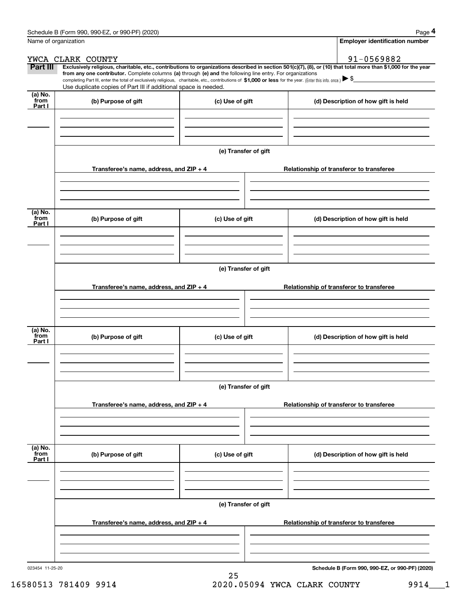|                           | Schedule B (Form 990, 990-EZ, or 990-PF) (2020)                                                                                                                                   |                                          | Page 4                                                                                                                                                         |  |  |  |  |
|---------------------------|-----------------------------------------------------------------------------------------------------------------------------------------------------------------------------------|------------------------------------------|----------------------------------------------------------------------------------------------------------------------------------------------------------------|--|--|--|--|
|                           | Name of organization                                                                                                                                                              |                                          | <b>Employer identification number</b>                                                                                                                          |  |  |  |  |
|                           | YWCA CLARK COUNTY                                                                                                                                                                 |                                          | 91-0569882                                                                                                                                                     |  |  |  |  |
| Part III                  | from any one contributor. Complete columns (a) through (e) and the following line entry. For organizations                                                                        |                                          | Exclusively religious, charitable, etc., contributions to organizations described in section 501(c)(7), (8), or (10) that total more than \$1,000 for the year |  |  |  |  |
|                           | completing Part III, enter the total of exclusively religious, charitable, etc., contributions of \$1,000 or less for the year. (Enter this info. once.) $\blacktriangleright$ \$ |                                          |                                                                                                                                                                |  |  |  |  |
| (a) No.                   | Use duplicate copies of Part III if additional space is needed.                                                                                                                   |                                          |                                                                                                                                                                |  |  |  |  |
| from<br>Part I            | (b) Purpose of gift                                                                                                                                                               | (c) Use of gift                          | (d) Description of how gift is held                                                                                                                            |  |  |  |  |
|                           |                                                                                                                                                                                   |                                          |                                                                                                                                                                |  |  |  |  |
|                           |                                                                                                                                                                                   |                                          |                                                                                                                                                                |  |  |  |  |
|                           |                                                                                                                                                                                   | (e) Transfer of gift                     |                                                                                                                                                                |  |  |  |  |
|                           | Transferee's name, address, and ZIP + 4                                                                                                                                           |                                          | Relationship of transferor to transferee                                                                                                                       |  |  |  |  |
|                           |                                                                                                                                                                                   |                                          |                                                                                                                                                                |  |  |  |  |
|                           |                                                                                                                                                                                   |                                          |                                                                                                                                                                |  |  |  |  |
| (a) No.<br>from<br>Part I | (b) Purpose of gift                                                                                                                                                               | (c) Use of gift                          | (d) Description of how gift is held                                                                                                                            |  |  |  |  |
|                           |                                                                                                                                                                                   |                                          |                                                                                                                                                                |  |  |  |  |
|                           |                                                                                                                                                                                   |                                          |                                                                                                                                                                |  |  |  |  |
|                           | (e) Transfer of gift                                                                                                                                                              |                                          |                                                                                                                                                                |  |  |  |  |
|                           | Transferee's name, address, and ZIP + 4                                                                                                                                           | Relationship of transferor to transferee |                                                                                                                                                                |  |  |  |  |
|                           |                                                                                                                                                                                   |                                          |                                                                                                                                                                |  |  |  |  |
|                           |                                                                                                                                                                                   |                                          |                                                                                                                                                                |  |  |  |  |
| (a) No.<br>from<br>Part I | (b) Purpose of gift                                                                                                                                                               | (c) Use of gift                          | (d) Description of how gift is held                                                                                                                            |  |  |  |  |
|                           |                                                                                                                                                                                   |                                          |                                                                                                                                                                |  |  |  |  |
|                           |                                                                                                                                                                                   |                                          |                                                                                                                                                                |  |  |  |  |
|                           | (e) Transfer of gift                                                                                                                                                              |                                          |                                                                                                                                                                |  |  |  |  |
|                           | Transferee's name, address, and ZIP + 4                                                                                                                                           |                                          | Relationship of transferor to transferee                                                                                                                       |  |  |  |  |
|                           |                                                                                                                                                                                   |                                          |                                                                                                                                                                |  |  |  |  |
|                           |                                                                                                                                                                                   |                                          |                                                                                                                                                                |  |  |  |  |
| (a) No.<br>from<br>Part I | (b) Purpose of gift                                                                                                                                                               | (c) Use of gift                          | (d) Description of how gift is held                                                                                                                            |  |  |  |  |
|                           |                                                                                                                                                                                   |                                          |                                                                                                                                                                |  |  |  |  |
|                           |                                                                                                                                                                                   |                                          |                                                                                                                                                                |  |  |  |  |
|                           | (e) Transfer of gift                                                                                                                                                              |                                          |                                                                                                                                                                |  |  |  |  |
|                           | Transferee's name, address, and ZIP + 4                                                                                                                                           | Relationship of transferor to transferee |                                                                                                                                                                |  |  |  |  |
|                           |                                                                                                                                                                                   |                                          |                                                                                                                                                                |  |  |  |  |
|                           |                                                                                                                                                                                   |                                          |                                                                                                                                                                |  |  |  |  |
|                           |                                                                                                                                                                                   |                                          |                                                                                                                                                                |  |  |  |  |

023454 11-25-20

**Schedule B (Form 990, 990-EZ, or 990-PF) (2020)**

16580513 781409 9914 2020.05094 YWCA CLARK COUNTY 9914\_\_\_1

25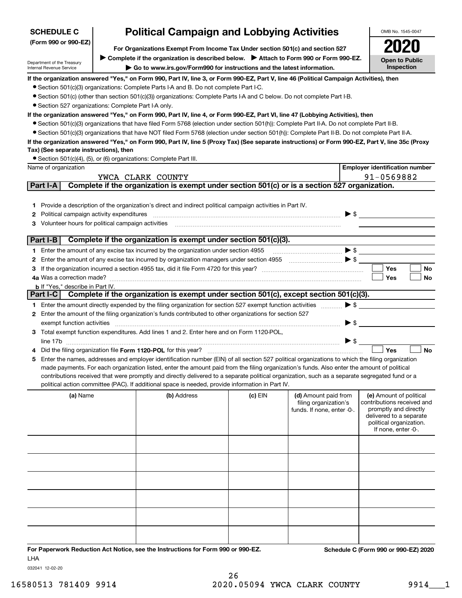| <b>SCHEDULE C</b>                                                                                                                | <b>Political Campaign and Lobbying Activities</b>                                                                                       |                                                                                                                                                                                                                                                                                                     |                                                                               |                                                     |                          | OMB No. 1545-0047                                   |  |  |  |
|----------------------------------------------------------------------------------------------------------------------------------|-----------------------------------------------------------------------------------------------------------------------------------------|-----------------------------------------------------------------------------------------------------------------------------------------------------------------------------------------------------------------------------------------------------------------------------------------------------|-------------------------------------------------------------------------------|-----------------------------------------------------|--------------------------|-----------------------------------------------------|--|--|--|
| (Form 990 or 990-EZ)                                                                                                             |                                                                                                                                         |                                                                                                                                                                                                                                                                                                     | For Organizations Exempt From Income Tax Under section 501(c) and section 527 |                                                     |                          |                                                     |  |  |  |
|                                                                                                                                  |                                                                                                                                         | Complete if the organization is described below. Attach to Form 990 or Form 990-EZ.                                                                                                                                                                                                                 |                                                                               |                                                     |                          | <b>Open to Public</b>                               |  |  |  |
| Department of the Treasury<br>Go to www.irs.gov/Form990 for instructions and the latest information.<br>Internal Revenue Service |                                                                                                                                         |                                                                                                                                                                                                                                                                                                     |                                                                               |                                                     | Inspection               |                                                     |  |  |  |
|                                                                                                                                  | If the organization answered "Yes," on Form 990, Part IV, line 3, or Form 990-EZ, Part V, line 46 (Political Campaign Activities), then |                                                                                                                                                                                                                                                                                                     |                                                                               |                                                     |                          |                                                     |  |  |  |
|                                                                                                                                  | • Section 501(c)(3) organizations: Complete Parts I-A and B. Do not complete Part I-C.                                                  |                                                                                                                                                                                                                                                                                                     |                                                                               |                                                     |                          |                                                     |  |  |  |
|                                                                                                                                  |                                                                                                                                         | • Section 501(c) (other than section 501(c)(3)) organizations: Complete Parts I-A and C below. Do not complete Part I-B.                                                                                                                                                                            |                                                                               |                                                     |                          |                                                     |  |  |  |
| • Section 527 organizations: Complete Part I-A only.                                                                             |                                                                                                                                         |                                                                                                                                                                                                                                                                                                     |                                                                               |                                                     |                          |                                                     |  |  |  |
|                                                                                                                                  |                                                                                                                                         | If the organization answered "Yes," on Form 990, Part IV, line 4, or Form 990-EZ, Part VI, line 47 (Lobbying Activities), then                                                                                                                                                                      |                                                                               |                                                     |                          |                                                     |  |  |  |
|                                                                                                                                  |                                                                                                                                         | • Section 501(c)(3) organizations that have filed Form 5768 (election under section 501(h)): Complete Part II-A. Do not complete Part II-B.                                                                                                                                                         |                                                                               |                                                     |                          |                                                     |  |  |  |
|                                                                                                                                  |                                                                                                                                         | • Section 501(c)(3) organizations that have NOT filed Form 5768 (election under section 501(h)): Complete Part II-B. Do not complete Part II-A.<br>If the organization answered "Yes," on Form 990, Part IV, line 5 (Proxy Tax) (See separate instructions) or Form 990-EZ, Part V, line 35c (Proxy |                                                                               |                                                     |                          |                                                     |  |  |  |
| Tax) (See separate instructions), then                                                                                           |                                                                                                                                         |                                                                                                                                                                                                                                                                                                     |                                                                               |                                                     |                          |                                                     |  |  |  |
|                                                                                                                                  |                                                                                                                                         | • Section 501(c)(4), (5), or (6) organizations: Complete Part III.                                                                                                                                                                                                                                  |                                                                               |                                                     |                          |                                                     |  |  |  |
| Name of organization                                                                                                             |                                                                                                                                         |                                                                                                                                                                                                                                                                                                     |                                                                               |                                                     |                          | <b>Employer identification number</b>               |  |  |  |
|                                                                                                                                  |                                                                                                                                         | YWCA CLARK COUNTY                                                                                                                                                                                                                                                                                   |                                                                               |                                                     |                          | 91-0569882                                          |  |  |  |
| Part I-A                                                                                                                         |                                                                                                                                         | Complete if the organization is exempt under section 501(c) or is a section 527 organization.                                                                                                                                                                                                       |                                                                               |                                                     |                          |                                                     |  |  |  |
|                                                                                                                                  |                                                                                                                                         |                                                                                                                                                                                                                                                                                                     |                                                                               |                                                     |                          |                                                     |  |  |  |
|                                                                                                                                  |                                                                                                                                         | 1 Provide a description of the organization's direct and indirect political campaign activities in Part IV.                                                                                                                                                                                         |                                                                               |                                                     |                          |                                                     |  |  |  |
| <b>2</b> Political campaign activity expenditures                                                                                |                                                                                                                                         |                                                                                                                                                                                                                                                                                                     |                                                                               |                                                     | $\blacktriangleright$ \$ |                                                     |  |  |  |
| 3 Volunteer hours for political campaign activities                                                                              |                                                                                                                                         |                                                                                                                                                                                                                                                                                                     |                                                                               |                                                     |                          |                                                     |  |  |  |
| Part I-B                                                                                                                         |                                                                                                                                         | Complete if the organization is exempt under section 501(c)(3).                                                                                                                                                                                                                                     |                                                                               |                                                     |                          |                                                     |  |  |  |
|                                                                                                                                  |                                                                                                                                         | 1 Enter the amount of any excise tax incurred by the organization under section 4955                                                                                                                                                                                                                |                                                                               | $\bullet$ $\bullet$ $\bullet$                       |                          |                                                     |  |  |  |
|                                                                                                                                  |                                                                                                                                         | 2 Enter the amount of any excise tax incurred by organization managers under section 4955                                                                                                                                                                                                           |                                                                               |                                                     |                          |                                                     |  |  |  |
|                                                                                                                                  |                                                                                                                                         |                                                                                                                                                                                                                                                                                                     |                                                                               |                                                     |                          | Yes<br>No                                           |  |  |  |
| 4a Was a correction made?                                                                                                        |                                                                                                                                         |                                                                                                                                                                                                                                                                                                     |                                                                               |                                                     |                          | Yes<br>No                                           |  |  |  |
| <b>b</b> If "Yes," describe in Part IV.                                                                                          |                                                                                                                                         |                                                                                                                                                                                                                                                                                                     |                                                                               |                                                     |                          |                                                     |  |  |  |
| Part I-C                                                                                                                         |                                                                                                                                         | Complete if the organization is exempt under section 501(c), except section 501(c)(3).                                                                                                                                                                                                              |                                                                               |                                                     |                          |                                                     |  |  |  |
|                                                                                                                                  |                                                                                                                                         | 1 Enter the amount directly expended by the filing organization for section 527 exempt function activities                                                                                                                                                                                          |                                                                               |                                                     | $\blacktriangleright$ \$ |                                                     |  |  |  |
|                                                                                                                                  |                                                                                                                                         | 2 Enter the amount of the filing organization's funds contributed to other organizations for section 527                                                                                                                                                                                            |                                                                               |                                                     |                          |                                                     |  |  |  |
| exempt function activities                                                                                                       |                                                                                                                                         | 3 Total exempt function expenditures. Add lines 1 and 2. Enter here and on Form 1120-POL,                                                                                                                                                                                                           |                                                                               |                                                     | $\blacktriangleright$ \$ |                                                     |  |  |  |
|                                                                                                                                  |                                                                                                                                         |                                                                                                                                                                                                                                                                                                     |                                                                               |                                                     | $\blacktriangleright$ \$ |                                                     |  |  |  |
|                                                                                                                                  |                                                                                                                                         |                                                                                                                                                                                                                                                                                                     |                                                                               |                                                     |                          | <b>No</b><br>Yes                                    |  |  |  |
|                                                                                                                                  |                                                                                                                                         | 5 Enter the names, addresses and employer identification number (EIN) of all section 527 political organizations to which the filing organization                                                                                                                                                   |                                                                               |                                                     |                          |                                                     |  |  |  |
|                                                                                                                                  |                                                                                                                                         | made payments. For each organization listed, enter the amount paid from the filing organization's funds. Also enter the amount of political                                                                                                                                                         |                                                                               |                                                     |                          |                                                     |  |  |  |
|                                                                                                                                  |                                                                                                                                         | contributions received that were promptly and directly delivered to a separate political organization, such as a separate segregated fund or a                                                                                                                                                      |                                                                               |                                                     |                          |                                                     |  |  |  |
|                                                                                                                                  |                                                                                                                                         | political action committee (PAC). If additional space is needed, provide information in Part IV.                                                                                                                                                                                                    |                                                                               |                                                     |                          |                                                     |  |  |  |
| (a) Name                                                                                                                         |                                                                                                                                         | (b) Address                                                                                                                                                                                                                                                                                         | $(c)$ EIN                                                                     | (d) Amount paid from                                |                          | (e) Amount of political                             |  |  |  |
|                                                                                                                                  |                                                                                                                                         |                                                                                                                                                                                                                                                                                                     |                                                                               | filing organization's<br>funds. If none, enter -0-. |                          | contributions received and<br>promptly and directly |  |  |  |
|                                                                                                                                  |                                                                                                                                         |                                                                                                                                                                                                                                                                                                     |                                                                               |                                                     |                          | delivered to a separate                             |  |  |  |
|                                                                                                                                  |                                                                                                                                         |                                                                                                                                                                                                                                                                                                     |                                                                               |                                                     |                          | political organization.                             |  |  |  |
|                                                                                                                                  | If none, enter -0-.                                                                                                                     |                                                                                                                                                                                                                                                                                                     |                                                                               |                                                     |                          |                                                     |  |  |  |
|                                                                                                                                  |                                                                                                                                         |                                                                                                                                                                                                                                                                                                     |                                                                               |                                                     |                          |                                                     |  |  |  |
|                                                                                                                                  |                                                                                                                                         |                                                                                                                                                                                                                                                                                                     |                                                                               |                                                     |                          |                                                     |  |  |  |
|                                                                                                                                  |                                                                                                                                         |                                                                                                                                                                                                                                                                                                     |                                                                               |                                                     |                          |                                                     |  |  |  |
|                                                                                                                                  |                                                                                                                                         |                                                                                                                                                                                                                                                                                                     |                                                                               |                                                     |                          |                                                     |  |  |  |
|                                                                                                                                  |                                                                                                                                         |                                                                                                                                                                                                                                                                                                     |                                                                               |                                                     |                          |                                                     |  |  |  |

**For Paperwork Reduction Act Notice, see the Instructions for Form 990 or 990-EZ. Schedule C (Form 990 or 990-EZ) 2020** LHA

032041 12-02-20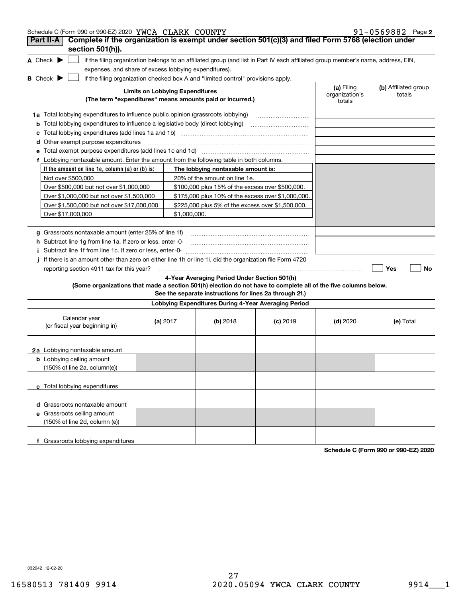| Schedule C (Form 990 or 990-EZ) 2020 YWCA CLARK COUNTY                                                                              |                                                                                                 |                                        |                                                                                  |                                                                                                                                   |                                        | 91-0569882 Page 2              |    |
|-------------------------------------------------------------------------------------------------------------------------------------|-------------------------------------------------------------------------------------------------|----------------------------------------|----------------------------------------------------------------------------------|-----------------------------------------------------------------------------------------------------------------------------------|----------------------------------------|--------------------------------|----|
| Complete if the organization is exempt under section 501(c)(3) and filed Form 5768 (election under<br>Part II-A<br>section 501(h)). |                                                                                                 |                                        |                                                                                  |                                                                                                                                   |                                        |                                |    |
| A Check $\blacktriangleright$<br>expenses, and share of excess lobbying expenditures).                                              |                                                                                                 |                                        |                                                                                  | if the filing organization belongs to an affiliated group (and list in Part IV each affiliated group member's name, address, EIN, |                                        |                                |    |
| <b>B</b> Check $\blacktriangleright$                                                                                                |                                                                                                 |                                        | if the filing organization checked box A and "limited control" provisions apply. |                                                                                                                                   |                                        |                                |    |
|                                                                                                                                     |                                                                                                 | <b>Limits on Lobbying Expenditures</b> | (The term "expenditures" means amounts paid or incurred.)                        |                                                                                                                                   | (a) Filing<br>organization's<br>totals | (b) Affiliated group<br>totals |    |
| 1a Total lobbying expenditures to influence public opinion (grassroots lobbying)                                                    |                                                                                                 |                                        |                                                                                  |                                                                                                                                   |                                        |                                |    |
| <b>b</b> Total lobbying expenditures to influence a legislative body (direct lobbying)                                              |                                                                                                 |                                        |                                                                                  |                                                                                                                                   |                                        |                                |    |
|                                                                                                                                     |                                                                                                 |                                        |                                                                                  |                                                                                                                                   |                                        |                                |    |
| <b>d</b> Other exempt purpose expenditures                                                                                          |                                                                                                 |                                        |                                                                                  |                                                                                                                                   |                                        |                                |    |
| Total exempt purpose expenditures (add lines 1c and 1d)                                                                             |                                                                                                 |                                        |                                                                                  |                                                                                                                                   |                                        |                                |    |
| f Lobbying nontaxable amount. Enter the amount from the following table in both columns.                                            |                                                                                                 |                                        |                                                                                  |                                                                                                                                   |                                        |                                |    |
| If the amount on line 1e, column $(a)$ or $(b)$ is:                                                                                 |                                                                                                 |                                        | The lobbying nontaxable amount is:                                               |                                                                                                                                   |                                        |                                |    |
| Not over \$500,000                                                                                                                  |                                                                                                 |                                        | 20% of the amount on line 1e.                                                    |                                                                                                                                   |                                        |                                |    |
| Over \$500,000 but not over \$1,000,000                                                                                             |                                                                                                 |                                        | \$100,000 plus 15% of the excess over \$500,000.                                 |                                                                                                                                   |                                        |                                |    |
| Over \$1,000,000 but not over \$1,500,000                                                                                           |                                                                                                 |                                        |                                                                                  | \$175,000 plus 10% of the excess over \$1,000,000.                                                                                |                                        |                                |    |
|                                                                                                                                     | Over \$1,500,000 but not over \$17,000,000<br>\$225,000 plus 5% of the excess over \$1,500,000. |                                        |                                                                                  |                                                                                                                                   |                                        |                                |    |
| Over \$17,000,000                                                                                                                   | \$1,000,000.                                                                                    |                                        |                                                                                  |                                                                                                                                   |                                        |                                |    |
| g Grassroots nontaxable amount (enter 25% of line 1f)                                                                               |                                                                                                 |                                        |                                                                                  |                                                                                                                                   |                                        |                                |    |
| h Subtract line 1q from line 1a. If zero or less, enter -0-                                                                         |                                                                                                 |                                        |                                                                                  |                                                                                                                                   |                                        |                                |    |
| i Subtract line 1f from line 1c. If zero or less, enter -0-                                                                         |                                                                                                 |                                        |                                                                                  |                                                                                                                                   |                                        |                                |    |
| If there is an amount other than zero on either line 1h or line 1i, did the organization file Form 4720                             |                                                                                                 |                                        |                                                                                  |                                                                                                                                   |                                        |                                |    |
| reporting section 4911 tax for this year?                                                                                           |                                                                                                 |                                        |                                                                                  |                                                                                                                                   |                                        | Yes                            | No |
|                                                                                                                                     |                                                                                                 |                                        | 4-Year Averaging Period Under Section 501(h)                                     |                                                                                                                                   |                                        |                                |    |
| (Some organizations that made a section 501(h) election do not have to complete all of the five columns below.                      |                                                                                                 |                                        | See the separate instructions for lines 2a through 2f.)                          |                                                                                                                                   |                                        |                                |    |
|                                                                                                                                     |                                                                                                 |                                        | Lobbying Expenditures During 4-Year Averaging Period                             |                                                                                                                                   |                                        |                                |    |
| Calendar year<br>(or fiscal year beginning in)                                                                                      |                                                                                                 | (a) $2017$                             | (b) 2018                                                                         | $(c)$ 2019                                                                                                                        | $(d)$ 2020                             | (e) Total                      |    |
| 2a Lobbying nontaxable amount                                                                                                       |                                                                                                 |                                        |                                                                                  |                                                                                                                                   |                                        |                                |    |
| <b>b</b> Lobbying ceiling amount                                                                                                    |                                                                                                 |                                        |                                                                                  |                                                                                                                                   |                                        |                                |    |
| (150% of line 2a, column(e))                                                                                                        |                                                                                                 |                                        |                                                                                  |                                                                                                                                   |                                        |                                |    |
| c Total lobbying expenditures                                                                                                       |                                                                                                 |                                        |                                                                                  |                                                                                                                                   |                                        |                                |    |
|                                                                                                                                     |                                                                                                 |                                        |                                                                                  |                                                                                                                                   |                                        |                                |    |
| d Grassroots nontaxable amount                                                                                                      |                                                                                                 |                                        |                                                                                  |                                                                                                                                   |                                        |                                |    |
| e Grassroots ceiling amount<br>(150% of line 2d, column (e))                                                                        |                                                                                                 |                                        |                                                                                  |                                                                                                                                   |                                        |                                |    |
| f Grassroots lobbying expenditures                                                                                                  |                                                                                                 |                                        |                                                                                  |                                                                                                                                   |                                        |                                |    |
|                                                                                                                                     |                                                                                                 |                                        |                                                                                  |                                                                                                                                   | Schedule C (Form 990 or 990-EZ) 2020   |                                |    |

**Schedule C (Form 990 or 990-EZ) 2020**

032042 12-02-20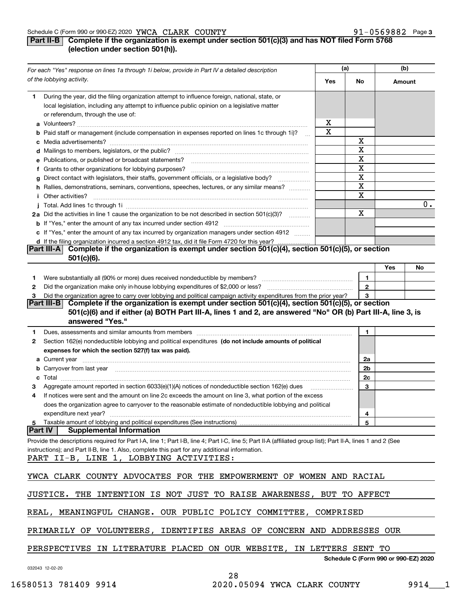#### Schedule C (Form 990 or 990-EZ) 2020 Page YWCA CLARK COUNTY 91-0569882

#### **3**

#### **Part II-B** Complete if the organization is exempt under section 501(c)(3) and has NOT filed Form 5768 **(election under section 501(h)).**

|    | For each "Yes" response on lines 1a through 1i below, provide in Part IV a detailed description                                                                                                                                       | (a)         |                                      | (b)    |    |
|----|---------------------------------------------------------------------------------------------------------------------------------------------------------------------------------------------------------------------------------------|-------------|--------------------------------------|--------|----|
|    | of the lobbying activity.                                                                                                                                                                                                             | Yes         | No.                                  | Amount |    |
| 1. | During the year, did the filing organization attempt to influence foreign, national, state, or                                                                                                                                        |             |                                      |        |    |
|    | local legislation, including any attempt to influence public opinion on a legislative matter                                                                                                                                          |             |                                      |        |    |
|    | or referendum, through the use of:                                                                                                                                                                                                    |             |                                      |        |    |
|    |                                                                                                                                                                                                                                       | х           |                                      |        |    |
|    | <b>b</b> Paid staff or management (include compensation in expenses reported on lines 1c through 1i)?                                                                                                                                 | $\mathbf x$ |                                      |        |    |
|    |                                                                                                                                                                                                                                       |             | x                                    |        |    |
|    |                                                                                                                                                                                                                                       |             | $\mathbf X$                          |        |    |
|    | e Publications, or published or broadcast statements?                                                                                                                                                                                 |             | $\mathbf X$                          |        |    |
|    | f Grants to other organizations for lobbying purposes?                                                                                                                                                                                |             | $\mathbf X$                          |        |    |
|    | g Direct contact with legislators, their staffs, government officials, or a legislative body?                                                                                                                                         |             | $\overline{\mathbf{x}}$              |        |    |
|    | h Rallies, demonstrations, seminars, conventions, speeches, lectures, or any similar means?                                                                                                                                           |             | $\overline{\mathbf{x}}$              |        |    |
|    | <i>i</i> Other activities?                                                                                                                                                                                                            |             | $\overline{\mathbf{x}}$              |        |    |
|    |                                                                                                                                                                                                                                       |             |                                      |        | 0. |
|    | 2a Did the activities in line 1 cause the organization to be not described in section 501(c)(3)?                                                                                                                                      |             | X                                    |        |    |
|    |                                                                                                                                                                                                                                       |             |                                      |        |    |
|    | c If "Yes," enter the amount of any tax incurred by organization managers under section 4912                                                                                                                                          |             |                                      |        |    |
|    | d If the filing organization incurred a section 4912 tax, did it file Form 4720 for this year?<br>Part III-A Complete if the organization is exempt under section 501(c)(4), section 501(c)(5), or section                            |             |                                      |        |    |
|    | $501(c)(6)$ .                                                                                                                                                                                                                         |             |                                      |        |    |
|    |                                                                                                                                                                                                                                       |             |                                      | Yes    | No |
|    |                                                                                                                                                                                                                                       |             |                                      |        |    |
| 1. |                                                                                                                                                                                                                                       |             | 1                                    |        |    |
| 2  |                                                                                                                                                                                                                                       |             | $\mathbf{2}$                         |        |    |
| з  | Did the organization agree to carry over lobbying and political campaign activity expenditures from the prior year?<br>Part III-B Complete if the organization is exempt under section $501(c)(4)$ , section $501(c)(5)$ , or section |             | 3                                    |        |    |
|    | 501(c)(6) and if either (a) BOTH Part III-A, lines 1 and 2, are answered "No" OR (b) Part III-A, line 3, is                                                                                                                           |             |                                      |        |    |
|    | answered "Yes."                                                                                                                                                                                                                       |             |                                      |        |    |
| 1  |                                                                                                                                                                                                                                       |             | 1.                                   |        |    |
| 2  | Section 162(e) nondeductible lobbying and political expenditures (do not include amounts of political                                                                                                                                 |             |                                      |        |    |
|    | expenses for which the section 527(f) tax was paid).                                                                                                                                                                                  |             |                                      |        |    |
|    |                                                                                                                                                                                                                                       |             | 2a                                   |        |    |
|    | b Carryover from last year manufactured and contract the state of the state of the contract of the contract of                                                                                                                        |             | 2 <sub>b</sub>                       |        |    |
|    |                                                                                                                                                                                                                                       |             | 2c                                   |        |    |
|    | Aggregate amount reported in section 6033(e)(1)(A) notices of nondeductible section 162(e) dues                                                                                                                                       |             | 3                                    |        |    |
| 4  | If notices were sent and the amount on line 2c exceeds the amount on line 3, what portion of the excess                                                                                                                               |             |                                      |        |    |
|    | does the organization agree to carryover to the reasonable estimate of nondeductible lobbying and political                                                                                                                           |             |                                      |        |    |
|    | expenditure next year?                                                                                                                                                                                                                |             | 4                                    |        |    |
|    | 5 Taxable amount of lobbying and political expenditures (See instructions)                                                                                                                                                            |             | 5                                    |        |    |
|    | <b>Part IV</b><br><b>Supplemental Information</b>                                                                                                                                                                                     |             |                                      |        |    |
|    | Provide the descriptions required for Part I-A, line 1; Part I-B, line 4; Part I-C, line 5; Part II-A (affiliated group list); Part II-A, lines 1 and 2 (See                                                                          |             |                                      |        |    |
|    | instructions); and Part II-B, line 1. Also, complete this part for any additional information.                                                                                                                                        |             |                                      |        |    |
|    | PART II-B, LINE 1, LOBBYING ACTIVITIES:                                                                                                                                                                                               |             |                                      |        |    |
|    |                                                                                                                                                                                                                                       |             |                                      |        |    |
|    | YWCA CLARK COUNTY ADVOCATES FOR THE EMPOWERMENT OF WOMEN AND RACIAL                                                                                                                                                                   |             |                                      |        |    |
|    |                                                                                                                                                                                                                                       |             |                                      |        |    |
|    | JUSTICE. THE INTENTION IS NOT JUST TO RAISE AWARENESS, BUT TO AFFECT                                                                                                                                                                  |             |                                      |        |    |
|    |                                                                                                                                                                                                                                       |             |                                      |        |    |
|    | MEANINGFUL CHANGE. OUR PUBLIC POLICY COMMITTEE, COMPRISED<br>REAL,                                                                                                                                                                    |             |                                      |        |    |
|    |                                                                                                                                                                                                                                       |             |                                      |        |    |
|    | PRIMARILY OF VOLUNTEERS, IDENTIFIES AREAS OF CONCERN AND ADDRESSES OUR                                                                                                                                                                |             |                                      |        |    |
|    |                                                                                                                                                                                                                                       |             |                                      |        |    |
|    | PERSPECTIVES IN LITERATURE PLACED ON OUR WEBSITE, IN LETTERS SENT TO                                                                                                                                                                  |             |                                      |        |    |
|    |                                                                                                                                                                                                                                       |             | Schedule C (Form 990 or 990-EZ) 2020 |        |    |
|    | 032043 12-02-20                                                                                                                                                                                                                       |             |                                      |        |    |

28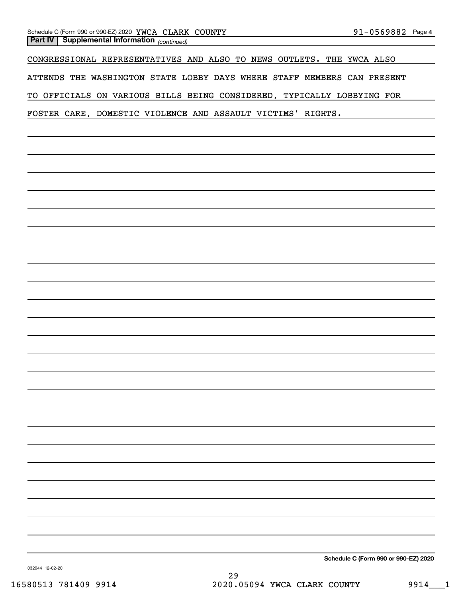CONGRESSIONAL REPRESENTATIVES AND ALSO TO NEWS OUTLETS. THE YWCA ALSO

ATTENDS THE WASHINGTON STATE LOBBY DAYS WHERE STAFF MEMBERS CAN PRESENT

TO OFFICIALS ON VARIOUS BILLS BEING CONSIDERED, TYPICALLY LOBBYING FOR

FOSTER CARE, DOMESTIC VIOLENCE AND ASSAULT VICTIMS' RIGHTS.

**Schedule C (Form 990 or 990-EZ) 2020**

032044 12-02-20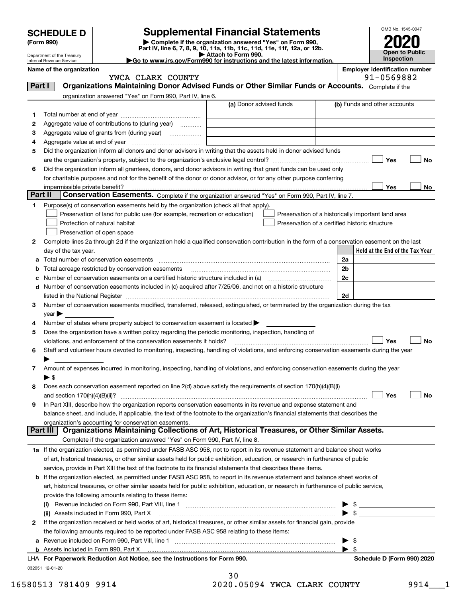|         | <b>SCHEDULE D</b>                                      | <b>Supplemental Financial Statements</b>                                                                                                                                                                                       |                         |                                                |                          | OMB No. 1545-0047                                  |
|---------|--------------------------------------------------------|--------------------------------------------------------------------------------------------------------------------------------------------------------------------------------------------------------------------------------|-------------------------|------------------------------------------------|--------------------------|----------------------------------------------------|
|         | (Form 990)                                             | Complete if the organization answered "Yes" on Form 990,                                                                                                                                                                       |                         |                                                |                          |                                                    |
|         |                                                        | Part IV, line 6, 7, 8, 9, 10, 11a, 11b, 11c, 11d, 11e, 11f, 12a, or 12b.                                                                                                                                                       |                         |                                                |                          | Open to Public                                     |
|         | Department of the Treasury<br>Internal Revenue Service | Go to www.irs.gov/Form990 for instructions and the latest information.                                                                                                                                                         | Attach to Form 990.     |                                                |                          | Inspection                                         |
|         | Name of the organization                               |                                                                                                                                                                                                                                |                         |                                                |                          | <b>Employer identification number</b>              |
|         |                                                        | YWCA CLARK COUNTY<br>Organizations Maintaining Donor Advised Funds or Other Similar Funds or Accounts. Complete if the                                                                                                         |                         |                                                |                          | 91-0569882                                         |
| Part I  |                                                        |                                                                                                                                                                                                                                |                         |                                                |                          |                                                    |
|         |                                                        | organization answered "Yes" on Form 990, Part IV, line 6.                                                                                                                                                                      | (a) Donor advised funds |                                                |                          | (b) Funds and other accounts                       |
|         |                                                        |                                                                                                                                                                                                                                |                         |                                                |                          |                                                    |
| 1       |                                                        |                                                                                                                                                                                                                                |                         |                                                |                          |                                                    |
| 2       |                                                        | Aggregate value of contributions to (during year)                                                                                                                                                                              |                         |                                                |                          |                                                    |
| з<br>4  |                                                        | Aggregate value of grants from (during year)                                                                                                                                                                                   |                         |                                                |                          |                                                    |
| 5       |                                                        | Did the organization inform all donors and donor advisors in writing that the assets held in donor advised funds                                                                                                               |                         |                                                |                          |                                                    |
|         |                                                        |                                                                                                                                                                                                                                |                         |                                                |                          | Yes<br>No                                          |
| 6       |                                                        | Did the organization inform all grantees, donors, and donor advisors in writing that grant funds can be used only                                                                                                              |                         |                                                |                          |                                                    |
|         |                                                        | for charitable purposes and not for the benefit of the donor or donor advisor, or for any other purpose conferring                                                                                                             |                         |                                                |                          |                                                    |
|         | impermissible private benefit?                         |                                                                                                                                                                                                                                |                         |                                                |                          | <b>Yes</b><br>No                                   |
| Part II |                                                        | Conservation Easements. Complete if the organization answered "Yes" on Form 990, Part IV, line 7.                                                                                                                              |                         |                                                |                          |                                                    |
| 1       |                                                        | Purpose(s) of conservation easements held by the organization (check all that apply).                                                                                                                                          |                         |                                                |                          |                                                    |
|         |                                                        | Preservation of land for public use (for example, recreation or education)                                                                                                                                                     |                         |                                                |                          | Preservation of a historically important land area |
|         |                                                        | Protection of natural habitat                                                                                                                                                                                                  |                         | Preservation of a certified historic structure |                          |                                                    |
|         |                                                        | Preservation of open space                                                                                                                                                                                                     |                         |                                                |                          |                                                    |
| 2       |                                                        | Complete lines 2a through 2d if the organization held a qualified conservation contribution in the form of a conservation easement on the last                                                                                 |                         |                                                |                          |                                                    |
|         | day of the tax year.                                   |                                                                                                                                                                                                                                |                         |                                                |                          | Held at the End of the Tax Year                    |
|         |                                                        | Total number of conservation easements                                                                                                                                                                                         |                         |                                                | 2a                       |                                                    |
|         |                                                        |                                                                                                                                                                                                                                |                         |                                                | 2b                       |                                                    |
|         |                                                        | Number of conservation easements on a certified historic structure included in (a) manufacture included in (a)                                                                                                                 |                         |                                                | 2c                       |                                                    |
|         |                                                        | d Number of conservation easements included in (c) acquired after 7/25/06, and not on a historic structure                                                                                                                     |                         |                                                |                          |                                                    |
|         |                                                        | listed in the National Register [111] [12] The Mational Register [11] Mathematic Mathematic Mathematic Mathematic Mathematic Mathematic Mathematic Mathematic Mathematic Mathematic Mathematic Mathematic Mathematic Mathemati |                         |                                                | 2d                       |                                                    |
| з       |                                                        | Number of conservation easements modified, transferred, released, extinguished, or terminated by the organization during the tax                                                                                               |                         |                                                |                          |                                                    |
|         | $year \blacktriangleright$                             |                                                                                                                                                                                                                                |                         |                                                |                          |                                                    |
| 4       |                                                        | Number of states where property subject to conservation easement is located $\blacktriangleright$                                                                                                                              |                         |                                                |                          |                                                    |
| 5       |                                                        | Does the organization have a written policy regarding the periodic monitoring, inspection, handling of                                                                                                                         |                         |                                                |                          |                                                    |
|         |                                                        | violations, and enforcement of the conservation easements it holds?                                                                                                                                                            |                         |                                                |                          | No<br>Yes                                          |
| 6       |                                                        | Staff and volunteer hours devoted to monitoring, inspecting, handling of violations, and enforcing conservation easements during the year                                                                                      |                         |                                                |                          |                                                    |
|         |                                                        |                                                                                                                                                                                                                                |                         |                                                |                          |                                                    |
| 7       |                                                        | Amount of expenses incurred in monitoring, inspecting, handling of violations, and enforcing conservation easements during the year                                                                                            |                         |                                                |                          |                                                    |
| 8       | ▶ \$                                                   |                                                                                                                                                                                                                                |                         |                                                |                          |                                                    |
|         | and section $170(h)(4)(B)(ii)?$                        | Does each conservation easement reported on line 2(d) above satisfy the requirements of section 170(h)(4)(B)(i)                                                                                                                |                         |                                                |                          | Yes<br>No                                          |
| 9       |                                                        | In Part XIII, describe how the organization reports conservation easements in its revenue and expense statement and                                                                                                            |                         |                                                |                          |                                                    |
|         |                                                        | balance sheet, and include, if applicable, the text of the footnote to the organization's financial statements that describes the                                                                                              |                         |                                                |                          |                                                    |
|         |                                                        | organization's accounting for conservation easements.                                                                                                                                                                          |                         |                                                |                          |                                                    |
|         | Part III                                               | Organizations Maintaining Collections of Art, Historical Treasures, or Other Similar Assets.                                                                                                                                   |                         |                                                |                          |                                                    |
|         |                                                        | Complete if the organization answered "Yes" on Form 990, Part IV, line 8.                                                                                                                                                      |                         |                                                |                          |                                                    |
|         |                                                        | 1a If the organization elected, as permitted under FASB ASC 958, not to report in its revenue statement and balance sheet works                                                                                                |                         |                                                |                          |                                                    |
|         |                                                        | of art, historical treasures, or other similar assets held for public exhibition, education, or research in furtherance of public                                                                                              |                         |                                                |                          |                                                    |
|         |                                                        | service, provide in Part XIII the text of the footnote to its financial statements that describes these items.                                                                                                                 |                         |                                                |                          |                                                    |
|         |                                                        | <b>b</b> If the organization elected, as permitted under FASB ASC 958, to report in its revenue statement and balance sheet works of                                                                                           |                         |                                                |                          |                                                    |
|         |                                                        | art, historical treasures, or other similar assets held for public exhibition, education, or research in furtherance of public service,                                                                                        |                         |                                                |                          |                                                    |
|         |                                                        | provide the following amounts relating to these items:                                                                                                                                                                         |                         |                                                |                          |                                                    |
|         |                                                        | Revenue included on Form 990, Part VIII, line 1 [2000] [2000] [2000] [2000] [2000] [2000] [2000] [2000] [2000                                                                                                                  |                         |                                                |                          | $\triangleright$ \$                                |
|         |                                                        | (ii) Assets included in Form 990, Part X                                                                                                                                                                                       |                         |                                                |                          | $\blacktriangleright$ \$                           |
| 2       |                                                        | If the organization received or held works of art, historical treasures, or other similar assets for financial gain, provide                                                                                                   |                         |                                                |                          |                                                    |
|         |                                                        | the following amounts required to be reported under FASB ASC 958 relating to these items:                                                                                                                                      |                         |                                                |                          |                                                    |
|         |                                                        |                                                                                                                                                                                                                                |                         |                                                |                          | $\triangleright$ \$                                |
|         |                                                        |                                                                                                                                                                                                                                |                         |                                                | $\blacktriangleright$ \$ |                                                    |

032051 12-01-20 **For Paperwork Reduction Act Notice, see the Instructions for Form 990. Schedule D (Form 990) 2020** LHA

30 16580513 781409 9914 2020.05094 YWCA CLARK COUNTY 9914\_\_\_1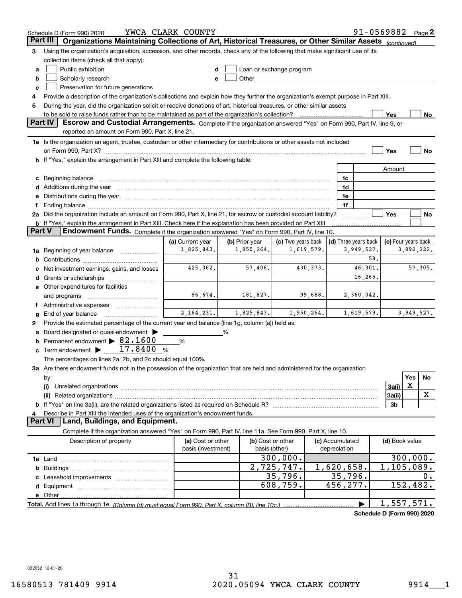|          | Schedule D (Form 990) 2020                                                                                                                                                                                                     | YWCA CLARK COUNTY              |                |                                                                                                                                                                                                                                |                 | 91-0569882 Page 2    |                            |            |          |
|----------|--------------------------------------------------------------------------------------------------------------------------------------------------------------------------------------------------------------------------------|--------------------------------|----------------|--------------------------------------------------------------------------------------------------------------------------------------------------------------------------------------------------------------------------------|-----------------|----------------------|----------------------------|------------|----------|
| Part III | Organizations Maintaining Collections of Art, Historical Treasures, or Other Similar Assets                                                                                                                                    |                                |                |                                                                                                                                                                                                                                |                 |                      | (continued)                |            |          |
| з        | Using the organization's acquisition, accession, and other records, check any of the following that make significant use of its                                                                                                |                                |                |                                                                                                                                                                                                                                |                 |                      |                            |            |          |
|          | collection items (check all that apply):                                                                                                                                                                                       |                                |                |                                                                                                                                                                                                                                |                 |                      |                            |            |          |
| a        | Public exhibition                                                                                                                                                                                                              |                                |                | Loan or exchange program                                                                                                                                                                                                       |                 |                      |                            |            |          |
| b        | Scholarly research                                                                                                                                                                                                             |                                |                | Other and the control of the control of the control of the control of the control of the control of the control of the control of the control of the control of the control of the control of the control of the control of th |                 |                      |                            |            |          |
| c        | Preservation for future generations                                                                                                                                                                                            |                                |                |                                                                                                                                                                                                                                |                 |                      |                            |            |          |
| 4        | Provide a description of the organization's collections and explain how they further the organization's exempt purpose in Part XIII.                                                                                           |                                |                |                                                                                                                                                                                                                                |                 |                      |                            |            |          |
| 5        | During the year, did the organization solicit or receive donations of art, historical treasures, or other similar assets                                                                                                       |                                |                |                                                                                                                                                                                                                                |                 |                      |                            |            |          |
|          | to be sold to raise funds rather than to be maintained as part of the organization's collection?                                                                                                                               |                                |                |                                                                                                                                                                                                                                |                 |                      | Yes                        |            | No       |
|          | <b>Part IV</b><br>Escrow and Custodial Arrangements. Complete if the organization answered "Yes" on Form 990, Part IV, line 9, or                                                                                              |                                |                |                                                                                                                                                                                                                                |                 |                      |                            |            |          |
|          | reported an amount on Form 990, Part X, line 21.                                                                                                                                                                               |                                |                |                                                                                                                                                                                                                                |                 |                      |                            |            |          |
|          | 1a Is the organization an agent, trustee, custodian or other intermediary for contributions or other assets not included                                                                                                       |                                |                |                                                                                                                                                                                                                                |                 |                      |                            |            |          |
|          |                                                                                                                                                                                                                                |                                |                |                                                                                                                                                                                                                                |                 |                      | Yes                        |            | No       |
|          | b If "Yes," explain the arrangement in Part XIII and complete the following table:                                                                                                                                             |                                |                |                                                                                                                                                                                                                                |                 |                      |                            |            |          |
|          |                                                                                                                                                                                                                                |                                |                |                                                                                                                                                                                                                                |                 |                      | Amount                     |            |          |
| c        |                                                                                                                                                                                                                                |                                |                |                                                                                                                                                                                                                                |                 | 1c                   |                            |            |          |
|          | d Additions during the year measurement contains and a state of the year measurement of the year measurement of                                                                                                                |                                |                |                                                                                                                                                                                                                                |                 | 1d                   |                            |            |          |
|          | e Distributions during the year manufactured and an according to the year manufactured and the year manufactur                                                                                                                 |                                |                |                                                                                                                                                                                                                                |                 | 1e                   |                            |            |          |
| Ť.       | Ending balance manufactured and contact the contract of the contract of the contract of the contract of the contract of the contract of the contract of the contract of the contract of the contract of the contract of the co |                                |                |                                                                                                                                                                                                                                |                 | 1f                   |                            |            |          |
|          | 2a Did the organization include an amount on Form 990, Part X, line 21, for escrow or custodial account liability?                                                                                                             |                                |                |                                                                                                                                                                                                                                |                 |                      | Yes                        |            | No       |
| Part V   | <b>b</b> If "Yes," explain the arrangement in Part XIII. Check here if the explanation has been provided on Part XIII                                                                                                          |                                |                |                                                                                                                                                                                                                                |                 |                      |                            |            |          |
|          | Endowment Funds. Complete if the organization answered "Yes" on Form 990, Part IV, line 10.                                                                                                                                    |                                |                |                                                                                                                                                                                                                                |                 |                      |                            |            |          |
|          |                                                                                                                                                                                                                                | (a) Current year<br>1,825,843. | (b) Prior year | (c) Two years back                                                                                                                                                                                                             |                 | (d) Three years back | (e) Four years back        |            |          |
| 1a       | Beginning of year balance                                                                                                                                                                                                      |                                | 1,950,264.     | 1,619,579.                                                                                                                                                                                                                     |                 | 3,949,527.<br>58.    |                            | 3,892,222. |          |
|          |                                                                                                                                                                                                                                | 425,062.                       | 57,406.        | 430, 373.                                                                                                                                                                                                                      |                 | 46,301.              |                            |            | 57,305.  |
|          | Net investment earnings, gains, and losses                                                                                                                                                                                     |                                |                |                                                                                                                                                                                                                                |                 | 16,265.              |                            |            |          |
| d        | Grants or scholarships                                                                                                                                                                                                         |                                |                |                                                                                                                                                                                                                                |                 |                      |                            |            |          |
|          | e Other expenditures for facilities                                                                                                                                                                                            | 86,674.                        | 181,827.       | 99,688.                                                                                                                                                                                                                        |                 | 2,360,042.           |                            |            |          |
|          | and programs                                                                                                                                                                                                                   |                                |                |                                                                                                                                                                                                                                |                 |                      |                            |            |          |
|          |                                                                                                                                                                                                                                | 2, 164, 231.                   | 1,825,843.     | 1,950,264.                                                                                                                                                                                                                     |                 | 1,619,579.           |                            | 3,949,527. |          |
| g<br>2   | End of year balance<br>Provide the estimated percentage of the current year end balance (line 1g, column (a)) held as:                                                                                                         |                                |                |                                                                                                                                                                                                                                |                 |                      |                            |            |          |
|          | Board designated or quasi-endowment                                                                                                                                                                                            |                                | %              |                                                                                                                                                                                                                                |                 |                      |                            |            |          |
| b        | Permanent endowment $\triangleright$ 82.1600                                                                                                                                                                                   | %                              |                |                                                                                                                                                                                                                                |                 |                      |                            |            |          |
| c        | 17.8400<br>Term endowment >                                                                                                                                                                                                    | %                              |                |                                                                                                                                                                                                                                |                 |                      |                            |            |          |
|          | The percentages on lines 2a, 2b, and 2c should equal 100%.                                                                                                                                                                     |                                |                |                                                                                                                                                                                                                                |                 |                      |                            |            |          |
|          | 3a Are there endowment funds not in the possession of the organization that are held and administered for the organization                                                                                                     |                                |                |                                                                                                                                                                                                                                |                 |                      |                            |            |          |
|          | by:                                                                                                                                                                                                                            |                                |                |                                                                                                                                                                                                                                |                 |                      |                            | Yes        | No       |
|          | (i)                                                                                                                                                                                                                            |                                |                |                                                                                                                                                                                                                                |                 |                      | 3a(i)                      | X          |          |
|          |                                                                                                                                                                                                                                |                                |                |                                                                                                                                                                                                                                |                 |                      | 3a(ii)                     |            | X        |
|          |                                                                                                                                                                                                                                |                                |                |                                                                                                                                                                                                                                |                 |                      | 3b                         |            |          |
| 4        | Describe in Part XIII the intended uses of the organization's endowment funds.                                                                                                                                                 |                                |                |                                                                                                                                                                                                                                |                 |                      |                            |            |          |
|          | Land, Buildings, and Equipment.<br>Part VI                                                                                                                                                                                     |                                |                |                                                                                                                                                                                                                                |                 |                      |                            |            |          |
|          | Complete if the organization answered "Yes" on Form 990, Part IV, line 11a. See Form 990, Part X, line 10.                                                                                                                     |                                |                |                                                                                                                                                                                                                                |                 |                      |                            |            |          |
|          | Description of property                                                                                                                                                                                                        | (a) Cost or other              |                | (b) Cost or other                                                                                                                                                                                                              | (c) Accumulated |                      | (d) Book value             |            |          |
|          |                                                                                                                                                                                                                                | basis (investment)             |                | basis (other)                                                                                                                                                                                                                  | depreciation    |                      |                            |            |          |
|          |                                                                                                                                                                                                                                |                                |                | 300,000.                                                                                                                                                                                                                       |                 |                      |                            |            | 300,000. |
| b        |                                                                                                                                                                                                                                |                                |                | 2,725,747.                                                                                                                                                                                                                     |                 | 1,620,658.           | 1,105,089.                 |            |          |
|          |                                                                                                                                                                                                                                |                                |                | 35,796.                                                                                                                                                                                                                        |                 | 35,796.              |                            |            | 0.       |
|          |                                                                                                                                                                                                                                |                                |                | 608,759.                                                                                                                                                                                                                       |                 | 456,277.             |                            | 152,482.   |          |
|          |                                                                                                                                                                                                                                |                                |                |                                                                                                                                                                                                                                |                 |                      |                            |            |          |
|          |                                                                                                                                                                                                                                |                                |                |                                                                                                                                                                                                                                |                 |                      | 1,557,571.                 |            |          |
|          |                                                                                                                                                                                                                                |                                |                |                                                                                                                                                                                                                                |                 |                      | Schedule D (Form 990) 2020 |            |          |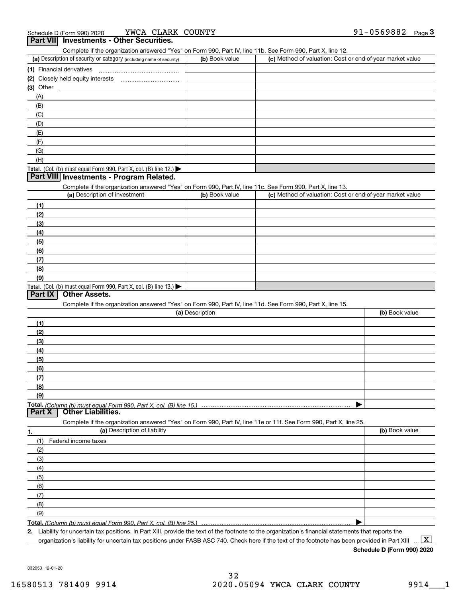| YWCA CLARK COUNTY<br>Schedule D (Form 990) 2020                                                                   |                 |                                                           | $91 - 0569882$ Page 3 |
|-------------------------------------------------------------------------------------------------------------------|-----------------|-----------------------------------------------------------|-----------------------|
| <b>Part VII</b> Investments - Other Securities.                                                                   |                 |                                                           |                       |
| Complete if the organization answered "Yes" on Form 990, Part IV, line 11b. See Form 990, Part X, line 12.        |                 |                                                           |                       |
| (a) Description of security or category (including name of security)                                              | (b) Book value  | (c) Method of valuation: Cost or end-of-year market value |                       |
| (1) Financial derivatives                                                                                         |                 |                                                           |                       |
|                                                                                                                   |                 |                                                           |                       |
| (3) Other                                                                                                         |                 |                                                           |                       |
| (A)                                                                                                               |                 |                                                           |                       |
| (B)                                                                                                               |                 |                                                           |                       |
| (C)                                                                                                               |                 |                                                           |                       |
| (D)                                                                                                               |                 |                                                           |                       |
| (E)                                                                                                               |                 |                                                           |                       |
| (F)                                                                                                               |                 |                                                           |                       |
| (G)                                                                                                               |                 |                                                           |                       |
| (H)                                                                                                               |                 |                                                           |                       |
| Total. (Col. (b) must equal Form 990, Part X, col. (B) line 12.)                                                  |                 |                                                           |                       |
| Part VIII Investments - Program Related.                                                                          |                 |                                                           |                       |
| Complete if the organization answered "Yes" on Form 990, Part IV, line 11c. See Form 990, Part X, line 13.        |                 |                                                           |                       |
| (a) Description of investment                                                                                     | (b) Book value  | (c) Method of valuation: Cost or end-of-year market value |                       |
| (1)                                                                                                               |                 |                                                           |                       |
| (2)                                                                                                               |                 |                                                           |                       |
| (3)                                                                                                               |                 |                                                           |                       |
| (4)                                                                                                               |                 |                                                           |                       |
| (5)                                                                                                               |                 |                                                           |                       |
| (6)                                                                                                               |                 |                                                           |                       |
| (7)                                                                                                               |                 |                                                           |                       |
| (8)                                                                                                               |                 |                                                           |                       |
| (9)                                                                                                               |                 |                                                           |                       |
| Total. (Col. (b) must equal Form 990, Part X, col. (B) line 13.)                                                  |                 |                                                           |                       |
| <b>Part IX</b><br><b>Other Assets.</b>                                                                            |                 |                                                           |                       |
| Complete if the organization answered "Yes" on Form 990, Part IV, line 11d. See Form 990, Part X, line 15.        |                 |                                                           |                       |
|                                                                                                                   | (a) Description |                                                           | (b) Book value        |
| (1)                                                                                                               |                 |                                                           |                       |
| (2)                                                                                                               |                 |                                                           |                       |
| (3)                                                                                                               |                 |                                                           |                       |
| (4)                                                                                                               |                 |                                                           |                       |
| (5)                                                                                                               |                 |                                                           |                       |
| (6)                                                                                                               |                 |                                                           |                       |
| (7)                                                                                                               |                 |                                                           |                       |
| (8)                                                                                                               |                 |                                                           |                       |
| (9)                                                                                                               |                 |                                                           |                       |
| Total. (Column (b) must equal Form 990. Part X, col. (B) line 15.)                                                |                 |                                                           |                       |
| <b>Part X</b><br><b>Other Liabilities.</b>                                                                        |                 |                                                           |                       |
| Complete if the organization answered "Yes" on Form 990, Part IV, line 11e or 11f. See Form 990, Part X, line 25. |                 |                                                           |                       |
| (a) Description of liability<br>1.                                                                                |                 |                                                           | (b) Book value        |
| (1)<br>Federal income taxes                                                                                       |                 |                                                           |                       |
| (2)                                                                                                               |                 |                                                           |                       |
| (3)                                                                                                               |                 |                                                           |                       |
|                                                                                                                   |                 |                                                           |                       |
| (4)                                                                                                               |                 |                                                           |                       |
| (5)                                                                                                               |                 |                                                           |                       |
| (6)                                                                                                               |                 |                                                           |                       |
| (7)                                                                                                               |                 |                                                           |                       |
| (8)                                                                                                               |                 |                                                           |                       |
| (9)                                                                                                               |                 |                                                           |                       |
| Total. (Column (b) must equal Form 990, Part X, col. (B) line 25.)                                                |                 |                                                           |                       |

**2.** Liability for uncertain tax positions. In Part XIII, provide the text of the footnote to the organization's financial statements that reports the organization's liability for uncertain tax positions under FASB ASC 740. Check here if the text of the footnote has been provided in Part XIII

**Schedule D (Form 990) 2020**  $\boxed{\text{X}}$ 

032053 12-01-20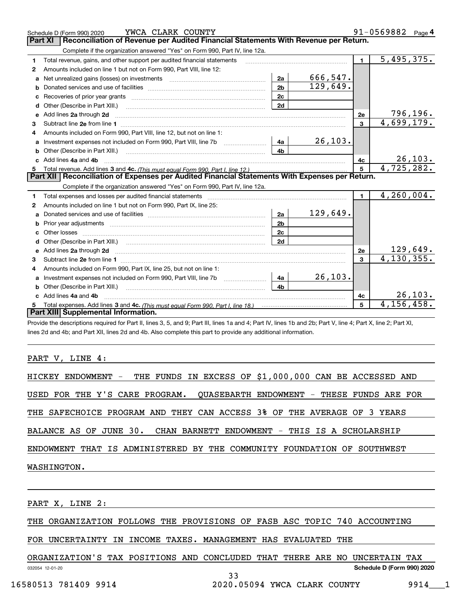|    | YWCA CLARK COUNTY<br>Schedule D (Form 990) 2020                                                                                                                                                                                |                |                          |                | $91 - 0569882$ Page 4 |
|----|--------------------------------------------------------------------------------------------------------------------------------------------------------------------------------------------------------------------------------|----------------|--------------------------|----------------|-----------------------|
|    | Reconciliation of Revenue per Audited Financial Statements With Revenue per Return.<br>Part XI                                                                                                                                 |                |                          |                |                       |
|    | Complete if the organization answered "Yes" on Form 990, Part IV, line 12a.                                                                                                                                                    |                |                          |                |                       |
| 1  | Total revenue, gains, and other support per audited financial statements                                                                                                                                                       |                |                          | $\blacksquare$ | 5,495,375.            |
| 2  | Amounts included on line 1 but not on Form 990, Part VIII, line 12:                                                                                                                                                            |                |                          |                |                       |
| a  | Net unrealized gains (losses) on investments [11] matter contracts and the unrealized gains (losses) on investments                                                                                                            | 2a             | 666,547.                 |                |                       |
| b  |                                                                                                                                                                                                                                | 2 <sub>b</sub> | 129,649.                 |                |                       |
| c  |                                                                                                                                                                                                                                | 2c             |                          |                |                       |
| d  | Other (Describe in Part XIII.)                                                                                                                                                                                                 | 2d             |                          |                |                       |
| е  | Add lines 2a through 2d                                                                                                                                                                                                        |                |                          | 2e             | 796,196.              |
| 3  |                                                                                                                                                                                                                                |                |                          | $\mathbf{3}$   | 4,699,179.            |
|    | Amounts included on Form 990, Part VIII, line 12, but not on line 1:                                                                                                                                                           |                |                          |                |                       |
| a  |                                                                                                                                                                                                                                | 4a             | 26, 103.                 |                |                       |
| b  | Other (Describe in Part XIII.)                                                                                                                                                                                                 | 4b             |                          |                |                       |
|    | Add lines 4a and 4b                                                                                                                                                                                                            |                |                          | 4c             | 26, 103.              |
| 5  |                                                                                                                                                                                                                                | 5              | $\overline{4,725}, 282.$ |                |                       |
|    | Part XII   Reconciliation of Expenses per Audited Financial Statements With Expenses per Return.                                                                                                                               |                |                          |                |                       |
|    | Complete if the organization answered "Yes" on Form 990, Part IV, line 12a.                                                                                                                                                    |                |                          |                |                       |
| 1. | Total expenses and losses per audited financial statements [11] [11] Total expenses and losses per audited financial statements [11] [11] Total expenses and losses per audited financial statements                           |                |                          | $\blacksquare$ | 4, 260, 004.          |
| 2  | Amounts included on line 1 but not on Form 990, Part IX, line 25:                                                                                                                                                              |                |                          |                |                       |
| a  |                                                                                                                                                                                                                                | 2a             | 129,649.                 |                |                       |
| b  |                                                                                                                                                                                                                                | 2 <sub>b</sub> |                          |                |                       |
|    |                                                                                                                                                                                                                                | 2c             |                          |                |                       |
|    |                                                                                                                                                                                                                                | 2d             |                          |                |                       |
|    | e Add lines 2a through 2d [11] manufactured and all the Add lines 2a through 2d [11] manufactured and all through 2d [11] manufactured and all through 2d [11] manufactured and all through 2d [11] manufactured and all throu |                |                          | 2e             | 129,649.              |
| 3  |                                                                                                                                                                                                                                |                |                          | 3              | 4,130,355.            |
| 4  | Amounts included on Form 990, Part IX, line 25, but not on line 1:                                                                                                                                                             |                |                          |                |                       |
| a  | Investment expenses not included on Form 990, Part VIII, line 7b                                                                                                                                                               | 4a             | 26, 103.                 |                |                       |
| b  | Other (Describe in Part XIII.) [100] [100] [100] [100] [100] [100] [100] [100] [100] [100] [100] [100] [100] [                                                                                                                 | 4b             |                          |                |                       |
|    | Add lines 4a and 4b                                                                                                                                                                                                            |                |                          | 4c             | 26, 103.              |
|    |                                                                                                                                                                                                                                |                |                          | 5              | 4,156,458.            |
|    | Part XIII Supplemental Information.                                                                                                                                                                                            |                |                          |                |                       |

Provide the descriptions required for Part II, lines 3, 5, and 9; Part III, lines 1a and 4; Part IV, lines 1b and 2b; Part V, line 4; Part X, line 2; Part XI, lines 2d and 4b; and Part XII, lines 2d and 4b. Also complete this part to provide any additional information.

PART V, LINE 4:

| HICKEY ENDOWMENT - THE FUNDS IN EXCESS OF \$1,000,000 CAN BE ACCESSED AND |
|---------------------------------------------------------------------------|
| USED FOR THE Y'S CARE PROGRAM. QUASEBARTH ENDOWMENT - THESE FUNDS ARE FOR |
| THE SAFECHOICE PROGRAM AND THEY CAN ACCESS 3% OF THE AVERAGE OF 3 YEARS   |
| BALANCE AS OF JUNE 30. CHAN BARNETT ENDOWMENT - THIS IS A SCHOLARSHIP     |
| ENDOWMENT THAT IS ADMINISTERED BY THE COMMUNITY FOUNDATION OF SOUTHWEST   |
| WASHINGTON.                                                               |
|                                                                           |
| PART X, LINE 2:                                                           |
| THE ORGANIZATION FOLLOWS THE PROVISIONS OF FASB ASC TOPIC 740 ACCOUNTING  |

FOR UNCERTAINTY IN INCOME TAXES. MANAGEMENT HAS EVALUATED THE

032054 12-01-20 **Schedule D (Form 990) 2020** ORGANIZATION'S TAX POSITIONS AND CONCLUDED THAT THERE ARE NO UNCERTAIN TAX 33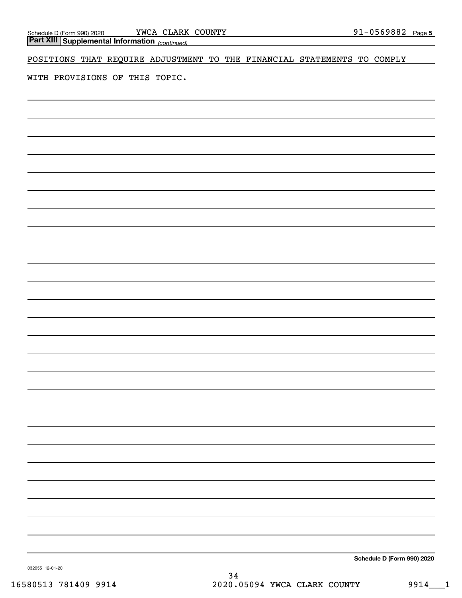*(continued)* **Part XIII Supplemental Information** 

POSITIONS THAT REQUIRE ADJUSTMENT TO THE FINANCIAL STATEMENTS TO COMPLY

WITH PROVISIONS OF THIS TOPIC.

**Schedule D (Form 990) 2020**

032055 12-01-20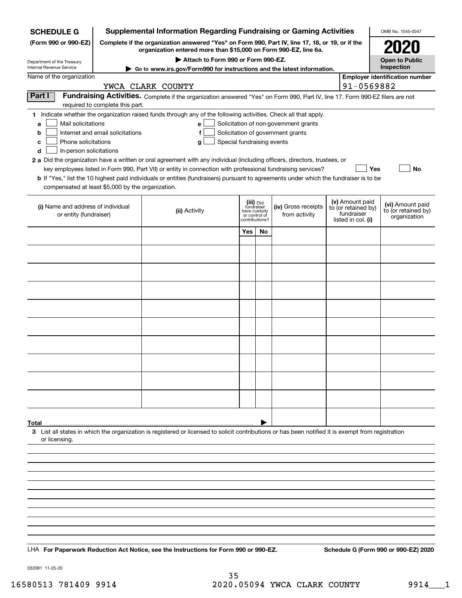| <b>SCHEDULE G</b>                                                                                                 |                                                                                                                                                                     | <b>Supplemental Information Regarding Fundraising or Gaming Activities</b>                                                                                                                                                                                                                                                                                                                                |                                                                            |    |                                                                            |  |                                                                            | OMB No. 1545-0047                                       |  |
|-------------------------------------------------------------------------------------------------------------------|---------------------------------------------------------------------------------------------------------------------------------------------------------------------|-----------------------------------------------------------------------------------------------------------------------------------------------------------------------------------------------------------------------------------------------------------------------------------------------------------------------------------------------------------------------------------------------------------|----------------------------------------------------------------------------|----|----------------------------------------------------------------------------|--|----------------------------------------------------------------------------|---------------------------------------------------------|--|
| (Form 990 or 990-EZ)                                                                                              | Complete if the organization answered "Yes" on Form 990, Part IV, line 17, 18, or 19, or if the<br>organization entered more than \$15,000 on Form 990-EZ, line 6a. |                                                                                                                                                                                                                                                                                                                                                                                                           |                                                                            |    |                                                                            |  |                                                                            | 2020                                                    |  |
|                                                                                                                   |                                                                                                                                                                     | Attach to Form 990 or Form 990-EZ.                                                                                                                                                                                                                                                                                                                                                                        |                                                                            |    |                                                                            |  |                                                                            | <b>Open to Public</b>                                   |  |
| Department of the Treasury<br>Internal Revenue Service                                                            |                                                                                                                                                                     | Go to www.irs.gov/Form990 for instructions and the latest information.                                                                                                                                                                                                                                                                                                                                    |                                                                            |    |                                                                            |  |                                                                            | Inspection                                              |  |
| Name of the organization                                                                                          |                                                                                                                                                                     | YWCA CLARK COUNTY                                                                                                                                                                                                                                                                                                                                                                                         |                                                                            |    |                                                                            |  | 91-0569882                                                                 | <b>Employer identification number</b>                   |  |
| Part I                                                                                                            |                                                                                                                                                                     | Fundraising Activities. Complete if the organization answered "Yes" on Form 990, Part IV, line 17. Form 990-EZ filers are not                                                                                                                                                                                                                                                                             |                                                                            |    |                                                                            |  |                                                                            |                                                         |  |
|                                                                                                                   | required to complete this part.                                                                                                                                     |                                                                                                                                                                                                                                                                                                                                                                                                           |                                                                            |    |                                                                            |  |                                                                            |                                                         |  |
| Mail solicitations<br>a<br>b<br>Phone solicitations<br>с<br>In-person solicitations<br>d                          | Internet and email solicitations                                                                                                                                    | 1 Indicate whether the organization raised funds through any of the following activities. Check all that apply.<br>е<br>f<br>Special fundraising events<br>g<br>2 a Did the organization have a written or oral agreement with any individual (including officers, directors, trustees, or<br>key employees listed in Form 990, Part VII) or entity in connection with professional fundraising services? |                                                                            |    | Solicitation of non-government grants<br>Solicitation of government grants |  | Yes                                                                        | No                                                      |  |
|                                                                                                                   |                                                                                                                                                                     | b If "Yes," list the 10 highest paid individuals or entities (fundraisers) pursuant to agreements under which the fundraiser is to be                                                                                                                                                                                                                                                                     |                                                                            |    |                                                                            |  |                                                                            |                                                         |  |
| compensated at least \$5,000 by the organization.<br>(i) Name and address of individual<br>or entity (fundraiser) |                                                                                                                                                                     | (ii) Activity                                                                                                                                                                                                                                                                                                                                                                                             | (iii) Did<br>fundraiser<br>have custody<br>or control of<br>contributions? |    | (iv) Gross receipts<br>from activity                                       |  | (v) Amount paid<br>to (or retained by)<br>fundraiser<br>listed in col. (i) | (vi) Amount paid<br>to (or retained by)<br>organization |  |
|                                                                                                                   |                                                                                                                                                                     |                                                                                                                                                                                                                                                                                                                                                                                                           | Yes                                                                        | No |                                                                            |  |                                                                            |                                                         |  |
|                                                                                                                   |                                                                                                                                                                     |                                                                                                                                                                                                                                                                                                                                                                                                           |                                                                            |    |                                                                            |  |                                                                            |                                                         |  |
|                                                                                                                   |                                                                                                                                                                     |                                                                                                                                                                                                                                                                                                                                                                                                           |                                                                            |    |                                                                            |  |                                                                            |                                                         |  |
|                                                                                                                   |                                                                                                                                                                     |                                                                                                                                                                                                                                                                                                                                                                                                           |                                                                            |    |                                                                            |  |                                                                            |                                                         |  |
|                                                                                                                   |                                                                                                                                                                     |                                                                                                                                                                                                                                                                                                                                                                                                           |                                                                            |    |                                                                            |  |                                                                            |                                                         |  |
|                                                                                                                   |                                                                                                                                                                     |                                                                                                                                                                                                                                                                                                                                                                                                           |                                                                            |    |                                                                            |  |                                                                            |                                                         |  |
|                                                                                                                   |                                                                                                                                                                     |                                                                                                                                                                                                                                                                                                                                                                                                           |                                                                            |    |                                                                            |  |                                                                            |                                                         |  |
|                                                                                                                   |                                                                                                                                                                     |                                                                                                                                                                                                                                                                                                                                                                                                           |                                                                            |    |                                                                            |  |                                                                            |                                                         |  |
|                                                                                                                   |                                                                                                                                                                     |                                                                                                                                                                                                                                                                                                                                                                                                           |                                                                            |    |                                                                            |  |                                                                            |                                                         |  |
|                                                                                                                   |                                                                                                                                                                     |                                                                                                                                                                                                                                                                                                                                                                                                           |                                                                            |    |                                                                            |  |                                                                            |                                                         |  |
|                                                                                                                   |                                                                                                                                                                     |                                                                                                                                                                                                                                                                                                                                                                                                           |                                                                            |    |                                                                            |  |                                                                            |                                                         |  |
|                                                                                                                   |                                                                                                                                                                     |                                                                                                                                                                                                                                                                                                                                                                                                           |                                                                            |    |                                                                            |  |                                                                            |                                                         |  |
|                                                                                                                   |                                                                                                                                                                     |                                                                                                                                                                                                                                                                                                                                                                                                           |                                                                            |    |                                                                            |  |                                                                            |                                                         |  |
|                                                                                                                   |                                                                                                                                                                     |                                                                                                                                                                                                                                                                                                                                                                                                           |                                                                            |    |                                                                            |  |                                                                            |                                                         |  |
|                                                                                                                   |                                                                                                                                                                     |                                                                                                                                                                                                                                                                                                                                                                                                           |                                                                            |    |                                                                            |  |                                                                            |                                                         |  |
| Total                                                                                                             |                                                                                                                                                                     |                                                                                                                                                                                                                                                                                                                                                                                                           |                                                                            |    |                                                                            |  |                                                                            |                                                         |  |
|                                                                                                                   |                                                                                                                                                                     | 3 List all states in which the organization is registered or licensed to solicit contributions or has been notified it is exempt from registration                                                                                                                                                                                                                                                        |                                                                            |    |                                                                            |  |                                                                            |                                                         |  |
| or licensing.                                                                                                     |                                                                                                                                                                     |                                                                                                                                                                                                                                                                                                                                                                                                           |                                                                            |    |                                                                            |  |                                                                            |                                                         |  |
|                                                                                                                   |                                                                                                                                                                     |                                                                                                                                                                                                                                                                                                                                                                                                           |                                                                            |    |                                                                            |  |                                                                            |                                                         |  |
|                                                                                                                   |                                                                                                                                                                     |                                                                                                                                                                                                                                                                                                                                                                                                           |                                                                            |    |                                                                            |  |                                                                            |                                                         |  |
|                                                                                                                   |                                                                                                                                                                     |                                                                                                                                                                                                                                                                                                                                                                                                           |                                                                            |    |                                                                            |  |                                                                            |                                                         |  |
|                                                                                                                   |                                                                                                                                                                     |                                                                                                                                                                                                                                                                                                                                                                                                           |                                                                            |    |                                                                            |  |                                                                            |                                                         |  |
|                                                                                                                   |                                                                                                                                                                     |                                                                                                                                                                                                                                                                                                                                                                                                           |                                                                            |    |                                                                            |  |                                                                            |                                                         |  |
|                                                                                                                   |                                                                                                                                                                     |                                                                                                                                                                                                                                                                                                                                                                                                           |                                                                            |    |                                                                            |  |                                                                            |                                                         |  |
|                                                                                                                   |                                                                                                                                                                     |                                                                                                                                                                                                                                                                                                                                                                                                           |                                                                            |    |                                                                            |  |                                                                            |                                                         |  |
|                                                                                                                   |                                                                                                                                                                     | LHA For Paperwork Reduction Act Notice, see the Instructions for Form 990 or 990-EZ.                                                                                                                                                                                                                                                                                                                      |                                                                            |    |                                                                            |  |                                                                            | Schedule G (Form 990 or 990-EZ) 2020                    |  |

032081 11-25-20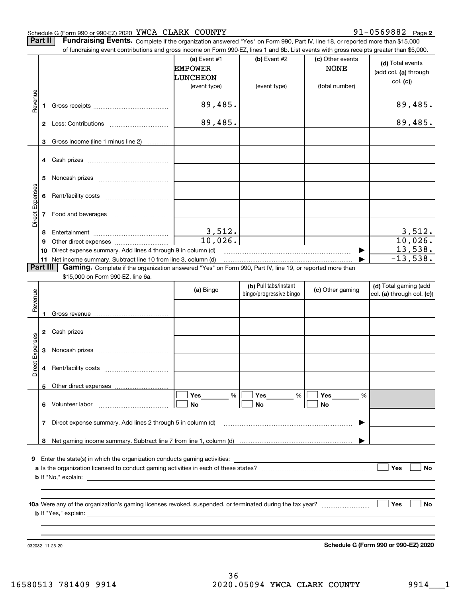#### Schedule G (Form 990 or 990-EZ) 2020 Page YWCA CLARK COUNTY 91-0569882

**2**

**Part II** | Fundraising Events. Complete if the organization answered "Yes" on Form 990, Part IV, line 18, or reported more than \$15,000

|                 |          | of fundraising event contributions and gross income on Form 990-EZ, lines 1 and 6b. List events with gross receipts greater than \$5,000. |                          |                         |                  |                            |
|-----------------|----------|-------------------------------------------------------------------------------------------------------------------------------------------|--------------------------|-------------------------|------------------|----------------------------|
|                 |          |                                                                                                                                           | (a) Event #1             | (b) Event #2            | (c) Other events | (d) Total events           |
|                 |          |                                                                                                                                           | <b>EMPOWER</b>           |                         | <b>NONE</b>      |                            |
|                 |          |                                                                                                                                           | LUNCHEON                 |                         |                  | (add col. (a) through      |
|                 |          |                                                                                                                                           | (event type)             | (event type)            | (total number)   | col. (c)                   |
|                 |          |                                                                                                                                           |                          |                         |                  |                            |
| Revenue         |          |                                                                                                                                           | 89,485.                  |                         |                  |                            |
|                 | 1.       |                                                                                                                                           |                          |                         |                  | <u>89,485.</u>             |
|                 |          |                                                                                                                                           |                          |                         |                  |                            |
|                 |          |                                                                                                                                           | 89,485.                  |                         |                  | 89,485.                    |
|                 |          |                                                                                                                                           |                          |                         |                  |                            |
|                 | 3        | Gross income (line 1 minus line 2)                                                                                                        |                          |                         |                  |                            |
|                 |          |                                                                                                                                           |                          |                         |                  |                            |
|                 |          |                                                                                                                                           |                          |                         |                  |                            |
|                 |          |                                                                                                                                           |                          |                         |                  |                            |
|                 | 5        |                                                                                                                                           |                          |                         |                  |                            |
|                 |          |                                                                                                                                           |                          |                         |                  |                            |
|                 |          |                                                                                                                                           |                          |                         |                  |                            |
|                 | 6        |                                                                                                                                           |                          |                         |                  |                            |
| Direct Expenses |          |                                                                                                                                           |                          |                         |                  |                            |
|                 |          | 7 Food and beverages                                                                                                                      |                          |                         |                  |                            |
|                 |          |                                                                                                                                           |                          |                         |                  |                            |
|                 | 8        |                                                                                                                                           | $\frac{3,512.}{10,026.}$ |                         |                  | $\frac{3,512}{10,026}$     |
|                 | 9        |                                                                                                                                           |                          |                         |                  |                            |
|                 | 10       | Direct expense summary. Add lines 4 through 9 in column (d)                                                                               |                          |                         |                  | 13,538.                    |
|                 |          |                                                                                                                                           |                          |                         |                  | $-13,538.$                 |
|                 | Part III | Gaming. Complete if the organization answered "Yes" on Form 990, Part IV, line 19, or reported more than                                  |                          |                         |                  |                            |
|                 |          | \$15,000 on Form 990-EZ, line 6a.                                                                                                         |                          |                         |                  |                            |
|                 |          |                                                                                                                                           |                          | (b) Pull tabs/instant   |                  | (d) Total gaming (add      |
|                 |          |                                                                                                                                           | (a) Bingo                | bingo/progressive bingo | (c) Other gaming | col. (a) through col. (c)) |
| Revenue         |          |                                                                                                                                           |                          |                         |                  |                            |
|                 |          |                                                                                                                                           |                          |                         |                  |                            |
|                 |          |                                                                                                                                           |                          |                         |                  |                            |
|                 |          |                                                                                                                                           |                          |                         |                  |                            |
|                 |          |                                                                                                                                           |                          |                         |                  |                            |
| Expenses        |          |                                                                                                                                           |                          |                         |                  |                            |
|                 | 3        |                                                                                                                                           |                          |                         |                  |                            |
|                 |          |                                                                                                                                           |                          |                         |                  |                            |
| Direct          |          |                                                                                                                                           |                          |                         |                  |                            |
|                 |          |                                                                                                                                           |                          |                         |                  |                            |
|                 |          | 5 Other direct expenses                                                                                                                   |                          |                         |                  |                            |
|                 |          |                                                                                                                                           | Yes<br>%                 | Yes<br>%                | Yes<br>%         |                            |
|                 |          |                                                                                                                                           |                          |                         |                  |                            |
|                 |          | 6 Volunteer labor                                                                                                                         | No                       | No                      | No               |                            |
|                 |          |                                                                                                                                           |                          |                         |                  |                            |
|                 | 7        | Direct expense summary. Add lines 2 through 5 in column (d)                                                                               |                          |                         |                  |                            |
|                 |          |                                                                                                                                           |                          |                         |                  |                            |
|                 |          |                                                                                                                                           |                          |                         |                  |                            |
|                 |          |                                                                                                                                           |                          |                         |                  |                            |
|                 |          | <b>9</b> Enter the state(s) in which the organization conducts gaming activities:                                                         |                          |                         |                  |                            |
|                 |          |                                                                                                                                           |                          |                         |                  | Yes<br>No                  |
|                 |          |                                                                                                                                           |                          |                         |                  |                            |
|                 |          |                                                                                                                                           |                          |                         |                  |                            |
|                 |          |                                                                                                                                           |                          |                         |                  |                            |
|                 |          |                                                                                                                                           |                          |                         |                  |                            |
|                 |          |                                                                                                                                           |                          |                         |                  | Yes<br>No                  |
|                 |          |                                                                                                                                           |                          |                         |                  |                            |
|                 |          |                                                                                                                                           |                          |                         |                  |                            |
|                 |          |                                                                                                                                           |                          |                         |                  |                            |
|                 |          |                                                                                                                                           |                          |                         |                  |                            |

032082 11-25-20

**Schedule G (Form 990 or 990-EZ) 2020**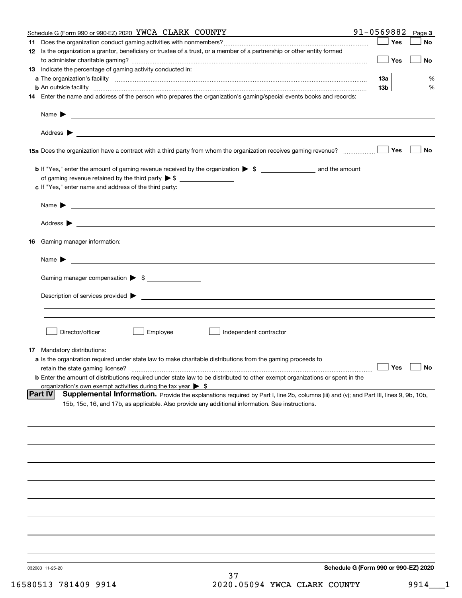| Schedule G (Form 990 or 990-EZ) 2020 YWCA CLARK COUNTY                                                                                                        |          |                                                                                                                                        |                                      | 91-0569882           | Page 3    |
|---------------------------------------------------------------------------------------------------------------------------------------------------------------|----------|----------------------------------------------------------------------------------------------------------------------------------------|--------------------------------------|----------------------|-----------|
|                                                                                                                                                               |          |                                                                                                                                        |                                      | Yes                  | No        |
| 12 Is the organization a grantor, beneficiary or trustee of a trust, or a member of a partnership or other entity formed                                      |          |                                                                                                                                        |                                      |                      |           |
|                                                                                                                                                               |          |                                                                                                                                        |                                      | Yes                  | <b>No</b> |
| 13 Indicate the percentage of gaming activity conducted in:                                                                                                   |          |                                                                                                                                        |                                      |                      |           |
|                                                                                                                                                               |          |                                                                                                                                        |                                      | <u>13a</u>           | %         |
| <b>b</b> An outside facility <i>www.communicality www.communicality.communicality www.communicality www.communicality.communicality www.communicality.com</i> |          |                                                                                                                                        |                                      | 13 <sub>b</sub>      | %         |
| 14 Enter the name and address of the person who prepares the organization's gaming/special events books and records:                                          |          |                                                                                                                                        |                                      |                      |           |
|                                                                                                                                                               |          |                                                                                                                                        |                                      |                      |           |
|                                                                                                                                                               |          |                                                                                                                                        |                                      |                      |           |
| 15a Does the organization have a contract with a third party from whom the organization receives gaming revenue?                                              |          |                                                                                                                                        |                                      | Yes                  | No        |
| <b>b</b> If "Yes," enter the amount of gaming revenue received by the organization $\triangleright$ \$ ___________________ and the amount                     |          |                                                                                                                                        |                                      |                      |           |
|                                                                                                                                                               |          |                                                                                                                                        |                                      |                      |           |
| c If "Yes," enter name and address of the third party:                                                                                                        |          |                                                                                                                                        |                                      |                      |           |
|                                                                                                                                                               |          | Name $\blacktriangleright$ $\_\_$                                                                                                      |                                      |                      |           |
|                                                                                                                                                               |          |                                                                                                                                        |                                      |                      |           |
|                                                                                                                                                               |          |                                                                                                                                        |                                      |                      |           |
| 16 Gaming manager information:                                                                                                                                |          |                                                                                                                                        |                                      |                      |           |
| Name $\triangleright$ $\square$                                                                                                                               |          |                                                                                                                                        |                                      |                      |           |
| Gaming manager compensation > \$                                                                                                                              |          |                                                                                                                                        |                                      |                      |           |
|                                                                                                                                                               |          |                                                                                                                                        |                                      |                      |           |
|                                                                                                                                                               |          |                                                                                                                                        |                                      |                      |           |
|                                                                                                                                                               |          |                                                                                                                                        |                                      |                      |           |
| Director/officer                                                                                                                                              | Employee | Independent contractor                                                                                                                 |                                      |                      |           |
|                                                                                                                                                               |          |                                                                                                                                        |                                      |                      |           |
| 17 Mandatory distributions:                                                                                                                                   |          |                                                                                                                                        |                                      |                      |           |
| a Is the organization required under state law to make charitable distributions from the gaming proceeds to<br>retain the state gaming license?               |          |                                                                                                                                        |                                      | $\Box$ Yes $\Box$ No |           |
| <b>b</b> Enter the amount of distributions required under state law to be distributed to other exempt organizations or spent in the                           |          |                                                                                                                                        |                                      |                      |           |
| organization's own exempt activities during the tax year $\triangleright$ \$                                                                                  |          |                                                                                                                                        |                                      |                      |           |
| <b>Part IV</b>                                                                                                                                                |          | Supplemental Information. Provide the explanations required by Part I, line 2b, columns (iii) and (v); and Part III, lines 9, 9b, 10b, |                                      |                      |           |
|                                                                                                                                                               |          | 15b, 15c, 16, and 17b, as applicable. Also provide any additional information. See instructions.                                       |                                      |                      |           |
|                                                                                                                                                               |          |                                                                                                                                        |                                      |                      |           |
|                                                                                                                                                               |          |                                                                                                                                        |                                      |                      |           |
|                                                                                                                                                               |          |                                                                                                                                        |                                      |                      |           |
|                                                                                                                                                               |          |                                                                                                                                        |                                      |                      |           |
|                                                                                                                                                               |          |                                                                                                                                        |                                      |                      |           |
|                                                                                                                                                               |          |                                                                                                                                        |                                      |                      |           |
|                                                                                                                                                               |          |                                                                                                                                        |                                      |                      |           |
|                                                                                                                                                               |          |                                                                                                                                        |                                      |                      |           |
|                                                                                                                                                               |          |                                                                                                                                        |                                      |                      |           |
|                                                                                                                                                               |          |                                                                                                                                        |                                      |                      |           |
| 032083 11-25-20                                                                                                                                               |          | 37                                                                                                                                     | Schedule G (Form 990 or 990-EZ) 2020 |                      |           |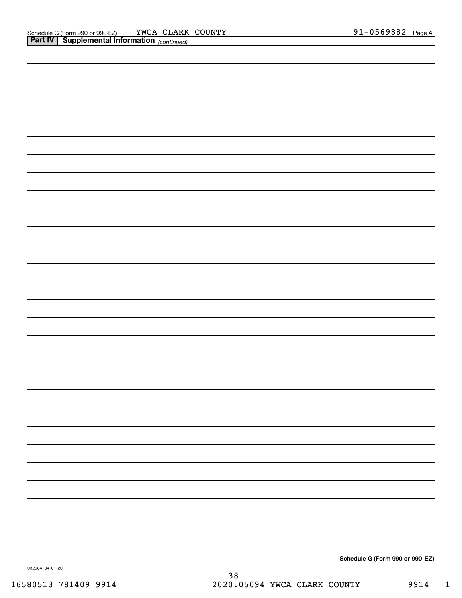| <b>Part IV</b> Supplemental Information $_{(continued)}$ |  |  |
|----------------------------------------------------------|--|--|
|                                                          |  |  |
|                                                          |  |  |
|                                                          |  |  |
|                                                          |  |  |
|                                                          |  |  |
|                                                          |  |  |
|                                                          |  |  |
|                                                          |  |  |
|                                                          |  |  |
|                                                          |  |  |
|                                                          |  |  |
|                                                          |  |  |
|                                                          |  |  |
|                                                          |  |  |
|                                                          |  |  |
|                                                          |  |  |
|                                                          |  |  |
|                                                          |  |  |
|                                                          |  |  |
|                                                          |  |  |
|                                                          |  |  |
|                                                          |  |  |
|                                                          |  |  |
|                                                          |  |  |
|                                                          |  |  |
|                                                          |  |  |
|                                                          |  |  |
|                                                          |  |  |
|                                                          |  |  |

**Schedule G (Form 990 or 990-EZ)**

032084 04-01-20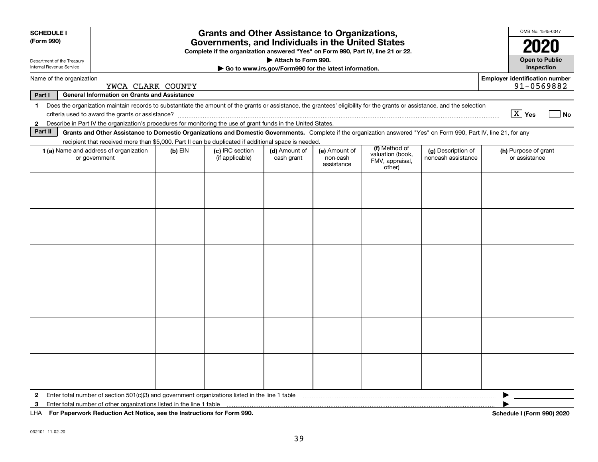| <b>SCHEDULE I</b>                                                                                                                                                                                                  |                                                                                                                                                                    |           | <b>Grants and Other Assistance to Organizations,</b>                                                                                  |                             |                                                       |                                                                |                                          |                                       | OMB No. 1545-0047     |
|--------------------------------------------------------------------------------------------------------------------------------------------------------------------------------------------------------------------|--------------------------------------------------------------------------------------------------------------------------------------------------------------------|-----------|---------------------------------------------------------------------------------------------------------------------------------------|-----------------------------|-------------------------------------------------------|----------------------------------------------------------------|------------------------------------------|---------------------------------------|-----------------------|
| (Form 990)                                                                                                                                                                                                         |                                                                                                                                                                    |           | Governments, and Individuals in the United States<br>Complete if the organization answered "Yes" on Form 990, Part IV, line 21 or 22. |                             |                                                       |                                                                |                                          |                                       | 2020                  |
| Department of the Treasury                                                                                                                                                                                         |                                                                                                                                                                    |           |                                                                                                                                       | Attach to Form 990.         |                                                       |                                                                |                                          |                                       | <b>Open to Public</b> |
| Internal Revenue Service                                                                                                                                                                                           |                                                                                                                                                                    |           |                                                                                                                                       |                             | Go to www.irs.gov/Form990 for the latest information. |                                                                |                                          |                                       | Inspection            |
| Name of the organization                                                                                                                                                                                           | YWCA CLARK COUNTY                                                                                                                                                  |           |                                                                                                                                       |                             |                                                       |                                                                |                                          | <b>Employer identification number</b> | 91-0569882            |
| Part I                                                                                                                                                                                                             | <b>General Information on Grants and Assistance</b>                                                                                                                |           |                                                                                                                                       |                             |                                                       |                                                                |                                          |                                       |                       |
| Does the organization maintain records to substantiate the amount of the grants or assistance, the grantees' eligibility for the grants or assistance, and the selection<br>$\mathbf{1}$<br>$\boxed{\text{X}}$ Yes |                                                                                                                                                                    |           |                                                                                                                                       |                             |                                                       |                                                                |                                          |                                       |                       |
| $\mathbf{2}$                                                                                                                                                                                                       | Describe in Part IV the organization's procedures for monitoring the use of grant funds in the United States.                                                      |           |                                                                                                                                       |                             |                                                       |                                                                |                                          |                                       |                       |
| Part II                                                                                                                                                                                                            | Grants and Other Assistance to Domestic Organizations and Domestic Governments. Complete if the organization answered "Yes" on Form 990, Part IV, line 21, for any |           |                                                                                                                                       |                             |                                                       |                                                                |                                          |                                       |                       |
|                                                                                                                                                                                                                    | recipient that received more than \$5,000. Part II can be duplicated if additional space is needed.                                                                |           |                                                                                                                                       |                             |                                                       |                                                                |                                          |                                       |                       |
|                                                                                                                                                                                                                    | 1 (a) Name and address of organization<br>or government                                                                                                            | $(b)$ EIN | (c) IRC section<br>(if applicable)                                                                                                    | (d) Amount of<br>cash grant | (e) Amount of<br>non-cash<br>assistance               | (f) Method of<br>valuation (book,<br>FMV, appraisal,<br>other) | (g) Description of<br>noncash assistance | (h) Purpose of grant<br>or assistance |                       |
|                                                                                                                                                                                                                    |                                                                                                                                                                    |           |                                                                                                                                       |                             |                                                       |                                                                |                                          |                                       |                       |
|                                                                                                                                                                                                                    |                                                                                                                                                                    |           |                                                                                                                                       |                             |                                                       |                                                                |                                          |                                       |                       |
|                                                                                                                                                                                                                    |                                                                                                                                                                    |           |                                                                                                                                       |                             |                                                       |                                                                |                                          |                                       |                       |
|                                                                                                                                                                                                                    |                                                                                                                                                                    |           |                                                                                                                                       |                             |                                                       |                                                                |                                          |                                       |                       |
|                                                                                                                                                                                                                    |                                                                                                                                                                    |           |                                                                                                                                       |                             |                                                       |                                                                |                                          |                                       |                       |
|                                                                                                                                                                                                                    |                                                                                                                                                                    |           |                                                                                                                                       |                             |                                                       |                                                                |                                          |                                       |                       |
|                                                                                                                                                                                                                    |                                                                                                                                                                    |           |                                                                                                                                       |                             |                                                       |                                                                |                                          |                                       |                       |
|                                                                                                                                                                                                                    |                                                                                                                                                                    |           |                                                                                                                                       |                             |                                                       |                                                                |                                          |                                       |                       |
|                                                                                                                                                                                                                    |                                                                                                                                                                    |           |                                                                                                                                       |                             |                                                       |                                                                |                                          |                                       |                       |
|                                                                                                                                                                                                                    |                                                                                                                                                                    |           |                                                                                                                                       |                             |                                                       |                                                                |                                          |                                       |                       |
|                                                                                                                                                                                                                    |                                                                                                                                                                    |           |                                                                                                                                       |                             |                                                       |                                                                |                                          |                                       |                       |
|                                                                                                                                                                                                                    |                                                                                                                                                                    |           |                                                                                                                                       |                             |                                                       |                                                                |                                          |                                       |                       |
|                                                                                                                                                                                                                    |                                                                                                                                                                    |           |                                                                                                                                       |                             |                                                       |                                                                |                                          |                                       |                       |
|                                                                                                                                                                                                                    |                                                                                                                                                                    |           |                                                                                                                                       |                             |                                                       |                                                                |                                          |                                       |                       |
| 2                                                                                                                                                                                                                  | Enter total number of section 501(c)(3) and government organizations listed in the line 1 table                                                                    |           |                                                                                                                                       |                             |                                                       |                                                                |                                          |                                       |                       |
| 3                                                                                                                                                                                                                  | Enter total number of other organizations listed in the line 1 table                                                                                               |           |                                                                                                                                       |                             |                                                       |                                                                |                                          |                                       |                       |
|                                                                                                                                                                                                                    | LHA For Paperwork Reduction Act Notice, see the Instructions for Form 990.                                                                                         |           |                                                                                                                                       |                             |                                                       |                                                                |                                          | Schedule I (Form 990) 2020            |                       |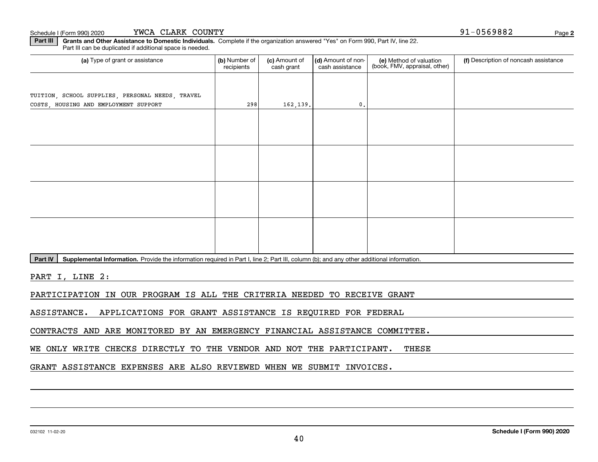**Part III** | Grants and Other Assistance to Domestic Individuals. Complete if the organization answered "Yes" on Form 990, Part IV, line 22. Part III can be duplicated if additional space is needed.

| (a) Type of grant or assistance                  | (b) Number of<br>recipients | (c) Amount of<br>cash grant | (d) Amount of non-<br>cash assistance | (e) Method of valuation<br>(book, FMV, appraisal, other) | (f) Description of noncash assistance |  |
|--------------------------------------------------|-----------------------------|-----------------------------|---------------------------------------|----------------------------------------------------------|---------------------------------------|--|
| TUITION, SCHOOL SUPPLIES, PERSONAL NEEDS, TRAVEL |                             |                             |                                       |                                                          |                                       |  |
| COSTS, HOUSING AND EMPLOYMENT SUPPORT            | 298                         | 162,139.                    | 0.                                    |                                                          |                                       |  |
|                                                  |                             |                             |                                       |                                                          |                                       |  |
|                                                  |                             |                             |                                       |                                                          |                                       |  |
|                                                  |                             |                             |                                       |                                                          |                                       |  |
|                                                  |                             |                             |                                       |                                                          |                                       |  |
|                                                  |                             |                             |                                       |                                                          |                                       |  |
|                                                  |                             |                             |                                       |                                                          |                                       |  |
|                                                  |                             |                             |                                       |                                                          |                                       |  |
|                                                  |                             |                             |                                       |                                                          |                                       |  |
|                                                  |                             |                             |                                       |                                                          |                                       |  |
|                                                  |                             |                             |                                       |                                                          |                                       |  |
|                                                  |                             |                             |                                       |                                                          |                                       |  |
|                                                  |                             |                             |                                       |                                                          |                                       |  |

Part IV | Supplemental Information. Provide the information required in Part I, line 2; Part III, column (b); and any other additional information.

PART I, LINE 2:

PARTICIPATION IN OUR PROGRAM IS ALL THE CRITERIA NEEDED TO RECEIVE GRANT

ASSISTANCE. APPLICATIONS FOR GRANT ASSISTANCE IS REQUIRED FOR FEDERAL

CONTRACTS AND ARE MONITORED BY AN EMERGENCY FINANCIAL ASSISTANCE COMMITTEE.

WE ONLY WRITE CHECKS DIRECTLY TO THE VENDOR AND NOT THE PARTICIPANT. THESE

GRANT ASSISTANCE EXPENSES ARE ALSO REVIEWED WHEN WE SUBMIT INVOICES.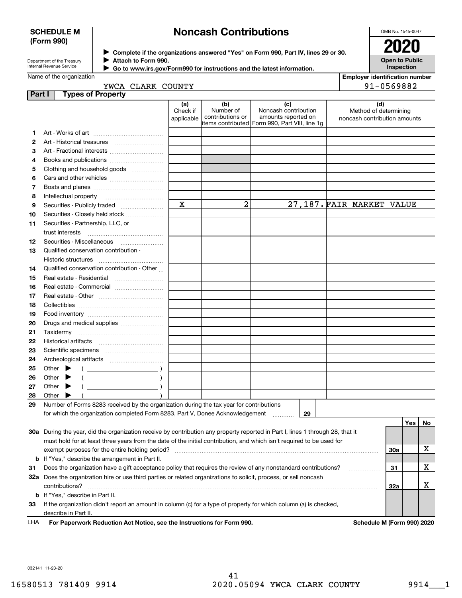#### **SCHEDULE M (Form 990)**

# **Noncash Contributions**

OMB No. 1545-0047

| Department of the Treasury |
|----------------------------|
| Internal Revenue Service   |

**Complete if the organizations answered "Yes" on Form 990, Part IV, lines 29 or 30.** <sup>J</sup>**2020 Attach to Form 990.** J

**Open to Public Inspection**

**Employer identification number**

|  | Name of the organization |  |
|--|--------------------------|--|

 **Go to www.irs.gov/Form990 for instructions and the latest information.** J

| ρn |  |                   |  |
|----|--|-------------------|--|
|    |  | YWCA CLARK COUNTY |  |

|          | YWCA CLARK COUNTY                                                                                                                                                                                                                                                                                                        |                               |                                      |                                                                                                      | 91-0569882                                                   |            |     |    |
|----------|--------------------------------------------------------------------------------------------------------------------------------------------------------------------------------------------------------------------------------------------------------------------------------------------------------------------------|-------------------------------|--------------------------------------|------------------------------------------------------------------------------------------------------|--------------------------------------------------------------|------------|-----|----|
| Part I   | <b>Types of Property</b>                                                                                                                                                                                                                                                                                                 |                               |                                      |                                                                                                      |                                                              |            |     |    |
|          |                                                                                                                                                                                                                                                                                                                          | (a)<br>Check if<br>applicable | (b)<br>Number of<br>contributions or | (c)<br>Noncash contribution<br>amounts reported on<br>items contributed Form 990, Part VIII, line 1g | (d)<br>Method of determining<br>noncash contribution amounts |            |     |    |
| 1.       |                                                                                                                                                                                                                                                                                                                          |                               |                                      |                                                                                                      |                                                              |            |     |    |
| 2        |                                                                                                                                                                                                                                                                                                                          |                               |                                      |                                                                                                      |                                                              |            |     |    |
| З        | Art - Fractional interests                                                                                                                                                                                                                                                                                               |                               |                                      |                                                                                                      |                                                              |            |     |    |
| 4        | Books and publications                                                                                                                                                                                                                                                                                                   |                               |                                      |                                                                                                      |                                                              |            |     |    |
| 5        | Clothing and household goods                                                                                                                                                                                                                                                                                             |                               |                                      |                                                                                                      |                                                              |            |     |    |
| 6        |                                                                                                                                                                                                                                                                                                                          |                               |                                      |                                                                                                      |                                                              |            |     |    |
| 7        |                                                                                                                                                                                                                                                                                                                          |                               |                                      |                                                                                                      |                                                              |            |     |    |
| 8        |                                                                                                                                                                                                                                                                                                                          |                               |                                      |                                                                                                      |                                                              |            |     |    |
| 9        | Securities - Publicly traded                                                                                                                                                                                                                                                                                             | $\mathbf x$                   | $\overline{2}$                       |                                                                                                      | 27,187. FAIR MARKET VALUE                                    |            |     |    |
| 10       | Securities - Closely held stock                                                                                                                                                                                                                                                                                          |                               |                                      |                                                                                                      |                                                              |            |     |    |
| 11       | Securities - Partnership, LLC, or                                                                                                                                                                                                                                                                                        |                               |                                      |                                                                                                      |                                                              |            |     |    |
|          | trust interests                                                                                                                                                                                                                                                                                                          |                               |                                      |                                                                                                      |                                                              |            |     |    |
| 12       | Securities - Miscellaneous                                                                                                                                                                                                                                                                                               |                               |                                      |                                                                                                      |                                                              |            |     |    |
| 13       | Qualified conservation contribution -                                                                                                                                                                                                                                                                                    |                               |                                      |                                                                                                      |                                                              |            |     |    |
|          | Historic structures                                                                                                                                                                                                                                                                                                      |                               |                                      |                                                                                                      |                                                              |            |     |    |
| 14       | Qualified conservation contribution - Other                                                                                                                                                                                                                                                                              |                               |                                      |                                                                                                      |                                                              |            |     |    |
| 15       | Real estate - Residential                                                                                                                                                                                                                                                                                                |                               |                                      |                                                                                                      |                                                              |            |     |    |
| 16       | Real estate - Commercial                                                                                                                                                                                                                                                                                                 |                               |                                      |                                                                                                      |                                                              |            |     |    |
| 17       |                                                                                                                                                                                                                                                                                                                          |                               |                                      |                                                                                                      |                                                              |            |     |    |
| 18       |                                                                                                                                                                                                                                                                                                                          |                               |                                      |                                                                                                      |                                                              |            |     |    |
| 19       |                                                                                                                                                                                                                                                                                                                          |                               |                                      |                                                                                                      |                                                              |            |     |    |
| 20       | Drugs and medical supplies                                                                                                                                                                                                                                                                                               |                               |                                      |                                                                                                      |                                                              |            |     |    |
| 21       | Taxidermy                                                                                                                                                                                                                                                                                                                |                               |                                      |                                                                                                      |                                                              |            |     |    |
| 22       |                                                                                                                                                                                                                                                                                                                          |                               |                                      |                                                                                                      |                                                              |            |     |    |
| 23       |                                                                                                                                                                                                                                                                                                                          |                               |                                      |                                                                                                      |                                                              |            |     |    |
| 24       |                                                                                                                                                                                                                                                                                                                          |                               |                                      |                                                                                                      |                                                              |            |     |    |
| 25       | Other                                                                                                                                                                                                                                                                                                                    |                               |                                      |                                                                                                      |                                                              |            |     |    |
|          | $\left($ $\frac{1}{2}$ $\frac{1}{2}$ $\frac{1}{2}$ $\frac{1}{2}$ $\frac{1}{2}$ $\frac{1}{2}$ $\frac{1}{2}$ $\frac{1}{2}$ $\frac{1}{2}$ $\frac{1}{2}$ $\frac{1}{2}$ $\frac{1}{2}$ $\frac{1}{2}$ $\frac{1}{2}$ $\frac{1}{2}$ $\frac{1}{2}$ $\frac{1}{2}$ $\frac{1}{2}$ $\frac{1}{2}$ $\frac{1}{2}$ $\frac{1}{2}$ $\frac{1$ |                               |                                      |                                                                                                      |                                                              |            |     |    |
| 26       | $( \begin{array}{cccc} \rule{0.2cm}{0.15mm} & \rule{0.2cm}{0.15mm} \\ \rule{0.2cm}{0.15mm} & \rule{0.2cm}{0.15mm} \end{array} )$<br>Other                                                                                                                                                                                |                               |                                      |                                                                                                      |                                                              |            |     |    |
| 27       | Other                                                                                                                                                                                                                                                                                                                    |                               |                                      |                                                                                                      |                                                              |            |     |    |
| 28<br>29 | Other                                                                                                                                                                                                                                                                                                                    |                               |                                      |                                                                                                      |                                                              |            |     |    |
|          | Number of Forms 8283 received by the organization during the tax year for contributions                                                                                                                                                                                                                                  |                               |                                      |                                                                                                      |                                                              |            |     |    |
|          | for which the organization completed Form 8283, Part V, Donee Acknowledgement                                                                                                                                                                                                                                            |                               |                                      | 29                                                                                                   |                                                              |            | Yes |    |
|          |                                                                                                                                                                                                                                                                                                                          |                               |                                      |                                                                                                      |                                                              |            |     | No |
|          | 30a During the year, did the organization receive by contribution any property reported in Part I, lines 1 through 28, that it                                                                                                                                                                                           |                               |                                      |                                                                                                      |                                                              |            |     |    |
|          | must hold for at least three years from the date of the initial contribution, and which isn't required to be used for                                                                                                                                                                                                    |                               |                                      |                                                                                                      |                                                              |            |     | х  |
|          |                                                                                                                                                                                                                                                                                                                          |                               |                                      |                                                                                                      |                                                              | <b>30a</b> |     |    |
|          | <b>b</b> If "Yes," describe the arrangement in Part II.                                                                                                                                                                                                                                                                  |                               |                                      |                                                                                                      |                                                              |            |     | х  |
| 31       | Does the organization have a gift acceptance policy that requires the review of any nonstandard contributions?                                                                                                                                                                                                           |                               |                                      |                                                                                                      |                                                              | 31         |     |    |
|          | 32a Does the organization hire or use third parties or related organizations to solicit, process, or sell noncash                                                                                                                                                                                                        |                               |                                      |                                                                                                      |                                                              |            |     | х  |
|          | contributions?                                                                                                                                                                                                                                                                                                           |                               |                                      |                                                                                                      |                                                              | 32a        |     |    |
|          | b If "Yes," describe in Part II.                                                                                                                                                                                                                                                                                         |                               |                                      |                                                                                                      |                                                              |            |     |    |
| 33       | If the organization didn't report an amount in column (c) for a type of property for which column (a) is checked,                                                                                                                                                                                                        |                               |                                      |                                                                                                      |                                                              |            |     |    |
|          | describe in Part II.                                                                                                                                                                                                                                                                                                     |                               |                                      |                                                                                                      |                                                              |            |     |    |

**For Paperwork Reduction Act Notice, see the Instructions for Form 990. Schedule M (Form 990) 2020** LHA

032141 11-23-20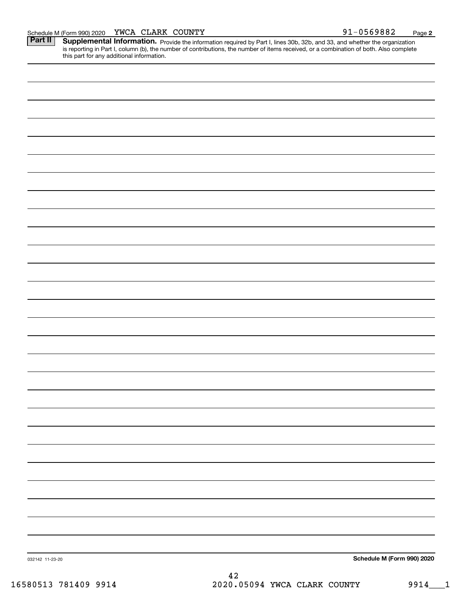**2**

Part II | Supplemental Information. Provide the information required by Part I, lines 30b, 32b, and 33, and whether the organization is reporting in Part I, column (b), the number of contributions, the number of items received, or a combination of both. Also complete this part for any additional information.

| 032142 11-23-20 | Schedule M (Form 990) 2020 |
|-----------------|----------------------------|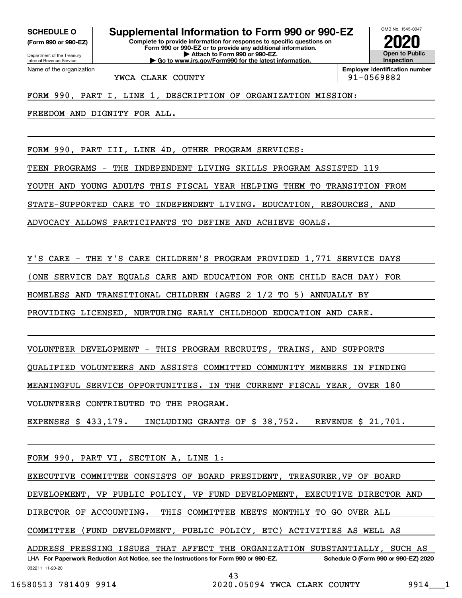**(Form 990 or 990-EZ)**

Department of the Treasury Internal Revenue Service Name of the organization

**Complete to provide information for responses to specific questions on SCHEDULE O Supplemental Information to Form 990 or 990-EZ**

**Form 990 or 990-EZ or to provide any additional information. | Attach to Form 990 or 990-EZ. | Go to www.irs.gov/Form990 for the latest information.**



YWCA CLARK COUNTY 191-0569882

**Employer identification number**

FORM 990, PART I, LINE 1, DESCRIPTION OF ORGANIZATION MISSION:

FREEDOM AND DIGNITY FOR ALL.

FORM 990, PART III, LINE 4D, OTHER PROGRAM SERVICES:

TEEN PROGRAMS - THE INDEPENDENT LIVING SKILLS PROGRAM ASSISTED 119

YOUTH AND YOUNG ADULTS THIS FISCAL YEAR HELPING THEM TO TRANSITION FROM

STATE-SUPPORTED CARE TO INDEPENDENT LIVING. EDUCATION, RESOURCES, AND

ADVOCACY ALLOWS PARTICIPANTS TO DEFINE AND ACHIEVE GOALS.

Y'S CARE - THE Y'S CARE CHILDREN'S PROGRAM PROVIDED 1,771 SERVICE DAYS

(ONE SERVICE DAY EQUALS CARE AND EDUCATION FOR ONE CHILD EACH DAY) FOR

HOMELESS AND TRANSITIONAL CHILDREN (AGES 2 1/2 TO 5) ANNUALLY BY

PROVIDING LICENSED, NURTURING EARLY CHILDHOOD EDUCATION AND CARE.

VOLUNTEER DEVELOPMENT - THIS PROGRAM RECRUITS, TRAINS, AND SUPPORTS

QUALIFIED VOLUNTEERS AND ASSISTS COMMITTED COMMUNITY MEMBERS IN FINDING

MEANINGFUL SERVICE OPPORTUNITIES. IN THE CURRENT FISCAL YEAR, OVER 180

VOLUNTEERS CONTRIBUTED TO THE PROGRAM.

EXPENSES \$ 433,179. INCLUDING GRANTS OF \$ 38,752. REVENUE \$ 21,701.

FORM 990, PART VI, SECTION A, LINE 1:

032211 11-20-20 LHA For Paperwork Reduction Act Notice, see the Instructions for Form 990 or 990-EZ. Schedule O (Form 990 or 990-EZ) 2020 EXECUTIVE COMMITTEE CONSISTS OF BOARD PRESIDENT, TREASURER,VP OF BOARD DEVELOPMENT, VP PUBLIC POLICY, VP FUND DEVELOPMENT, EXECUTIVE DIRECTOR AND DIRECTOR OF ACCOUNTING. THIS COMMITTEE MEETS MONTHLY TO GO OVER ALL COMMITTEE (FUND DEVELOPMENT, PUBLIC POLICY, ETC) ACTIVITIES AS WELL AS ADDRESS PRESSING ISSUES THAT AFFECT THE ORGANIZATION SUBSTANTIALLY, SUCH AS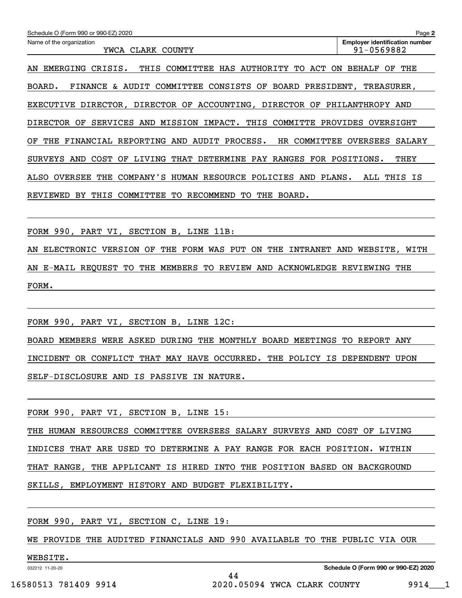| Schedule O (Form 990 or 990-EZ) 2020                                                              | Page 2                                              |
|---------------------------------------------------------------------------------------------------|-----------------------------------------------------|
| Name of the organization<br>COUNTY<br>CLARK<br>YWCA                                               | <b>Employer identification number</b><br>91-0569882 |
| AUTHORITY<br>EMERGING<br>CRISIS.<br>THIS<br>COMMITTEE<br>HAS<br>TO.<br>ACT<br>AN                  | 0N<br><b>BEHALF</b><br>THE<br>ΟF                    |
| COMMITTEE<br><b>CONSISTS</b><br>BOARD.<br>FINANCE<br>BOARD<br>PRESIDENT,<br>AUDIT<br>OF<br>&.     | TREASURER,                                          |
| DIRECTOR OF ACCOUNTING, DIRECTOR<br>DIRECTOR,<br>OF<br><b>EXECUTIVE</b>                           | PHILANTHROPY<br>AND                                 |
| IMPACT.<br>MISSION<br>THIS<br>COMMITTE<br>DIRECTOR<br>OF<br><b>SERVICES</b><br>AND                | PROVIDES<br>OVERSIGHT                               |
| FINANCIAL REPORTING<br>AND<br>AUDIT PROCESS.<br>HR<br>COMMITTEE<br>ΟF<br>THE                      | <b>OVERSEES</b><br>SALARY                           |
| <b>COST</b><br>LIVING<br>THAT<br>DETERMINE<br>RANGES<br><b>SURVEYS</b><br>AND<br>OF<br>PAY<br>FOR | POSITIONS.<br>THEY                                  |
| COMPANY'S<br>THE<br>HUMAN RESOURCE POLICIES AND<br>OVERSEE<br>PLANS.<br>ALSO                      | THIS<br>ALL<br>IS                                   |
| <b>REVIEWED</b><br>RECOMMEND<br>THE<br>BOARD.<br>THIS<br>COMMITTEE<br>TО<br>TО<br>ВY              |                                                     |

FORM 990, PART VI, SECTION B, LINE 11B:

AN ELECTRONIC VERSION OF THE FORM WAS PUT ON THE INTRANET AND WEBSITE, WITH AN E-MAIL REQUEST TO THE MEMBERS TO REVIEW AND ACKNOWLEDGE REVIEWING THE FORM.

FORM 990, PART VI, SECTION B, LINE 12C:

BOARD MEMBERS WERE ASKED DURING THE MONTHLY BOARD MEETINGS TO REPORT ANY INCIDENT OR CONFLICT THAT MAY HAVE OCCURRED. THE POLICY IS DEPENDENT UPON SELF-DISCLOSURE AND IS PASSIVE IN NATURE.

FORM 990, PART VI, SECTION B, LINE 15:

THE HUMAN RESOURCES COMMITTEE OVERSEES SALARY SURVEYS AND COST OF LIVING INDICES THAT ARE USED TO DETERMINE A PAY RANGE FOR EACH POSITION. WITHIN THAT RANGE, THE APPLICANT IS HIRED INTO THE POSITION BASED ON BACKGROUND SKILLS, EMPLOYMENT HISTORY AND BUDGET FLEXIBILITY.

FORM 990, PART VI, SECTION C, LINE 19:

WE PROVIDE THE AUDITED FINANCIALS AND 990 AVAILABLE TO THE PUBLIC VIA OUR

44

032212 11-20-20 WEBSITE.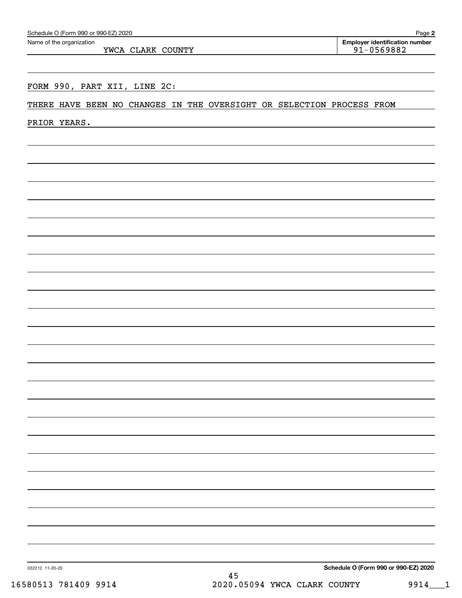| Schedule O (Form 990 or 990-EZ) 2020 |  |                   |  |  |                                                                       | Page 2                                           |
|--------------------------------------|--|-------------------|--|--|-----------------------------------------------------------------------|--------------------------------------------------|
| Name of the organization             |  | YWCA CLARK COUNTY |  |  |                                                                       | Employer identification number<br>$91 - 0569882$ |
|                                      |  |                   |  |  |                                                                       |                                                  |
|                                      |  |                   |  |  |                                                                       |                                                  |
|                                      |  |                   |  |  |                                                                       |                                                  |
| FORM 990, PART XII, LINE 2C:         |  |                   |  |  |                                                                       |                                                  |
|                                      |  |                   |  |  | THERE HAVE BEEN NO CHANGES IN THE OVERSIGHT OR SELECTION PROCESS FROM |                                                  |
|                                      |  |                   |  |  |                                                                       |                                                  |
| PRIOR YEARS.                         |  |                   |  |  |                                                                       |                                                  |
|                                      |  |                   |  |  |                                                                       |                                                  |
|                                      |  |                   |  |  |                                                                       |                                                  |
|                                      |  |                   |  |  |                                                                       |                                                  |
|                                      |  |                   |  |  |                                                                       |                                                  |
|                                      |  |                   |  |  |                                                                       |                                                  |
|                                      |  |                   |  |  |                                                                       |                                                  |
|                                      |  |                   |  |  |                                                                       |                                                  |
|                                      |  |                   |  |  |                                                                       |                                                  |
|                                      |  |                   |  |  |                                                                       |                                                  |
|                                      |  |                   |  |  |                                                                       |                                                  |
|                                      |  |                   |  |  |                                                                       |                                                  |
|                                      |  |                   |  |  |                                                                       |                                                  |
|                                      |  |                   |  |  |                                                                       |                                                  |
|                                      |  |                   |  |  |                                                                       |                                                  |
|                                      |  |                   |  |  |                                                                       |                                                  |
|                                      |  |                   |  |  |                                                                       |                                                  |
|                                      |  |                   |  |  |                                                                       |                                                  |
|                                      |  |                   |  |  |                                                                       |                                                  |
|                                      |  |                   |  |  |                                                                       |                                                  |
|                                      |  |                   |  |  |                                                                       |                                                  |
|                                      |  |                   |  |  |                                                                       |                                                  |
|                                      |  |                   |  |  |                                                                       |                                                  |
|                                      |  |                   |  |  |                                                                       |                                                  |
|                                      |  |                   |  |  |                                                                       |                                                  |
|                                      |  |                   |  |  |                                                                       |                                                  |
|                                      |  |                   |  |  |                                                                       |                                                  |
|                                      |  |                   |  |  |                                                                       |                                                  |
|                                      |  |                   |  |  |                                                                       |                                                  |
|                                      |  |                   |  |  |                                                                       |                                                  |
|                                      |  |                   |  |  |                                                                       |                                                  |
|                                      |  |                   |  |  |                                                                       |                                                  |
|                                      |  |                   |  |  |                                                                       |                                                  |
|                                      |  |                   |  |  |                                                                       |                                                  |
|                                      |  |                   |  |  |                                                                       |                                                  |
|                                      |  |                   |  |  |                                                                       |                                                  |
|                                      |  |                   |  |  |                                                                       |                                                  |
|                                      |  |                   |  |  |                                                                       |                                                  |
|                                      |  |                   |  |  |                                                                       |                                                  |
|                                      |  |                   |  |  |                                                                       |                                                  |
|                                      |  |                   |  |  |                                                                       |                                                  |
| 032212 11-20-20                      |  |                   |  |  |                                                                       | Schedule O (Form 990 or 990-EZ) 2020             |